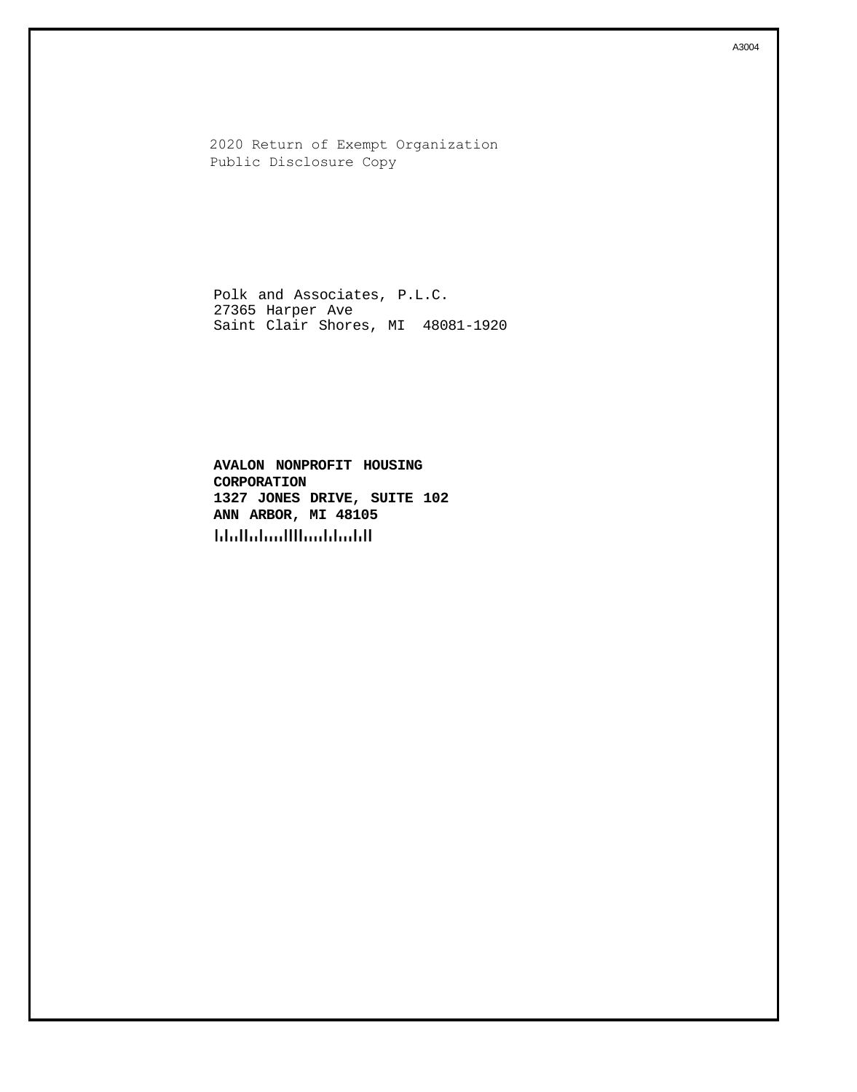2020 Return of Exempt Organization Public Disclosure Copy

Polk and Associates, P.L.C. 27365 Harper Ave Saint Clair Shores, MI 48081-1920

**AVALON NONPROFIT HOUSING CORPORATION 1327 JONES DRIVE, SUITE 102 ANN ARBOR, MI 48105 hhallahaallluudduddl**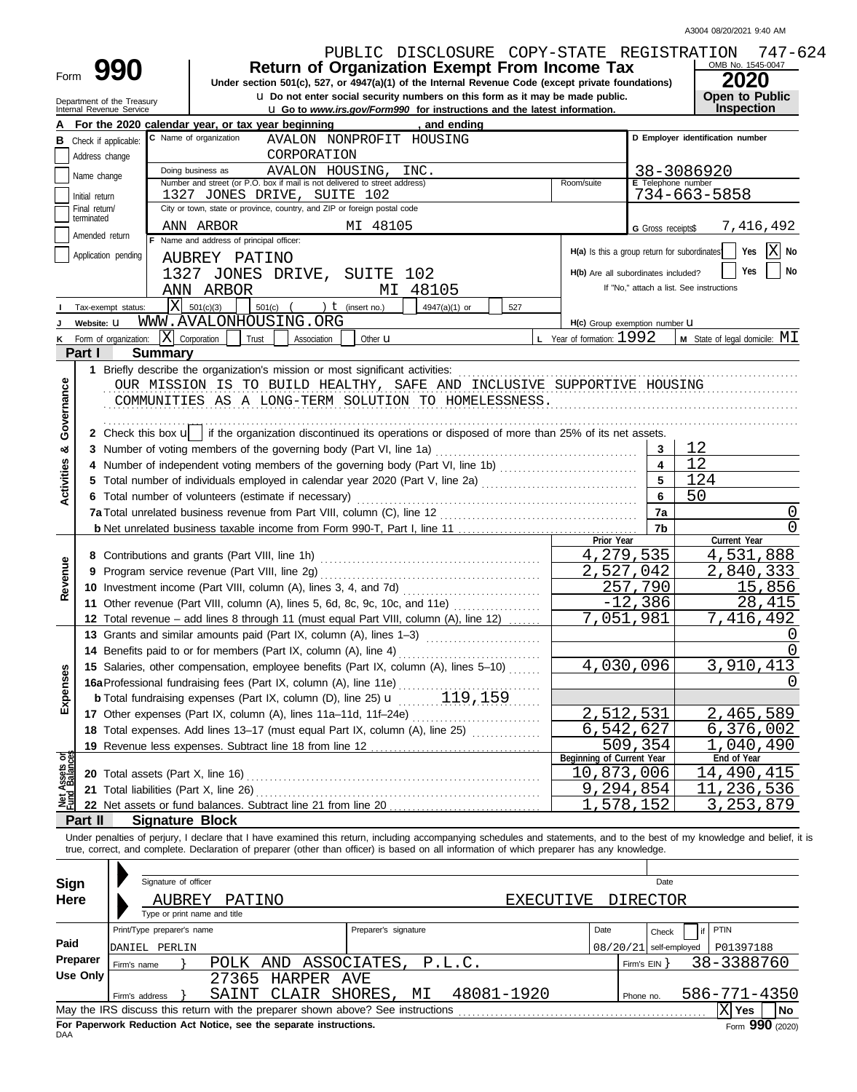| Form                      | 990<br>Department of the Treasury<br>Internal Revenue Service |                            |                                                                                                 |                 | PUBLIC DISCLOSURE COPY-STATE REGISTRATION<br><b>Return of Organization Exempt From Income Tax</b><br>Under section 501(c), 527, or 4947(a)(1) of the Internal Revenue Code (except private foundations)<br>u Do not enter social security numbers on this form as it may be made public. |                      |    |                                              |                              | OMB No. 1545-0047<br><b>2020</b><br><b>Open to Public</b>                                                                                                                  | 747-624   |
|---------------------------|---------------------------------------------------------------|----------------------------|-------------------------------------------------------------------------------------------------|-----------------|------------------------------------------------------------------------------------------------------------------------------------------------------------------------------------------------------------------------------------------------------------------------------------------|----------------------|----|----------------------------------------------|------------------------------|----------------------------------------------------------------------------------------------------------------------------------------------------------------------------|-----------|
|                           |                                                               |                            |                                                                                                 |                 | <b>u</b> Go to www.irs.gov/Form990 for instructions and the latest information.                                                                                                                                                                                                          |                      |    |                                              |                              | Inspection                                                                                                                                                                 |           |
|                           |                                                               |                            | For the 2020 calendar year, or tax year beginning<br>C Name of organization                     |                 |                                                                                                                                                                                                                                                                                          | , and ending         |    |                                              |                              | D Employer identification number                                                                                                                                           |           |
|                           | <b>B</b> Check if applicable:                                 |                            |                                                                                                 |                 | AVALON NONPROFIT HOUSING                                                                                                                                                                                                                                                                 |                      |    |                                              |                              |                                                                                                                                                                            |           |
|                           | Address change                                                |                            |                                                                                                 | CORPORATION     |                                                                                                                                                                                                                                                                                          |                      |    |                                              |                              |                                                                                                                                                                            |           |
|                           | Name change                                                   |                            | Doing business as<br>Number and street (or P.O. box if mail is not delivered to street address) | AVALON HOUSING, | INC.                                                                                                                                                                                                                                                                                     |                      |    | Room/suite                                   |                              | 38-3086920<br>E Telephone number                                                                                                                                           |           |
|                           | Initial return                                                |                            | 1327 JONES DRIVE, SUITE 102                                                                     |                 |                                                                                                                                                                                                                                                                                          |                      |    |                                              |                              | $734 - 663 - 5858$                                                                                                                                                         |           |
|                           | Final return/                                                 |                            | City or town, state or province, country, and ZIP or foreign postal code                        |                 |                                                                                                                                                                                                                                                                                          |                      |    |                                              |                              |                                                                                                                                                                            |           |
|                           | terminated                                                    |                            | ANN ARBOR                                                                                       |                 | MI 48105                                                                                                                                                                                                                                                                                 |                      |    |                                              | G Gross receipts\$           | 7,416,492                                                                                                                                                                  |           |
|                           | Amended return                                                |                            | F Name and address of principal officer:                                                        |                 |                                                                                                                                                                                                                                                                                          |                      |    |                                              |                              |                                                                                                                                                                            |           |
|                           | Application pending                                           |                            | AUBREY PATINO                                                                                   |                 |                                                                                                                                                                                                                                                                                          |                      |    | H(a) Is this a group return for subordinates |                              | Yes                                                                                                                                                                        | No        |
|                           |                                                               |                            | 1327 JONES DRIVE, SUITE                                                                         |                 | 102                                                                                                                                                                                                                                                                                      |                      |    | H(b) Are all subordinates included?          |                              | Yes                                                                                                                                                                        | <b>No</b> |
|                           |                                                               |                            | ANN ARBOR                                                                                       |                 | MI 48105                                                                                                                                                                                                                                                                                 |                      |    |                                              |                              | If "No," attach a list. See instructions                                                                                                                                   |           |
|                           | Tax-exempt status:                                            | ΙxΙ                        | 501(c)(3)<br>$501(c)$ (                                                                         |                 | ) $t$ (insert no.)                                                                                                                                                                                                                                                                       | 4947(a)(1) or<br>527 |    |                                              |                              |                                                                                                                                                                            |           |
|                           | Website: U                                                    |                            | WWW.AVALONHOUSING.ORG                                                                           |                 |                                                                                                                                                                                                                                                                                          |                      |    | H(c) Group exemption number LI               |                              |                                                                                                                                                                            |           |
|                           | K Form of organization:                                       |                            | $ \mathbf{X} $ Corporation<br>Trust                                                             | Association     | Other <b>u</b>                                                                                                                                                                                                                                                                           |                      |    | L Year of formation: 1992                    |                              | <b>M</b> State of legal domicile: $MI$                                                                                                                                     |           |
|                           | Part I                                                        | <b>Summary</b>             |                                                                                                 |                 |                                                                                                                                                                                                                                                                                          |                      |    |                                              |                              |                                                                                                                                                                            |           |
| Governance                |                                                               |                            |                                                                                                 |                 | OUR MISSION IS TO BUILD HEALTHY, SAFE AND INCLUSIVE SUPPORTIVE HOUSING<br>COMMUNITIES AS A LONG-TERM SOLUTION TO HOMELESSNESS.                                                                                                                                                           |                      |    |                                              |                              |                                                                                                                                                                            |           |
|                           |                                                               |                            |                                                                                                 |                 | 2 Check this box u   if the organization discontinued its operations or disposed of more than 25% of its net assets.                                                                                                                                                                     |                      |    |                                              |                              | 12                                                                                                                                                                         |           |
| න්                        |                                                               |                            |                                                                                                 |                 |                                                                                                                                                                                                                                                                                          |                      |    |                                              | 3<br>$\overline{\mathbf{4}}$ | 12                                                                                                                                                                         |           |
|                           |                                                               |                            |                                                                                                 |                 |                                                                                                                                                                                                                                                                                          |                      |    |                                              |                              |                                                                                                                                                                            |           |
| Activities                |                                                               |                            |                                                                                                 |                 | 5                                                                                                                                                                                                                                                                                        | 124                  |    |                                              |                              |                                                                                                                                                                            |           |
|                           |                                                               |                            | 6 Total number of volunteers (estimate if necessary)                                            |                 | 6                                                                                                                                                                                                                                                                                        | 50                   |    |                                              |                              |                                                                                                                                                                            |           |
|                           |                                                               |                            |                                                                                                 |                 | 7a Total unrelated business revenue from Part VIII, column (C), line 12                                                                                                                                                                                                                  |                      | 7a |                                              | 0                            |                                                                                                                                                                            |           |
|                           |                                                               |                            |                                                                                                 |                 |                                                                                                                                                                                                                                                                                          |                      |    | Prior Year                                   | 7b                           | Current Year                                                                                                                                                               | U         |
|                           |                                                               |                            |                                                                                                 |                 |                                                                                                                                                                                                                                                                                          |                      |    |                                              | 4,279,535                    | 4,531,888                                                                                                                                                                  |           |
|                           |                                                               |                            |                                                                                                 |                 |                                                                                                                                                                                                                                                                                          |                      |    |                                              | 2,527,042                    | 2,840,333                                                                                                                                                                  |           |
| Revenue                   |                                                               |                            |                                                                                                 |                 |                                                                                                                                                                                                                                                                                          |                      |    |                                              | 257,790                      | 15,856                                                                                                                                                                     |           |
|                           |                                                               |                            | 11 Other revenue (Part VIII, column (A), lines 5, 6d, 8c, 9c, 10c, and 11e)                     |                 | $-12$                                                                                                                                                                                                                                                                                    | ,386                 | 28 | 415                                          |                              |                                                                                                                                                                            |           |
|                           |                                                               |                            |                                                                                                 |                 | 12 Total revenue - add lines 8 through 11 (must equal Part VIII, column (A), line 12)                                                                                                                                                                                                    |                      |    |                                              | 7,051,981                    | 7,416,492                                                                                                                                                                  |           |
|                           |                                                               |                            |                                                                                                 |                 | 13 Grants and similar amounts paid (Part IX, column (A), lines 1-3)                                                                                                                                                                                                                      |                      |    |                                              |                              |                                                                                                                                                                            |           |
|                           |                                                               |                            | 14 Benefits paid to or for members (Part IX, column (A), line 4)                                |                 |                                                                                                                                                                                                                                                                                          |                      |    |                                              |                              |                                                                                                                                                                            |           |
|                           |                                                               |                            |                                                                                                 |                 | 15 Salaries, other compensation, employee benefits (Part IX, column (A), lines 5-10)                                                                                                                                                                                                     |                      |    |                                              | 4,030,096                    | 3,910,413                                                                                                                                                                  |           |
| Expenses                  |                                                               |                            |                                                                                                 |                 |                                                                                                                                                                                                                                                                                          |                      |    |                                              |                              |                                                                                                                                                                            |           |
|                           |                                                               |                            |                                                                                                 |                 |                                                                                                                                                                                                                                                                                          |                      |    |                                              |                              |                                                                                                                                                                            |           |
|                           |                                                               |                            |                                                                                                 |                 |                                                                                                                                                                                                                                                                                          |                      |    |                                              | ,512,531                     | , 465, 589                                                                                                                                                                 |           |
|                           |                                                               |                            |                                                                                                 |                 | 17 Other expenses (Part IX, column (A), lines 11a-11d, 11f-24e)<br>18 Total expenses. Add lines 13-17 (must equal Part IX, column (A), line 25)                                                                                                                                          |                      |    |                                              | 6,542,627                    | 6,376,002                                                                                                                                                                  |           |
|                           |                                                               |                            |                                                                                                 |                 |                                                                                                                                                                                                                                                                                          |                      |    |                                              | 509,354                      | 040,490                                                                                                                                                                    |           |
|                           |                                                               |                            | 19 Revenue less expenses. Subtract line 18 from line 12                                         |                 |                                                                                                                                                                                                                                                                                          |                      |    | Beginning of Current Year                    |                              | End of Year                                                                                                                                                                |           |
|                           |                                                               |                            |                                                                                                 |                 |                                                                                                                                                                                                                                                                                          |                      |    | 10,873,006                                   |                              | 14,490,415                                                                                                                                                                 |           |
| t Assets or<br>d Balances |                                                               |                            | 21 Total liabilities (Part X, line 26)                                                          |                 |                                                                                                                                                                                                                                                                                          |                      |    |                                              | 9,294,854                    | , 236, 536<br>11                                                                                                                                                           |           |
|                           |                                                               |                            |                                                                                                 |                 |                                                                                                                                                                                                                                                                                          |                      |    | $1$ .                                        | 578,152                      | 3, 253, 879                                                                                                                                                                |           |
|                           | Part II                                                       | <b>Signature Block</b>     |                                                                                                 |                 |                                                                                                                                                                                                                                                                                          |                      |    |                                              |                              |                                                                                                                                                                            |           |
|                           |                                                               |                            |                                                                                                 |                 | true, correct, and complete. Declaration of preparer (other than officer) is based on all information of which preparer has any knowledge.                                                                                                                                               |                      |    |                                              |                              | Under penalties of perjury, I declare that I have examined this return, including accompanying schedules and statements, and to the best of my knowledge and belief, it is |           |
| Sign                      |                                                               | Signature of officer       |                                                                                                 |                 |                                                                                                                                                                                                                                                                                          |                      |    |                                              | Date                         |                                                                                                                                                                            |           |
| <b>Here</b>               |                                                               | AUBREY                     | PATINO                                                                                          |                 |                                                                                                                                                                                                                                                                                          |                      |    | <b>EXECUTIVE</b>                             | <b>DIRECTOR</b>              |                                                                                                                                                                            |           |
|                           |                                                               |                            | Type or print name and title                                                                    |                 |                                                                                                                                                                                                                                                                                          |                      |    |                                              |                              |                                                                                                                                                                            |           |
|                           |                                                               | Print/Type preparer's name |                                                                                                 |                 | Preparer's signature                                                                                                                                                                                                                                                                     |                      |    | Date                                         |                              | PTIN                                                                                                                                                                       |           |
| Paid                      |                                                               |                            |                                                                                                 |                 |                                                                                                                                                                                                                                                                                          |                      |    |                                              | Check                        |                                                                                                                                                                            |           |
|                           | Preparer                                                      | DANIEL PERLIN              |                                                                                                 |                 |                                                                                                                                                                                                                                                                                          |                      |    |                                              | $08/20/21$ self-employed     | P01397188                                                                                                                                                                  |           |
|                           | Firm's name<br>Use Only                                       |                            | POLK AND ASSOCIATES,                                                                            |                 |                                                                                                                                                                                                                                                                                          | P.L.C.               |    |                                              | Firm's $EIN$ }               | 38-3388760                                                                                                                                                                 |           |
|                           |                                                               |                            | 27365 HARPER AVE                                                                                |                 |                                                                                                                                                                                                                                                                                          |                      |    |                                              |                              |                                                                                                                                                                            |           |
|                           |                                                               | Firm's address             | SAINT CLAIR SHORES,                                                                             |                 | MΙ                                                                                                                                                                                                                                                                                       | 48081-1920           |    |                                              | Phone no.                    | 586-771-4350                                                                                                                                                               |           |
|                           |                                                               |                            |                                                                                                 |                 |                                                                                                                                                                                                                                                                                          |                      |    |                                              |                              | $\overline{X}$ Yes                                                                                                                                                         | <b>No</b> |

| Use Only                                                                                     |                |  |  | 27365 HARPER AVE |                        |  |            |  |           |              |  |      |  |
|----------------------------------------------------------------------------------------------|----------------|--|--|------------------|------------------------|--|------------|--|-----------|--------------|--|------|--|
|                                                                                              | Firm's address |  |  |                  | SAINT CLAIR SHORES, MI |  | 48081-1920 |  | Phone no. | 586-771-4350 |  |      |  |
| May the IRS discuss this return with the preparer shown above? See instructions<br>∣X∣ Yes   |                |  |  |                  |                        |  |            |  |           |              |  | l No |  |
| Form 990 (2020)<br>For Paperwork Reduction Act Notice, see the separate instructions.<br>DAA |                |  |  |                  |                        |  |            |  |           |              |  |      |  |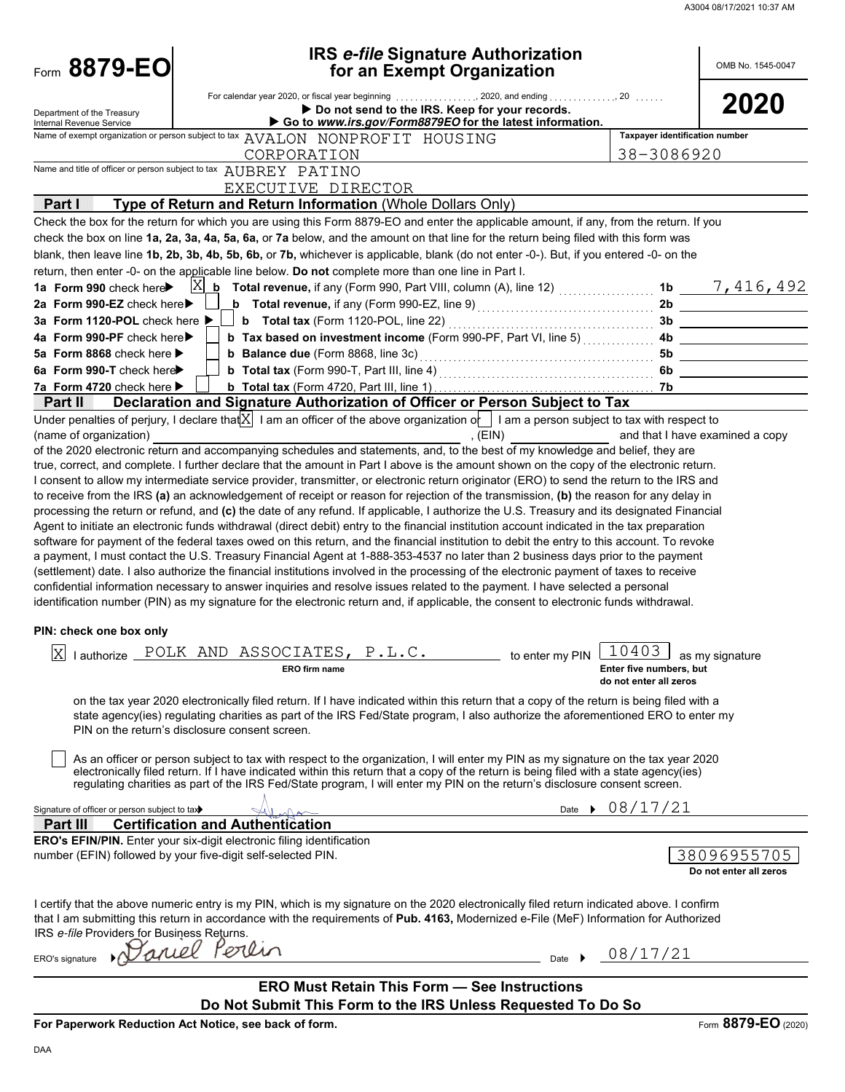A3004 08/17/2021 10:37 AM

| Form 8879-EO                                               | <b>IRS e-file Signature Authorization</b><br>for an Exempt Organization                                                                                                                                                                                                    |                                              | OMB No. 1545-0047               |
|------------------------------------------------------------|----------------------------------------------------------------------------------------------------------------------------------------------------------------------------------------------------------------------------------------------------------------------------|----------------------------------------------|---------------------------------|
| Department of the Treasury<br>Internal Revenue Service     | For calendar year 2020, or fiscal year beginning 2020, and ending 20<br>Do not send to the IRS. Keep for your records.<br>Go to www.irs.gov/Form8879EO for the latest information.                                                                                         |                                              | 2020                            |
|                                                            | Name of exempt organization or person subject to tax AVALON NONPROFIT HOUSING<br>CORPORATION                                                                                                                                                                               | Taxpayer identification number<br>38-3086920 |                                 |
|                                                            | Name and title of officer or person subject to tax AUBREY PATINO                                                                                                                                                                                                           |                                              |                                 |
| Part I                                                     | EXECUTIVE DIRECTOR<br>Type of Return and Return Information (Whole Dollars Only)                                                                                                                                                                                           |                                              |                                 |
|                                                            | Check the box for the return for which you are using this Form 8879-EO and enter the applicable amount, if any, from the return. If you                                                                                                                                    |                                              |                                 |
|                                                            | check the box on line 1a, 2a, 3a, 4a, 5a, 6a, or 7a below, and the amount on that line for the return being filed with this form was                                                                                                                                       |                                              |                                 |
|                                                            | blank, then leave line 1b, 2b, 3b, 4b, 5b, 6b, or 7b, whichever is applicable, blank (do not enter -0-). But, if you entered -0- on the                                                                                                                                    |                                              |                                 |
|                                                            | return, then enter -0- on the applicable line below. Do not complete more than one line in Part I.                                                                                                                                                                         |                                              |                                 |
| 1a Form 990 check here                                     | $\boxed{\text{X}}$ <b>b</b> Total revenue, if any (Form 990, Part VIII, column (A), line 12) $\frac{1}{1}$                                                                                                                                                                 |                                              | 1b $\frac{7,416,492}{ }$        |
| 2a Form 990-EZ check here                                  | <b>b</b> Total revenue, if any (Form 990-EZ, line 9) $\ldots$ $\ldots$ $\ldots$ $\ldots$ $\ldots$ $\ldots$                                                                                                                                                                 |                                              | 2b                              |
| 3a Form 1120-POL check here $\blacktriangleright$          | <b>b</b> Total tax (Form 1120-POL, line 22) <b>contained</b> $\frac{1}{2}$                                                                                                                                                                                                 | 3b                                           |                                 |
| 4a Form 990-PF check here▶                                 | <b>b</b> Tax based on investment income (Form 990-PF, Part VI, line 5)                                                                                                                                                                                                     | 4b                                           |                                 |
| 5a Form 8868 check here $\blacktriangleright$              |                                                                                                                                                                                                                                                                            | 5b                                           |                                 |
| 6a Form 990-T check here                                   |                                                                                                                                                                                                                                                                            | 6b                                           |                                 |
| 7a Form 4720 check here<br>Part II                         |                                                                                                                                                                                                                                                                            | 7b                                           |                                 |
|                                                            | Declaration and Signature Authorization of Officer or Person Subject to Tax<br>Under penalties of perjury, I declare that $X$ I am an officer of the above organization of I am a person subject to tax with respect to                                                    |                                              |                                 |
| (name of organization)                                     | , (EIN)                                                                                                                                                                                                                                                                    |                                              | and that I have examined a copy |
|                                                            | of the 2020 electronic return and accompanying schedules and statements, and, to the best of my knowledge and belief, they are                                                                                                                                             |                                              |                                 |
|                                                            | true, correct, and complete. I further declare that the amount in Part I above is the amount shown on the copy of the electronic return.                                                                                                                                   |                                              |                                 |
|                                                            | I consent to allow my intermediate service provider, transmitter, or electronic return originator (ERO) to send the return to the IRS and                                                                                                                                  |                                              |                                 |
|                                                            | to receive from the IRS (a) an acknowledgement of receipt or reason for rejection of the transmission, (b) the reason for any delay in                                                                                                                                     |                                              |                                 |
|                                                            | processing the return or refund, and (c) the date of any refund. If applicable, I authorize the U.S. Treasury and its designated Financial                                                                                                                                 |                                              |                                 |
|                                                            | Agent to initiate an electronic funds withdrawal (direct debit) entry to the financial institution account indicated in the tax preparation                                                                                                                                |                                              |                                 |
|                                                            | software for payment of the federal taxes owed on this return, and the financial institution to debit the entry to this account. To revoke                                                                                                                                 |                                              |                                 |
|                                                            | a payment, I must contact the U.S. Treasury Financial Agent at 1-888-353-4537 no later than 2 business days prior to the payment                                                                                                                                           |                                              |                                 |
|                                                            | (settlement) date. I also authorize the financial institutions involved in the processing of the electronic payment of taxes to receive<br>confidential information necessary to answer inquiries and resolve issues related to the payment. I have selected a personal    |                                              |                                 |
|                                                            | identification number (PIN) as my signature for the electronic return and, if applicable, the consent to electronic funds withdrawal.                                                                                                                                      |                                              |                                 |
|                                                            |                                                                                                                                                                                                                                                                            |                                              |                                 |
| PIN: check one box only                                    |                                                                                                                                                                                                                                                                            |                                              |                                 |
| ΙxΙ                                                        | lauthorize POLK AND ASSOCIATES, P.L.C.<br>to enter my PIN                                                                                                                                                                                                                  | 10403                                        |                                 |
|                                                            | <b>ERO</b> firm name                                                                                                                                                                                                                                                       | Enter five numbers, but                      | as my signature                 |
|                                                            |                                                                                                                                                                                                                                                                            | do not enter all zeros                       |                                 |
|                                                            | on the tax year 2020 electronically filed return. If I have indicated within this return that a copy of the return is being filed with a                                                                                                                                   |                                              |                                 |
|                                                            | state agency(ies) regulating charities as part of the IRS Fed/State program, I also authorize the aforementioned ERO to enter my                                                                                                                                           |                                              |                                 |
|                                                            | PIN on the return's disclosure consent screen.                                                                                                                                                                                                                             |                                              |                                 |
|                                                            |                                                                                                                                                                                                                                                                            |                                              |                                 |
|                                                            | As an officer or person subject to tax with respect to the organization, I will enter my PIN as my signature on the tax year 2020<br>electronically filed return. If I have indicated within this return that a copy of the return is being filed with a state agency(ies) |                                              |                                 |
|                                                            | regulating charities as part of the IRS Fed/State program, I will enter my PIN on the return's disclosure consent screen.                                                                                                                                                  |                                              |                                 |
|                                                            |                                                                                                                                                                                                                                                                            |                                              |                                 |
| Signature of officer or person subject to tax><br>Part III | <b>Certification and Authentication</b>                                                                                                                                                                                                                                    | Date $\rightarrow$ 08/17/21                  |                                 |
|                                                            | ERO's EFIN/PIN. Enter your six-digit electronic filing identification                                                                                                                                                                                                      |                                              |                                 |
|                                                            | number (EFIN) followed by your five-digit self-selected PIN.                                                                                                                                                                                                               |                                              | 38096955705                     |
|                                                            |                                                                                                                                                                                                                                                                            |                                              | Do not enter all zeros          |
|                                                            |                                                                                                                                                                                                                                                                            |                                              |                                 |
|                                                            | I certify that the above numeric entry is my PIN, which is my signature on the 2020 electronically filed return indicated above. I confirm                                                                                                                                 |                                              |                                 |
|                                                            | that I am submitting this return in accordance with the requirements of Pub. 4163, Modernized e-File (MeF) Information for Authorized                                                                                                                                      |                                              |                                 |
| IRS e-file Providers for Business Returns.                 |                                                                                                                                                                                                                                                                            |                                              |                                 |
| app0<br>ERO's signature                                    | erlin<br>Date $\rightarrow$                                                                                                                                                                                                                                                | 08/17/21                                     |                                 |
|                                                            |                                                                                                                                                                                                                                                                            |                                              |                                 |
|                                                            | <b>ERO Must Retain This Form - See Instructions</b>                                                                                                                                                                                                                        |                                              |                                 |
|                                                            | Do Not Submit This Form to the IRS Unless Requested To Do So                                                                                                                                                                                                               |                                              |                                 |

**For Paperwork Reduction Act Notice, see back of form.**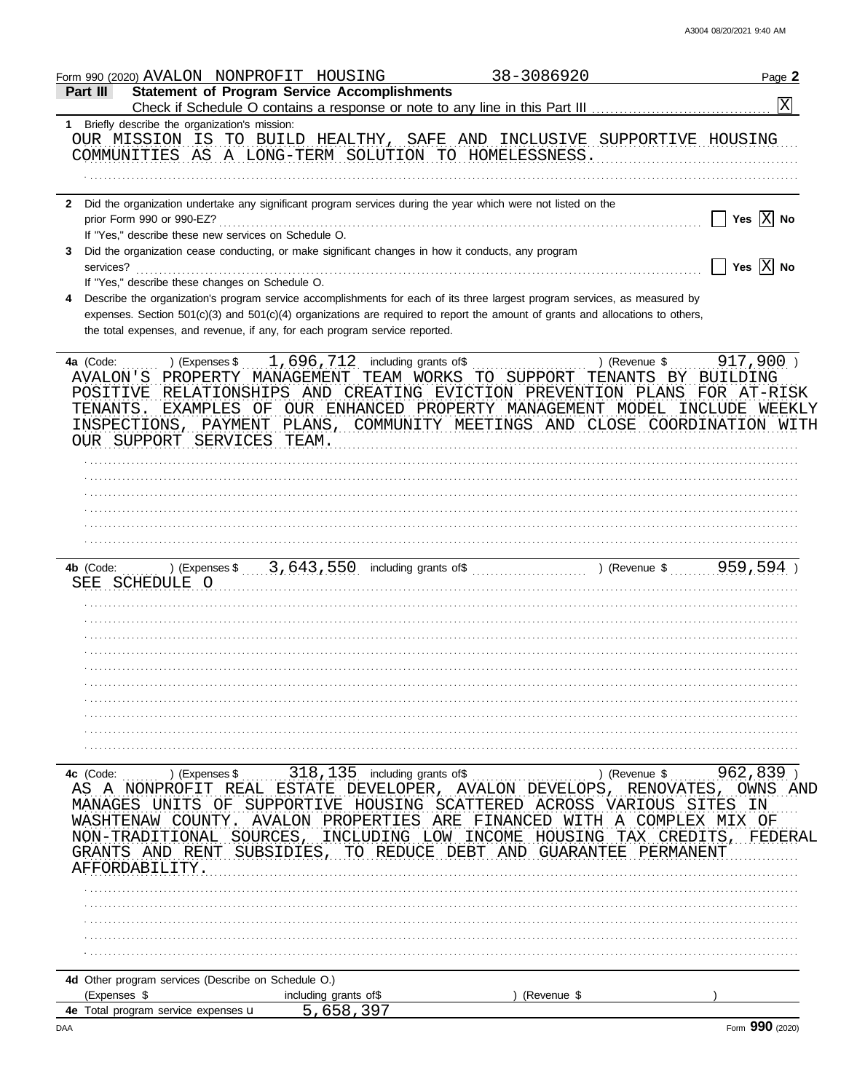| Form 990 (2020) AVALON NONPROFIT HOUSING                                                                                                                    | 38-3086920                                            | Page 2                 |
|-------------------------------------------------------------------------------------------------------------------------------------------------------------|-------------------------------------------------------|------------------------|
| <b>Statement of Program Service Accomplishments</b><br>Part III                                                                                             |                                                       |                        |
| Check if Schedule O contains a response or note to any line in this Part III                                                                                |                                                       | X                      |
| 1 Briefly describe the organization's mission:                                                                                                              |                                                       |                        |
| OUR MISSION IS TO BUILD HEALTHY, SAFE AND INCLUSIVE SUPPORTIVE HOUSING                                                                                      |                                                       |                        |
| COMMUNITIES AS A LONG-TERM SOLUTION TO HOMELESSNESS.                                                                                                        |                                                       |                        |
|                                                                                                                                                             |                                                       |                        |
|                                                                                                                                                             |                                                       |                        |
| Did the organization undertake any significant program services during the year which were not listed on the<br>$\mathbf{2}$                                |                                                       |                        |
| prior Form 990 or 990-EZ?                                                                                                                                   |                                                       | $ X $ No<br><b>Yes</b> |
| If "Yes," describe these new services on Schedule O.                                                                                                        |                                                       |                        |
| Did the organization cease conducting, or make significant changes in how it conducts, any program<br>3.                                                    |                                                       |                        |
| services?                                                                                                                                                   |                                                       | Yes $X$ No             |
| If "Yes," describe these changes on Schedule O.                                                                                                             |                                                       |                        |
| Describe the organization's program service accomplishments for each of its three largest program services, as measured by<br>4                             |                                                       |                        |
| expenses. Section 501(c)(3) and 501(c)(4) organizations are required to report the amount of grants and allocations to others,                              |                                                       |                        |
| the total expenses, and revenue, if any, for each program service reported.                                                                                 |                                                       |                        |
| 1,696,712 including grants of\$<br>4a (Code:<br>) (Expenses \$                                                                                              | ) (Revenue \$                                         | $917,900$ )            |
| AVALON'S PROPERTY MANAGEMENT                                                                                                                                | TEAM WORKS TO SUPPORT<br>TENANTS BY BUILDING          |                        |
| RELATIONSHIPS AND CREATING EVICTION PREVENTION PLANS<br>POSITIVE                                                                                            |                                                       | FOR AT-RISK            |
| TENANTS.<br>EXAMPLES OF                                                                                                                                     | OUR ENHANCED PROPERTY MANAGEMENT MODEL                | INCLUDE WEEKLY         |
| INSPECTIONS, PAYMENT                                                                                                                                        | PLANS, COMMUNITY MEETINGS AND CLOSE COORDINATION WITH |                        |
| OUR SUPPORT SERVICES TEAM.                                                                                                                                  |                                                       |                        |
|                                                                                                                                                             |                                                       |                        |
|                                                                                                                                                             |                                                       |                        |
|                                                                                                                                                             |                                                       |                        |
|                                                                                                                                                             |                                                       |                        |
|                                                                                                                                                             |                                                       |                        |
|                                                                                                                                                             |                                                       |                        |
|                                                                                                                                                             |                                                       |                        |
| ) (Expenses $\frac{3}{1}, \frac{643}{550}$ including grants of $\frac{1}{1}, \frac{1}{1}, \frac{1}{1}$ (Revenue $\frac{1}{2}, \frac{959}{594}$<br>4b (Code: |                                                       |                        |
| SCHEDULE O<br>SEE                                                                                                                                           |                                                       |                        |
|                                                                                                                                                             |                                                       |                        |
|                                                                                                                                                             |                                                       |                        |
|                                                                                                                                                             |                                                       |                        |
|                                                                                                                                                             |                                                       |                        |
|                                                                                                                                                             |                                                       |                        |
|                                                                                                                                                             |                                                       |                        |
|                                                                                                                                                             |                                                       |                        |
|                                                                                                                                                             |                                                       |                        |
|                                                                                                                                                             |                                                       |                        |
|                                                                                                                                                             |                                                       |                        |
|                                                                                                                                                             |                                                       |                        |
| 318, 135 including grants of\$<br>4c (Code:<br>) (Expenses \$                                                                                               | ) (Revenue \$                                         | 962,839)               |
| ESTATE<br>DEVELOPER<br>AS A NONPROFI<br>REAL                                                                                                                | <b>AVALON DEVELOPS</b><br>RENOVATES,                  | OWNS                   |
| SUPPORTIVE<br>HOUSING<br>MANAGES<br>OF.                                                                                                                     | SCATTERED<br>ACROSS<br>VARIOUS<br>SI                  | 'ES<br>ΙN              |
| PROPERT<br>TES<br>WASHTENAW<br>AVALON                                                                                                                       | ARE<br>FINANCED<br>COMPLEX<br>TН<br>A                 | MTX<br>ΟF              |
| NON-TRADITIONAL<br>SOURCES<br>INCLUDING<br>LOM                                                                                                              | CREDITS<br>INCOME<br>HOUSING<br>TAX                   | FEDERAI                |
| AND RENT<br>SUBSIDIES.<br>GRANTS.<br>– R F.I JI<br>' I '( )<br>÷н:                                                                                          | GUARANTEE<br>PERMANEN'I                               |                        |
| AFFORDABILITY                                                                                                                                               |                                                       |                        |
|                                                                                                                                                             |                                                       |                        |
|                                                                                                                                                             |                                                       |                        |
|                                                                                                                                                             |                                                       |                        |
|                                                                                                                                                             |                                                       |                        |
|                                                                                                                                                             |                                                       |                        |
|                                                                                                                                                             |                                                       |                        |
| 4d Other program services (Describe on Schedule O.)                                                                                                         |                                                       |                        |
| (Expenses \$<br>including grants of\$                                                                                                                       | (Revenue \$                                           |                        |
| 5,658,397<br>4e Total program service expenses u                                                                                                            |                                                       |                        |

 $\mathsf{DAA}$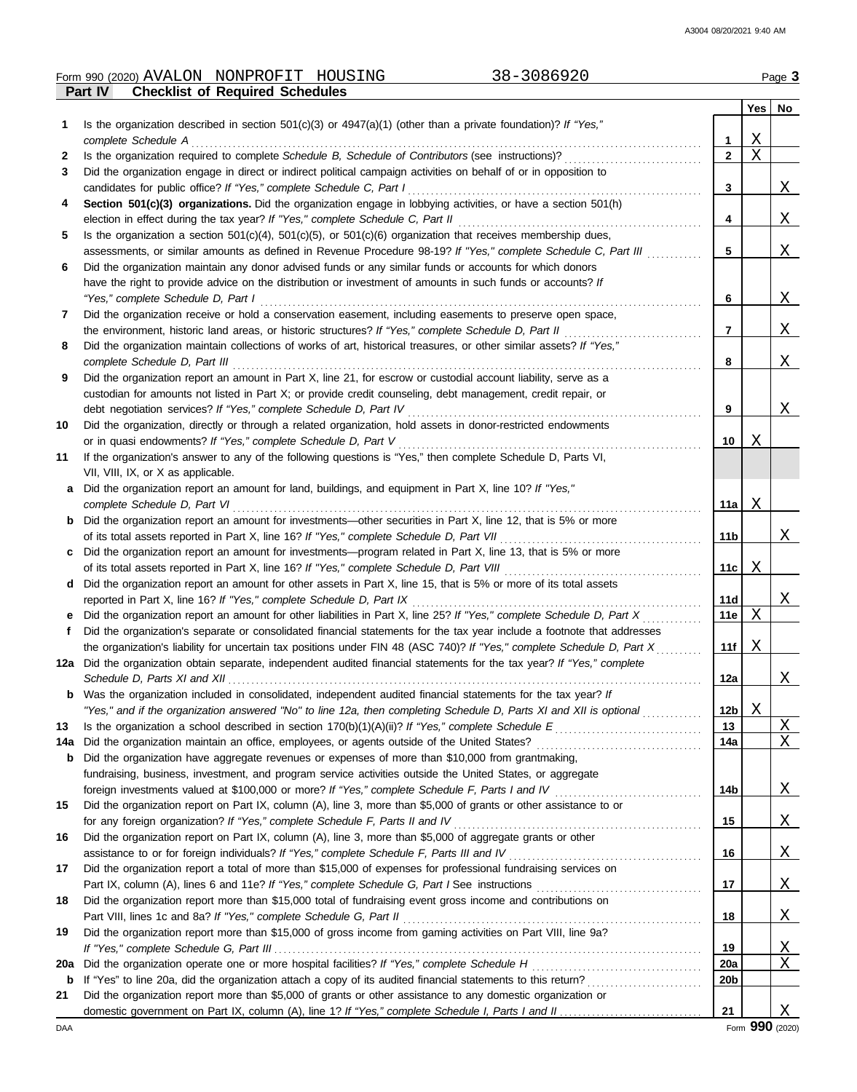## Form 990 (2020) Page **3** AVALON NONPROFIT HOUSING 38-3086920

|     | <b>Checklist of Required Schedules</b><br><b>Part IV</b>                                                                                                                                                 |                 |     |                 |
|-----|----------------------------------------------------------------------------------------------------------------------------------------------------------------------------------------------------------|-----------------|-----|-----------------|
|     |                                                                                                                                                                                                          |                 | Yes | No              |
| 1   | Is the organization described in section $501(c)(3)$ or $4947(a)(1)$ (other than a private foundation)? If "Yes,"                                                                                        |                 |     |                 |
|     | complete Schedule A                                                                                                                                                                                      | 1               | Χ   |                 |
| 2   | Is the organization required to complete Schedule B, Schedule of Contributors (see instructions)?                                                                                                        | $\mathbf{2}$    | X   |                 |
| 3   | Did the organization engage in direct or indirect political campaign activities on behalf of or in opposition to                                                                                         |                 |     |                 |
|     | candidates for public office? If "Yes," complete Schedule C, Part I                                                                                                                                      | 3               |     | X               |
| 4   | Section 501(c)(3) organizations. Did the organization engage in lobbying activities, or have a section 501(h)                                                                                            |                 |     |                 |
|     | election in effect during the tax year? If "Yes," complete Schedule C, Part II                                                                                                                           | 4               |     | X               |
| 5   | Is the organization a section $501(c)(4)$ , $501(c)(5)$ , or $501(c)(6)$ organization that receives membership dues,                                                                                     |                 |     |                 |
|     | assessments, or similar amounts as defined in Revenue Procedure 98-19? If "Yes," complete Schedule C, Part III                                                                                           | 5               |     | X               |
| 6   | Did the organization maintain any donor advised funds or any similar funds or accounts for which donors                                                                                                  |                 |     |                 |
|     | have the right to provide advice on the distribution or investment of amounts in such funds or accounts? If                                                                                              |                 |     |                 |
|     | "Yes," complete Schedule D, Part I                                                                                                                                                                       | 6               |     | Χ               |
| 7   | Did the organization receive or hold a conservation easement, including easements to preserve open space,                                                                                                |                 |     |                 |
|     | the environment, historic land areas, or historic structures? If "Yes," complete Schedule D, Part II                                                                                                     | 7               |     | Χ               |
| 8   | Did the organization maintain collections of works of art, historical treasures, or other similar assets? If "Yes,"                                                                                      |                 |     |                 |
|     | complete Schedule D, Part III                                                                                                                                                                            | 8               |     | X               |
| 9   | Did the organization report an amount in Part X, line 21, for escrow or custodial account liability, serve as a                                                                                          |                 |     |                 |
|     | custodian for amounts not listed in Part X; or provide credit counseling, debt management, credit repair, or                                                                                             |                 |     |                 |
|     | debt negotiation services? If "Yes," complete Schedule D, Part IV                                                                                                                                        | 9               |     | X               |
| 10  | Did the organization, directly or through a related organization, hold assets in donor-restricted endowments                                                                                             |                 |     |                 |
|     | or in quasi endowments? If "Yes," complete Schedule D, Part V                                                                                                                                            | 10              | Χ   |                 |
| 11  | If the organization's answer to any of the following questions is "Yes," then complete Schedule D, Parts VI,                                                                                             |                 |     |                 |
|     | VII, VIII, IX, or X as applicable.                                                                                                                                                                       |                 |     |                 |
| a   | Did the organization report an amount for land, buildings, and equipment in Part X, line 10? If "Yes,"                                                                                                   |                 |     |                 |
|     | complete Schedule D, Part VI                                                                                                                                                                             | 11a             | Χ   |                 |
| b   | Did the organization report an amount for investments—other securities in Part X, line 12, that is 5% or more                                                                                            |                 |     |                 |
|     |                                                                                                                                                                                                          | 11 <sub>b</sub> |     | X               |
|     | of its total assets reported in Part X, line 16? If "Yes," complete Schedule D, Part VII<br>Did the organization report an amount for investments—program related in Part X, line 13, that is 5% or more |                 |     |                 |
| c   | of its total assets reported in Part X, line 16? If "Yes," complete Schedule D, Part VIII                                                                                                                |                 | Χ   |                 |
|     | Did the organization report an amount for other assets in Part X, line 15, that is 5% or more of its total assets                                                                                        | 11c             |     |                 |
| d   |                                                                                                                                                                                                          |                 |     |                 |
|     | reported in Part X, line 16? If "Yes," complete Schedule D, Part IX<br>Did the organization report an amount for other liabilities in Part X, line 25? If "Yes," complete Schedule D, Part X             | 11d<br>11e      | X   | <u>X</u>        |
| е   |                                                                                                                                                                                                          |                 |     |                 |
| f   | Did the organization's separate or consolidated financial statements for the tax year include a footnote that addresses                                                                                  |                 |     |                 |
|     | the organization's liability for uncertain tax positions under FIN 48 (ASC 740)? If "Yes," complete Schedule D, Part X                                                                                   | 11f             | Χ   |                 |
| 12a | Did the organization obtain separate, independent audited financial statements for the tax year? If "Yes," complete                                                                                      |                 |     |                 |
|     | Schedule D, Parts XI and XII                                                                                                                                                                             | 12a             |     | ∡⊾              |
|     | <b>b</b> Was the organization included in consolidated, independent audited financial statements for the tax year? If                                                                                    |                 |     |                 |
|     | "Yes," and if the organization answered "No" to line 12a, then completing Schedule D, Parts XI and XII is optional                                                                                       | 12 <sub>b</sub> | Χ   |                 |
| 13  |                                                                                                                                                                                                          | 13              |     | $\underline{X}$ |
| 14a | Did the organization maintain an office, employees, or agents outside of the United States?                                                                                                              | 14a             |     | X               |
| b   | Did the organization have aggregate revenues or expenses of more than \$10,000 from grantmaking,                                                                                                         |                 |     |                 |
|     | fundraising, business, investment, and program service activities outside the United States, or aggregate                                                                                                |                 |     |                 |
|     | foreign investments valued at \$100,000 or more? If "Yes," complete Schedule F, Parts I and IV                                                                                                           | 14 <sub>b</sub> |     | <u>X</u>        |
| 15  | Did the organization report on Part IX, column (A), line 3, more than \$5,000 of grants or other assistance to or                                                                                        |                 |     |                 |
|     | for any foreign organization? If "Yes," complete Schedule F, Parts II and IV                                                                                                                             | 15              |     | <u>X</u>        |
| 16  | Did the organization report on Part IX, column (A), line 3, more than \$5,000 of aggregate grants or other                                                                                               |                 |     |                 |
|     |                                                                                                                                                                                                          | 16              |     | <u>X</u>        |
| 17  | Did the organization report a total of more than \$15,000 of expenses for professional fundraising services on                                                                                           |                 |     |                 |
|     |                                                                                                                                                                                                          | 17              |     | <u>X</u>        |
| 18  | Did the organization report more than \$15,000 total of fundraising event gross income and contributions on                                                                                              |                 |     |                 |
|     | Part VIII, lines 1c and 8a? If "Yes," complete Schedule G, Part II                                                                                                                                       | 18              |     | <u>X</u>        |
| 19  | Did the organization report more than \$15,000 of gross income from gaming activities on Part VIII, line 9a?                                                                                             |                 |     |                 |
|     |                                                                                                                                                                                                          | 19              |     | <u>X</u>        |
| 20a | Did the organization operate one or more hospital facilities? If "Yes," complete Schedule H                                                                                                              | 20a             |     | X               |
| b   |                                                                                                                                                                                                          | 20 <sub>b</sub> |     |                 |
| 21  | Did the organization report more than \$5,000 of grants or other assistance to any domestic organization or                                                                                              |                 |     |                 |
|     |                                                                                                                                                                                                          | 21              |     | X               |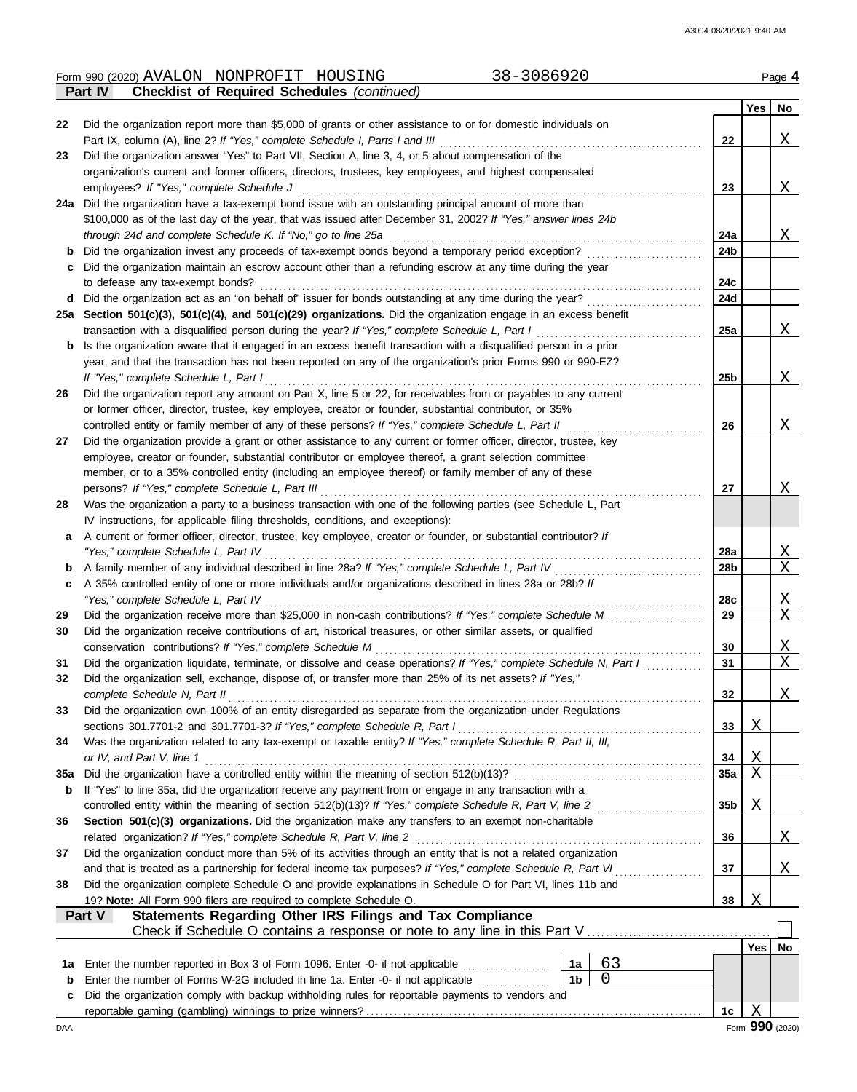#### Form 990 (2020) Page **4** AVALON NONPROFIT HOUSING 38-3086920

|     | <b>Checklist of Required Schedules (continued)</b><br>Part IV                                                                               |                 |            |                            |
|-----|---------------------------------------------------------------------------------------------------------------------------------------------|-----------------|------------|----------------------------|
|     |                                                                                                                                             |                 | Yes        | No                         |
| 22  | Did the organization report more than \$5,000 of grants or other assistance to or for domestic individuals on                               |                 |            |                            |
|     | Part IX, column (A), line 2? If "Yes," complete Schedule I, Parts I and III                                                                 | 22              |            | Χ                          |
| 23  | Did the organization answer "Yes" to Part VII, Section A, line 3, 4, or 5 about compensation of the                                         |                 |            |                            |
|     | organization's current and former officers, directors, trustees, key employees, and highest compensated                                     |                 |            |                            |
|     | employees? If "Yes," complete Schedule J                                                                                                    | 23              |            | Χ                          |
| 24a | Did the organization have a tax-exempt bond issue with an outstanding principal amount of more than                                         |                 |            |                            |
|     | \$100,000 as of the last day of the year, that was issued after December 31, 2002? If "Yes," answer lines 24b                               |                 |            |                            |
|     | through 24d and complete Schedule K. If "No," go to line 25a                                                                                | 24a             |            | X                          |
| b   | Did the organization invest any proceeds of tax-exempt bonds beyond a temporary period exception?                                           | 24b             |            |                            |
|     | Did the organization maintain an escrow account other than a refunding escrow at any time during the year                                   |                 |            |                            |
|     | to defease any tax-exempt bonds?<br>Did the organization act as an "on behalf of" issuer for bonds outstanding at any time during the year? | 24c<br>24d      |            |                            |
| d   | 25a Section 501(c)(3), 501(c)(4), and 501(c)(29) organizations. Did the organization engage in an excess benefit                            |                 |            |                            |
|     | transaction with a disqualified person during the year? If "Yes," complete Schedule L, Part I                                               | 25a             |            | Χ                          |
| b   | Is the organization aware that it engaged in an excess benefit transaction with a disqualified person in a prior                            |                 |            |                            |
|     | year, and that the transaction has not been reported on any of the organization's prior Forms 990 or 990-EZ?                                |                 |            |                            |
|     | If "Yes," complete Schedule L, Part I                                                                                                       | 25 <sub>b</sub> |            | X                          |
| 26  | Did the organization report any amount on Part X, line 5 or 22, for receivables from or payables to any current                             |                 |            |                            |
|     | or former officer, director, trustee, key employee, creator or founder, substantial contributor, or 35%                                     |                 |            |                            |
|     | controlled entity or family member of any of these persons? If "Yes," complete Schedule L, Part II                                          | 26              |            | X                          |
| 27  | Did the organization provide a grant or other assistance to any current or former officer, director, trustee, key                           |                 |            |                            |
|     | employee, creator or founder, substantial contributor or employee thereof, a grant selection committee                                      |                 |            |                            |
|     | member, or to a 35% controlled entity (including an employee thereof) or family member of any of these                                      |                 |            |                            |
|     | persons? If "Yes," complete Schedule L, Part III                                                                                            | 27              |            | Χ                          |
| 28  | Was the organization a party to a business transaction with one of the following parties (see Schedule L, Part                              |                 |            |                            |
|     | IV instructions, for applicable filing thresholds, conditions, and exceptions):                                                             |                 |            |                            |
| a   | A current or former officer, director, trustee, key employee, creator or founder, or substantial contributor? If                            |                 |            |                            |
|     | "Yes," complete Schedule L, Part IV                                                                                                         | 28a             |            | <u>X</u>                   |
| b   |                                                                                                                                             | 28b             |            | $\mathbf X$                |
| c   | A 35% controlled entity of one or more individuals and/or organizations described in lines 28a or 28b? If                                   |                 |            |                            |
|     | "Yes," complete Schedule L, Part IV                                                                                                         | 28c             |            | <u>X</u>                   |
| 29  | Did the organization receive more than \$25,000 in non-cash contributions? If "Yes," complete Schedule M                                    | 29              |            | X                          |
| 30  | Did the organization receive contributions of art, historical treasures, or other similar assets, or qualified                              |                 |            |                            |
|     | conservation contributions? If "Yes," complete Schedule M                                                                                   | 30              |            | <u>X</u><br>$\overline{X}$ |
| 31  | Did the organization liquidate, terminate, or dissolve and cease operations? If "Yes," complete Schedule N, Part I                          | 31              |            |                            |
| 32  | Did the organization sell, exchange, dispose of, or transfer more than 25% of its net assets? If "Yes,"<br>complete Schedule N, Part II     | 32              |            |                            |
| 33  | Did the organization own 100% of an entity disregarded as separate from the organization under Regulations                                  |                 |            | <u>X</u>                   |
|     | sections 301.7701-2 and 301.7701-3? If "Yes," complete Schedule R, Part I                                                                   | 33              | Χ          |                            |
| 34  | Was the organization related to any tax-exempt or taxable entity? If "Yes," complete Schedule R, Part II, III,                              |                 |            |                            |
|     | or IV, and Part V, line 1                                                                                                                   | 34              | <u>X</u>   |                            |
| 35a | Did the organization have a controlled entity within the meaning of section 512(b)(13)?                                                     | 35a             | Χ          |                            |
| b   | If "Yes" to line 35a, did the organization receive any payment from or engage in any transaction with a                                     |                 |            |                            |
|     | controlled entity within the meaning of section 512(b)(13)? If "Yes," complete Schedule R, Part V, line 2                                   | 35 <sub>b</sub> | <u>X</u>   |                            |
| 36  | Section 501(c)(3) organizations. Did the organization make any transfers to an exempt non-charitable                                        |                 |            |                            |
|     | related organization? If "Yes," complete Schedule R, Part V, line 2                                                                         | 36              |            | <u>X</u>                   |
| 37  | Did the organization conduct more than 5% of its activities through an entity that is not a related organization                            |                 |            |                            |
|     | and that is treated as a partnership for federal income tax purposes? If "Yes," complete Schedule R, Part VI                                | 37              |            | Χ                          |
| 38  | Did the organization complete Schedule O and provide explanations in Schedule O for Part VI, lines 11b and                                  |                 |            |                            |
|     | 19? Note: All Form 990 filers are required to complete Schedule O.                                                                          | 38              | Χ          |                            |
|     | Statements Regarding Other IRS Filings and Tax Compliance<br><b>Part V</b>                                                                  |                 |            |                            |
|     | Check if Schedule O contains a response or note to any line in this Part V                                                                  |                 |            |                            |
|     |                                                                                                                                             |                 | <b>Yes</b> | No                         |
| 1a  | 63<br>Enter the number reported in Box 3 of Form 1096. Enter -0- if not applicable<br>1a                                                    |                 |            |                            |
| b   | 0<br>Enter the number of Forms W-2G included in line 1a. Enter -0- if not applicable<br>1 <sub>b</sub>                                      |                 |            |                            |
| c   | Did the organization comply with backup withholding rules for reportable payments to vendors and                                            | 1c              | Χ          |                            |
|     |                                                                                                                                             |                 |            |                            |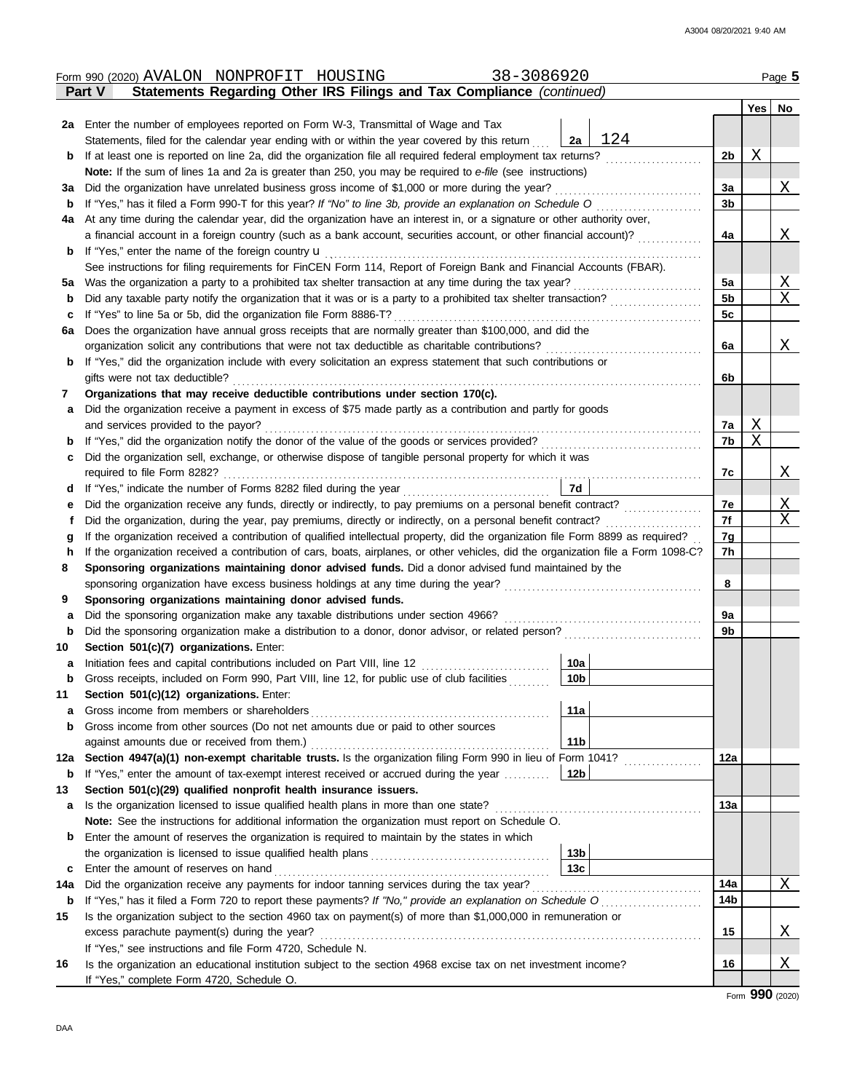|     | 38-3086920<br>Form 990 (2020) AVALON NONPROFIT HOUSING                                                                             |                 |                |                           | Page 5   |  |  |  |  |  |  |
|-----|------------------------------------------------------------------------------------------------------------------------------------|-----------------|----------------|---------------------------|----------|--|--|--|--|--|--|
|     | Statements Regarding Other IRS Filings and Tax Compliance (continued)<br><b>Part V</b>                                             |                 |                |                           |          |  |  |  |  |  |  |
|     |                                                                                                                                    |                 |                | Yes                       | No       |  |  |  |  |  |  |
|     | 2a Enter the number of employees reported on Form W-3, Transmittal of Wage and Tax                                                 |                 |                |                           |          |  |  |  |  |  |  |
|     | Statements, filed for the calendar year ending with or within the year covered by this return                                      | 124<br>2a       |                |                           |          |  |  |  |  |  |  |
| b   | If at least one is reported on line 2a, did the organization file all required federal employment tax returns?                     |                 | 2 <sub>b</sub> | X                         |          |  |  |  |  |  |  |
|     | Note: If the sum of lines 1a and 2a is greater than 250, you may be required to e-file (see instructions)                          |                 |                |                           |          |  |  |  |  |  |  |
| За  | Did the organization have unrelated business gross income of \$1,000 or more during the year?                                      |                 | 3a             |                           | X        |  |  |  |  |  |  |
| b   |                                                                                                                                    |                 | 3 <sub>b</sub> |                           |          |  |  |  |  |  |  |
| 4a  | At any time during the calendar year, did the organization have an interest in, or a signature or other authority over,            |                 |                |                           |          |  |  |  |  |  |  |
|     | a financial account in a foreign country (such as a bank account, securities account, or other financial account)?                 |                 | 4a             |                           | X        |  |  |  |  |  |  |
|     |                                                                                                                                    |                 |                |                           |          |  |  |  |  |  |  |
| b   | If "Yes," enter the name of the foreign country $\mathbf u$                                                                        |                 |                |                           |          |  |  |  |  |  |  |
|     | See instructions for filing requirements for FinCEN Form 114, Report of Foreign Bank and Financial Accounts (FBAR).                |                 |                |                           |          |  |  |  |  |  |  |
| 5а  |                                                                                                                                    |                 | 5a             |                           | <u>X</u> |  |  |  |  |  |  |
| b   |                                                                                                                                    |                 | 5 <sub>b</sub> |                           | X        |  |  |  |  |  |  |
| с   | If "Yes" to line 5a or 5b, did the organization file Form 8886-T?                                                                  |                 | 5c             |                           |          |  |  |  |  |  |  |
| 6a  | Does the organization have annual gross receipts that are normally greater than \$100,000, and did the                             |                 |                |                           |          |  |  |  |  |  |  |
|     | organization solicit any contributions that were not tax deductible as charitable contributions?                                   |                 | 6a             |                           | Χ        |  |  |  |  |  |  |
| b   | If "Yes," did the organization include with every solicitation an express statement that such contributions or                     |                 |                |                           |          |  |  |  |  |  |  |
|     | gifts were not tax deductible?                                                                                                     |                 | 6b             |                           |          |  |  |  |  |  |  |
| 7   | Organizations that may receive deductible contributions under section 170(c).                                                      |                 |                |                           |          |  |  |  |  |  |  |
| a   | Did the organization receive a payment in excess of \$75 made partly as a contribution and partly for goods                        |                 |                |                           |          |  |  |  |  |  |  |
|     | and services provided to the payor?                                                                                                |                 | 7a             | $\boldsymbol{\mathrm{X}}$ |          |  |  |  |  |  |  |
| b   |                                                                                                                                    |                 | 7b             | $\mathbf X$               |          |  |  |  |  |  |  |
| с   | Did the organization sell, exchange, or otherwise dispose of tangible personal property for which it was                           |                 |                |                           |          |  |  |  |  |  |  |
|     | required to file Form 8282?                                                                                                        |                 | 7c             |                           | Χ        |  |  |  |  |  |  |
| d   | If "Yes," indicate the number of Forms 8282 filed during the year<br>[[[[[[[[[[[[]]]]]                                             | 7d              |                |                           |          |  |  |  |  |  |  |
| е   |                                                                                                                                    |                 | 7е             |                           | X        |  |  |  |  |  |  |
| f   | Did the organization, during the year, pay premiums, directly or indirectly, on a personal benefit contract?                       |                 |                |                           |          |  |  |  |  |  |  |
| g   | If the organization received a contribution of qualified intellectual property, did the organization file Form 8899 as required?   |                 |                |                           |          |  |  |  |  |  |  |
| h   | If the organization received a contribution of cars, boats, airplanes, or other vehicles, did the organization file a Form 1098-C? |                 | 7h             |                           |          |  |  |  |  |  |  |
| 8   | Sponsoring organizations maintaining donor advised funds. Did a donor advised fund maintained by the                               |                 |                |                           |          |  |  |  |  |  |  |
|     |                                                                                                                                    |                 | 8              |                           |          |  |  |  |  |  |  |
| 9   | Sponsoring organizations maintaining donor advised funds.                                                                          |                 |                |                           |          |  |  |  |  |  |  |
| a   | Did the sponsoring organization make any taxable distributions under section 4966?                                                 |                 | 9a             |                           |          |  |  |  |  |  |  |
| b   |                                                                                                                                    |                 | 9 <sub>b</sub> |                           |          |  |  |  |  |  |  |
| 10  | Section 501(c)(7) organizations. Enter:                                                                                            |                 |                |                           |          |  |  |  |  |  |  |
| а   | Initiation fees and capital contributions included on Part VIII, line 12                                                           | 10a             |                |                           |          |  |  |  |  |  |  |
| b   | Gross receipts, included on Form 990, Part VIII, line 12, for public use of club facilities                                        | 10b             |                |                           |          |  |  |  |  |  |  |
| 11  | Section 501(c)(12) organizations. Enter:                                                                                           |                 |                |                           |          |  |  |  |  |  |  |
| a   | Gross income from members or shareholders                                                                                          | 11a             |                |                           |          |  |  |  |  |  |  |
| b   | Gross income from other sources (Do not net amounts due or paid to other sources                                                   |                 |                |                           |          |  |  |  |  |  |  |
|     | against amounts due or received from them.)                                                                                        | 11 <sub>b</sub> |                |                           |          |  |  |  |  |  |  |
| 12a | Section 4947(a)(1) non-exempt charitable trusts. Is the organization filing Form 990 in lieu of Form 1041?                         |                 | 12a            |                           |          |  |  |  |  |  |  |
| b   | If "Yes," enter the amount of tax-exempt interest received or accrued during the year                                              | 12 <sub>b</sub> |                |                           |          |  |  |  |  |  |  |
| 13  | Section 501(c)(29) qualified nonprofit health insurance issuers.                                                                   |                 |                |                           |          |  |  |  |  |  |  |
| а   | Is the organization licensed to issue qualified health plans in more than one state?                                               |                 | 13а            |                           |          |  |  |  |  |  |  |
|     | Note: See the instructions for additional information the organization must report on Schedule O.                                  |                 |                |                           |          |  |  |  |  |  |  |
| b   | Enter the amount of reserves the organization is required to maintain by the states in which                                       |                 |                |                           |          |  |  |  |  |  |  |
|     |                                                                                                                                    | 13 <sub>b</sub> |                |                           |          |  |  |  |  |  |  |
| с   | Enter the amount of reserves on hand                                                                                               | 13 <sub>c</sub> |                |                           |          |  |  |  |  |  |  |
| 14a | Did the organization receive any payments for indoor tanning services during the tax year?                                         |                 | 14a            |                           | Χ        |  |  |  |  |  |  |
| b   | If "Yes," has it filed a Form 720 to report these payments? If "No," provide an explanation on Schedule O                          |                 | 14b            |                           |          |  |  |  |  |  |  |
| 15  | Is the organization subject to the section 4960 tax on payment(s) of more than \$1,000,000 in remuneration or                      |                 |                |                           |          |  |  |  |  |  |  |
|     | excess parachute payment(s) during the year?                                                                                       |                 | 15             |                           | Χ        |  |  |  |  |  |  |
|     | If "Yes," see instructions and file Form 4720, Schedule N.                                                                         |                 |                |                           |          |  |  |  |  |  |  |
| 16  | Is the organization an educational institution subject to the section 4968 excise tax on net investment income?                    |                 | 16             |                           | Χ        |  |  |  |  |  |  |
|     | If "Yes," complete Form 4720, Schedule O.                                                                                          |                 |                |                           |          |  |  |  |  |  |  |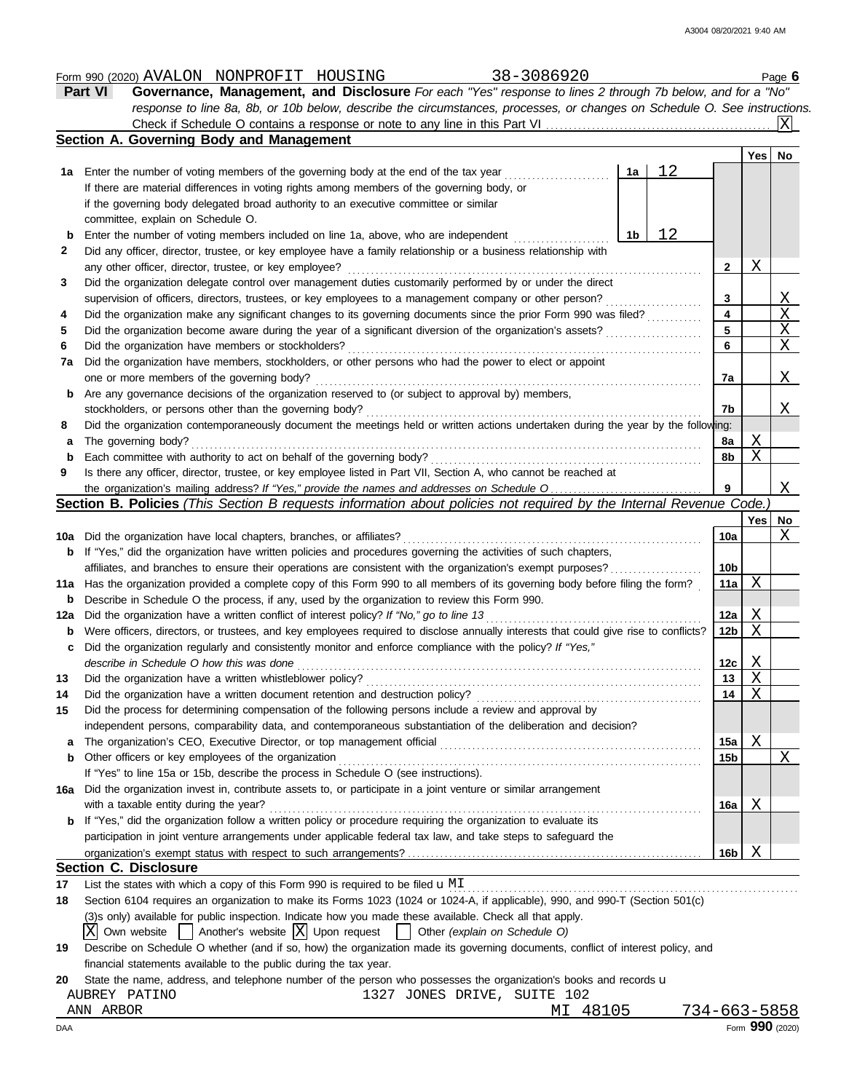|          | Part VI<br>Governance, Management, and Disclosure For each "Yes" response to lines 2 through 7b below, and for a "No"                                                                    |                 |                  |                         |
|----------|------------------------------------------------------------------------------------------------------------------------------------------------------------------------------------------|-----------------|------------------|-------------------------|
|          | response to line 8a, 8b, or 10b below, describe the circumstances, processes, or changes on Schedule O. See instructions.                                                                |                 |                  |                         |
|          | Section A. Governing Body and Management                                                                                                                                                 |                 |                  |                         |
|          |                                                                                                                                                                                          |                 | Yes   No         |                         |
|          | 12<br>1a<br><b>1a</b> Enter the number of voting members of the governing body at the end of the tax year                                                                                |                 |                  |                         |
|          | If there are material differences in voting rights among members of the governing body, or                                                                                               |                 |                  |                         |
|          | if the governing body delegated broad authority to an executive committee or similar                                                                                                     |                 |                  |                         |
|          | committee, explain on Schedule O.                                                                                                                                                        |                 |                  |                         |
| b        | 12<br>Enter the number of voting members included on line 1a, above, who are independent<br>1b                                                                                           |                 |                  |                         |
| 2        | Did any officer, director, trustee, or key employee have a family relationship or a business relationship with                                                                           |                 |                  |                         |
|          | any other officer, director, trustee, or key employee?                                                                                                                                   | 2               | Χ                |                         |
| 3        | Did the organization delegate control over management duties customarily performed by or under the direct                                                                                |                 |                  |                         |
|          | supervision of officers, directors, trustees, or key employees to a management company or other person?                                                                                  | 3               |                  | $\overline{\chi}$       |
| 4        | Did the organization make any significant changes to its governing documents since the prior Form 990 was filed?                                                                         | 4               |                  | $\overline{\mathbf{X}}$ |
| 5        | Did the organization become aware during the year of a significant diversion of the organization's assets?                                                                               | 5               |                  | $\overline{\mathbf{X}}$ |
| 6        | Did the organization have members or stockholders?                                                                                                                                       | 6               |                  | $\mathbf X$             |
| 7a       | Did the organization have members, stockholders, or other persons who had the power to elect or appoint                                                                                  |                 |                  |                         |
|          | one or more members of the governing body?                                                                                                                                               | 7a              |                  | Χ                       |
| b        | Are any governance decisions of the organization reserved to (or subject to approval by) members,                                                                                        |                 |                  |                         |
|          | stockholders, or persons other than the governing body?                                                                                                                                  | 7b              |                  | Χ                       |
| 8        | Did the organization contemporaneously document the meetings held or written actions undertaken during the year by the following:                                                        |                 |                  |                         |
| a        | The governing body?                                                                                                                                                                      | 8a              | Χ                |                         |
| b        | Each committee with authority to act on behalf of the governing body?                                                                                                                    | 8b              | X                |                         |
| 9        | Is there any officer, director, trustee, or key employee listed in Part VII, Section A, who cannot be reached at                                                                         |                 |                  |                         |
|          | the organization's mailing address? If "Yes," provide the names and addresses on Schedule O                                                                                              | 9               |                  | Χ                       |
|          | Section B. Policies (This Section B requests information about policies not required by the Internal Revenue Code.)                                                                      |                 |                  |                         |
|          |                                                                                                                                                                                          |                 | Yes              | No                      |
|          | <b>10a</b> Did the organization have local chapters, branches, or affiliates?                                                                                                            | 10a             |                  | X                       |
| b        | If "Yes," did the organization have written policies and procedures governing the activities of such chapters,                                                                           |                 |                  |                         |
|          | affiliates, and branches to ensure their operations are consistent with the organization's exempt purposes?                                                                              | 10 <sub>b</sub> |                  |                         |
|          | 11a Has the organization provided a complete copy of this Form 990 to all members of its governing body before filing the form?                                                          | 11a             | X                |                         |
| b        | Describe in Schedule O the process, if any, used by the organization to review this Form 990.                                                                                            |                 |                  |                         |
| 12a      | Did the organization have a written conflict of interest policy? If "No," go to line 13                                                                                                  | 12a             | Χ                |                         |
| b        | Were officers, directors, or trustees, and key employees required to disclose annually interests that could give rise to conflicts?                                                      | 12 <sub>b</sub> | X                |                         |
| c        | Did the organization regularly and consistently monitor and enforce compliance with the policy? If "Yes,"                                                                                |                 |                  |                         |
|          | describe in Schedule O how this was done                                                                                                                                                 | 12c<br>13       | Χ<br>$\mathbf X$ |                         |
| 13       | Did the organization have a written whistleblower policy?                                                                                                                                |                 | X                |                         |
| 14<br>15 | Did the organization have a written document retention and destruction policy?<br>Did the process for determining compensation of the following persons include a review and approval by | 14              |                  |                         |
|          | independent persons, comparability data, and contemporaneous substantiation of the deliberation and decision?                                                                            |                 |                  |                         |
| a        | The organization's CEO, Executive Director, or top management official                                                                                                                   | 15a             | Χ                |                         |
| b        | Other officers or key employees of the organization                                                                                                                                      | 15 <sub>b</sub> |                  | X                       |
|          | If "Yes" to line 15a or 15b, describe the process in Schedule O (see instructions).                                                                                                      |                 |                  |                         |
| 16a      | Did the organization invest in, contribute assets to, or participate in a joint venture or similar arrangement                                                                           |                 |                  |                         |
|          | with a taxable entity during the year?                                                                                                                                                   | 16a             | Χ                |                         |
|          | If "Yes," did the organization follow a written policy or procedure requiring the organization to evaluate its                                                                           |                 |                  |                         |
|          | participation in joint venture arrangements under applicable federal tax law, and take steps to safeguard the                                                                            |                 |                  |                         |
|          |                                                                                                                                                                                          | 16b             | X                |                         |
|          | <b>Section C. Disclosure</b>                                                                                                                                                             |                 |                  |                         |
| 17       | List the states with which a copy of this Form 990 is required to be filed $\mathbf{u}$ MI                                                                                               |                 |                  |                         |
| 18       | Section 6104 requires an organization to make its Forms 1023 (1024 or 1024-A, if applicable), 990, and 990-T (Section 501(c)                                                             |                 |                  |                         |
|          | (3)s only) available for public inspection. Indicate how you made these available. Check all that apply.                                                                                 |                 |                  |                         |
|          | $X$ Own website     Another's website $X$ Upon request    <br>Other (explain on Schedule O)                                                                                              |                 |                  |                         |
| 19       | Describe on Schedule O whether (and if so, how) the organization made its governing documents, conflict of interest policy, and                                                          |                 |                  |                         |
|          | financial statements available to the public during the tax year.                                                                                                                        |                 |                  |                         |
| 20       | State the name, address, and telephone number of the person who possesses the organization's books and records u                                                                         |                 |                  |                         |
|          | 1327 JONES DRIVE, SUITE 102<br>AUBREY PATINO                                                                                                                                             |                 |                  |                         |

Form 990 (2020) Page **6** AVALON NONPROFIT HOUSING 38-3086920

ANN ARBOR MI 48105 734-663-5858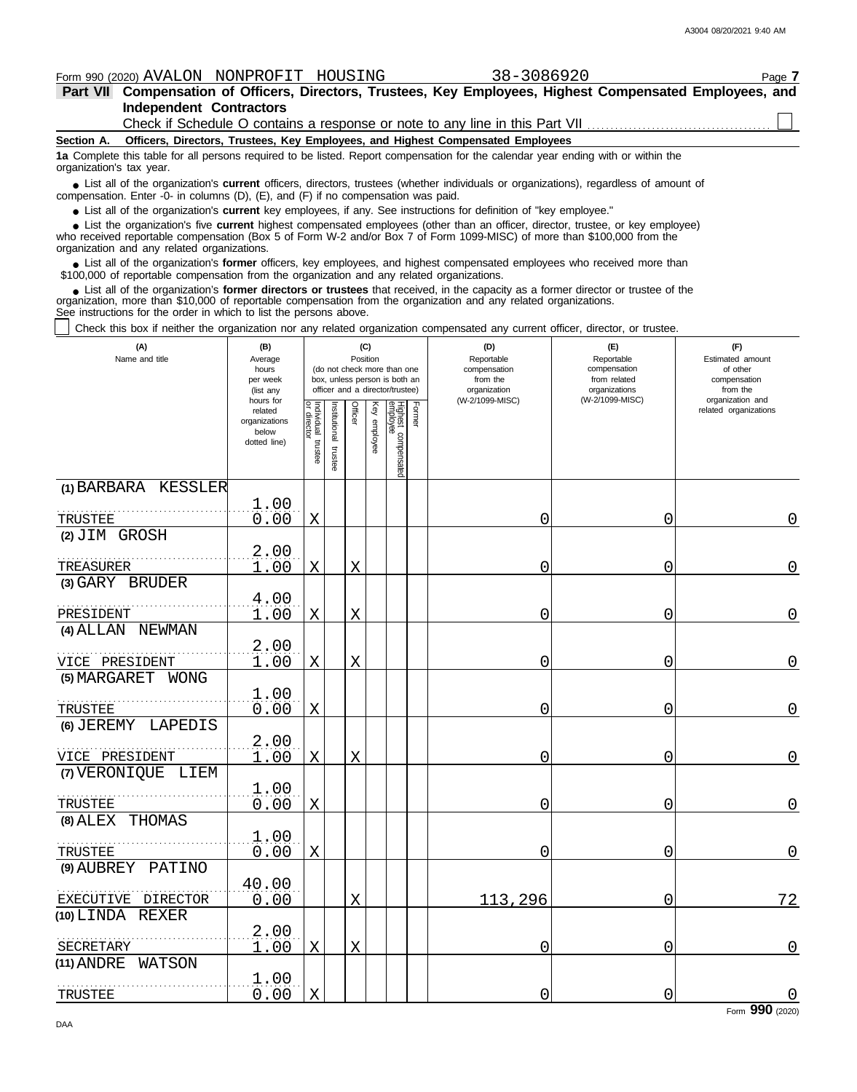A3004 08/20/2021 9:40 AM

|                         | Form 990 (2020) AVALON NONPROFIT HOUSING |                                                                                                           | 38-3086920 |  | Page 7 |
|-------------------------|------------------------------------------|-----------------------------------------------------------------------------------------------------------|------------|--|--------|
|                         |                                          | Part VII Compensation of Officers, Directors, Trustees, Key Employees, Highest Compensated Employees, and |            |  |        |
| Independent Contractors |                                          |                                                                                                           |            |  |        |
|                         |                                          | Check if Schedule O contains a response or note to any line in this Part VII                              |            |  |        |

**Section A. Officers, Directors, Trustees, Key Employees, and Highest Compensated Employees**

**1a** Complete this table for all persons required to be listed. Report compensation for the calendar year ending with or within the organization's tax year.

■ List all of the organization's **current** officers, directors, trustees (whether individuals or organizations), regardless of amount of the organization Enter -0- in columns (D), (E), and (E) if no compensation was paid compensation. Enter -0- in columns (D), (E), and (F) if no compensation was paid.

● List all of the organization's **current** key employees, if any. See instructions for definition of "key employee."

who received reportable compensation (Box 5 of Form W-2 and/or Box 7 of Form 1099-MISC) of more than \$100,000 from the organization and any related organizations. ■ List the organization's five **current** highest compensated employees (other than an officer, director, trustee, or key employee)<br>
a received reportable compensation (Box 5 of Form W-2 and/or Box 7 of Form 1099-MISC) of

■ List all of the organization's **former** officers, key employees, and highest compensated employees who received more than<br>00,000 of reportable compensation from the organization and any related organizations \$100,000 of reportable compensation from the organization and any related organizations.

■ List all of the organization's **former directors or trustees** that received, in the capacity as a former director or trustee of the<br>enization, more than \$10,000 of reportable compensation from the organization and any r organization, more than \$10,000 of reportable compensation from the organization and any related organizations. See instructions for the order in which to list the persons above.

| Check this box if neither the organization nor any related organization compensated any current officer, director, or trustee. |                                                                                           |                                   |              |                            |              |                                                                                                 |        |                                                                                  |                                                                                       |                                                                                                              |
|--------------------------------------------------------------------------------------------------------------------------------|-------------------------------------------------------------------------------------------|-----------------------------------|--------------|----------------------------|--------------|-------------------------------------------------------------------------------------------------|--------|----------------------------------------------------------------------------------|---------------------------------------------------------------------------------------|--------------------------------------------------------------------------------------------------------------|
| (A)<br>Name and title                                                                                                          | (B)<br>Average<br>hours<br>per week<br>(list any<br>hours for<br>related<br>organizations |                                   | nstitutional | (C)<br>Position<br>Officer |              | (do not check more than one<br>box, unless person is both an<br>officer and a director/trustee) | Former | (D)<br>Reportable<br>compensation<br>from the<br>organization<br>(W-2/1099-MISC) | (E)<br>Reportable<br>compensation<br>from related<br>organizations<br>(W-2/1099-MISC) | (F)<br>Estimated amount<br>of other<br>compensation<br>from the<br>organization and<br>related organizations |
|                                                                                                                                | below<br>dotted line)                                                                     | Individual trustee<br>or director | trustee      |                            | Key employee | Highest compensated<br>employee                                                                 |        |                                                                                  |                                                                                       |                                                                                                              |
| (1) BARBARA KESSLER                                                                                                            |                                                                                           |                                   |              |                            |              |                                                                                                 |        |                                                                                  |                                                                                       |                                                                                                              |
| TRUSTEE                                                                                                                        | 1.00<br>0.00                                                                              | $\mathbf X$                       |              |                            |              |                                                                                                 |        | 0                                                                                | 0                                                                                     | 0                                                                                                            |
| (2) JIM GROSH                                                                                                                  |                                                                                           |                                   |              |                            |              |                                                                                                 |        |                                                                                  |                                                                                       |                                                                                                              |
| TREASURER                                                                                                                      | 2.00<br>1.00                                                                              | X                                 |              | X                          |              |                                                                                                 |        | Ω                                                                                | 0                                                                                     | $\mathbf 0$                                                                                                  |
| (3) GARY BRUDER                                                                                                                |                                                                                           |                                   |              |                            |              |                                                                                                 |        |                                                                                  |                                                                                       |                                                                                                              |
| PRESIDENT                                                                                                                      | 4.00<br>1.00                                                                              | $\mathbf X$                       |              | X                          |              |                                                                                                 |        | 0                                                                                | 0                                                                                     | $\mathbf 0$                                                                                                  |
| (4) ALLAN NEWMAN                                                                                                               |                                                                                           |                                   |              |                            |              |                                                                                                 |        |                                                                                  |                                                                                       |                                                                                                              |
| VICE PRESIDENT                                                                                                                 | 2.00<br>1.00                                                                              | $\mathbf X$                       |              | X                          |              |                                                                                                 |        | 0                                                                                | 0                                                                                     | 0                                                                                                            |
| (5) MARGARET<br>WONG                                                                                                           |                                                                                           |                                   |              |                            |              |                                                                                                 |        |                                                                                  |                                                                                       |                                                                                                              |
| TRUSTEE                                                                                                                        | 1.00<br>0.00                                                                              | X                                 |              |                            |              |                                                                                                 |        | 0                                                                                | 0                                                                                     | 0                                                                                                            |
| (6) JEREMY LAPEDIS                                                                                                             |                                                                                           |                                   |              |                            |              |                                                                                                 |        |                                                                                  |                                                                                       |                                                                                                              |
| VICE PRESIDENT                                                                                                                 | 2.00<br>1.00                                                                              | $\mathbf X$                       |              | X                          |              |                                                                                                 |        | 0                                                                                | 0                                                                                     | $\mathbf 0$                                                                                                  |
| (7) VERONIQUE LIEM                                                                                                             |                                                                                           |                                   |              |                            |              |                                                                                                 |        |                                                                                  |                                                                                       |                                                                                                              |
| TRUSTEE                                                                                                                        | $\frac{1.00}{0.00}$                                                                       | X                                 |              |                            |              |                                                                                                 |        | ი                                                                                | 0                                                                                     | $\mathbf 0$                                                                                                  |
| (8) ALEX THOMAS                                                                                                                |                                                                                           |                                   |              |                            |              |                                                                                                 |        |                                                                                  |                                                                                       |                                                                                                              |
| TRUSTEE                                                                                                                        | 1.00<br>0.00                                                                              | X                                 |              |                            |              |                                                                                                 |        | 0                                                                                | $\overline{0}$                                                                        | $\mathbf 0$                                                                                                  |
| $(9)$ AUBREY<br>PATINO                                                                                                         |                                                                                           |                                   |              |                            |              |                                                                                                 |        |                                                                                  |                                                                                       |                                                                                                              |
| EXECUTIVE DIRECTOR                                                                                                             | 40.00<br>0.00                                                                             |                                   |              | X                          |              |                                                                                                 |        | 113,296                                                                          | 0                                                                                     | 72                                                                                                           |
| (10) LINDA REXER                                                                                                               |                                                                                           |                                   |              |                            |              |                                                                                                 |        |                                                                                  |                                                                                       |                                                                                                              |
| SECRETARY                                                                                                                      | 2.00<br>1.00                                                                              | X                                 |              | X                          |              |                                                                                                 |        | 0                                                                                | 0                                                                                     | $\overline{0}$                                                                                               |
| (11) ANDRE<br>WATSON                                                                                                           |                                                                                           |                                   |              |                            |              |                                                                                                 |        |                                                                                  |                                                                                       |                                                                                                              |
| TRUSTEE                                                                                                                        | 1.00<br>0.00                                                                              | $\mathbf X$                       |              |                            |              |                                                                                                 |        | 0                                                                                | 0                                                                                     | 0                                                                                                            |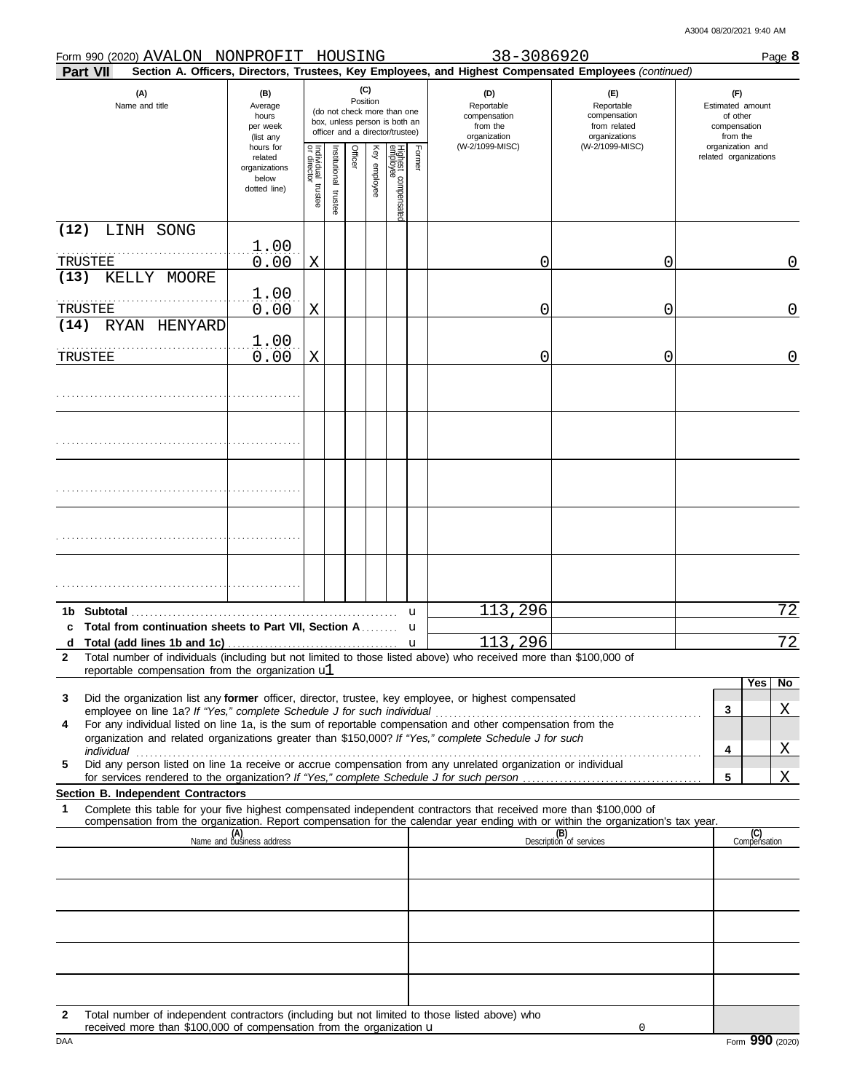|              | Form 990 (2020) AVALON NONPROFIT HOUSING                                                                                                                                                                                                                                                                                                        |                                                                |                                      |                          |         |              |                                                                                                 |        | 38-3086920                                                                                             |                                                                    |                                                                 |                     | Page 8         |
|--------------|-------------------------------------------------------------------------------------------------------------------------------------------------------------------------------------------------------------------------------------------------------------------------------------------------------------------------------------------------|----------------------------------------------------------------|--------------------------------------|--------------------------|---------|--------------|-------------------------------------------------------------------------------------------------|--------|--------------------------------------------------------------------------------------------------------|--------------------------------------------------------------------|-----------------------------------------------------------------|---------------------|----------------|
|              | <b>Part VII</b>                                                                                                                                                                                                                                                                                                                                 |                                                                |                                      |                          |         |              |                                                                                                 |        | Section A. Officers, Directors, Trustees, Key Employees, and Highest Compensated Employees (continued) |                                                                    |                                                                 |                     |                |
|              | (A)<br>Name and title                                                                                                                                                                                                                                                                                                                           | (B)<br>Average<br>hours<br>per week<br>(list any               |                                      |                          | (C)     | Position     | (do not check more than one<br>box, unless person is both an<br>officer and a director/trustee) |        | (D)<br>Reportable<br>compensation<br>from the<br>organization<br>(W-2/1099-MISC)                       | (F)<br>Reportable<br>compensation<br>from related<br>organizations | (F)<br>Estimated amount<br>of other<br>compensation<br>from the |                     |                |
|              |                                                                                                                                                                                                                                                                                                                                                 | hours for<br>related<br>organizations<br>below<br>dotted line) | Individual<br>or director<br>trustee | Institutional<br>trustee | Officer | Key employee | Highest compensatec<br>employee                                                                 | Former |                                                                                                        | (W-2/1099-MISC)                                                    | organization and<br>related organizations                       |                     |                |
| (12)         | LINH SONG                                                                                                                                                                                                                                                                                                                                       |                                                                |                                      |                          |         |              |                                                                                                 |        |                                                                                                        |                                                                    |                                                                 |                     |                |
|              | TRUSTEE                                                                                                                                                                                                                                                                                                                                         | 1.00<br>0.00                                                   | Χ                                    |                          |         |              |                                                                                                 |        | 0                                                                                                      | 0                                                                  |                                                                 |                     | 0              |
| (13)         | KELLY MOORE<br>TRUSTEE                                                                                                                                                                                                                                                                                                                          | 1.00<br>0.00                                                   | Χ                                    |                          |         |              |                                                                                                 |        | 0                                                                                                      | 0                                                                  |                                                                 |                     | 0              |
| (14)         | RYAN HENYARD                                                                                                                                                                                                                                                                                                                                    |                                                                |                                      |                          |         |              |                                                                                                 |        |                                                                                                        |                                                                    |                                                                 |                     |                |
|              | TRUSTEE                                                                                                                                                                                                                                                                                                                                         | 1.00<br>0.00                                                   | X                                    |                          |         |              |                                                                                                 |        | 0                                                                                                      | 0                                                                  |                                                                 |                     | 0              |
|              |                                                                                                                                                                                                                                                                                                                                                 |                                                                |                                      |                          |         |              |                                                                                                 |        |                                                                                                        |                                                                    |                                                                 |                     |                |
|              |                                                                                                                                                                                                                                                                                                                                                 |                                                                |                                      |                          |         |              |                                                                                                 |        |                                                                                                        |                                                                    |                                                                 |                     |                |
|              |                                                                                                                                                                                                                                                                                                                                                 |                                                                |                                      |                          |         |              |                                                                                                 |        |                                                                                                        |                                                                    |                                                                 |                     |                |
|              |                                                                                                                                                                                                                                                                                                                                                 |                                                                |                                      |                          |         |              |                                                                                                 |        |                                                                                                        |                                                                    |                                                                 |                     |                |
|              |                                                                                                                                                                                                                                                                                                                                                 |                                                                |                                      |                          |         |              |                                                                                                 |        |                                                                                                        |                                                                    |                                                                 |                     |                |
|              | 1b Subtotal                                                                                                                                                                                                                                                                                                                                     |                                                                |                                      |                          |         |              |                                                                                                 | u      | 113,296                                                                                                |                                                                    |                                                                 |                     | 72             |
| d            | Total from continuation sheets to Part VII, Section A                                                                                                                                                                                                                                                                                           |                                                                |                                      |                          |         |              |                                                                                                 | u<br>u | 113,296                                                                                                |                                                                    |                                                                 |                     | 72             |
| $\mathbf{2}$ | Total number of individuals (including but not limited to those listed above) who received more than \$100,000 of                                                                                                                                                                                                                               |                                                                |                                      |                          |         |              |                                                                                                 |        |                                                                                                        |                                                                    |                                                                 |                     |                |
|              | reportable compensation from the organization ul                                                                                                                                                                                                                                                                                                |                                                                |                                      |                          |         |              |                                                                                                 |        |                                                                                                        |                                                                    |                                                                 | Yes                 | N <sub>o</sub> |
| 3            | Did the organization list any former officer, director, trustee, key employee, or highest compensated                                                                                                                                                                                                                                           |                                                                |                                      |                          |         |              |                                                                                                 |        |                                                                                                        |                                                                    |                                                                 |                     |                |
| 4            | employee on line 1a? If "Yes," complete Schedule J for such individual<br>For any individual listed on line 1a, is the sum of reportable compensation and other compensation from the                                                                                                                                                           |                                                                |                                      |                          |         |              |                                                                                                 |        |                                                                                                        |                                                                    | 3                                                               |                     | X.             |
|              | organization and related organizations greater than \$150,000? If "Yes," complete Schedule J for such                                                                                                                                                                                                                                           |                                                                |                                      |                          |         |              |                                                                                                 |        |                                                                                                        |                                                                    | 4                                                               |                     |                |
| 5            | individual communications and contact the contract of the contract of the contract of the contract of the contract of the contract of the contract of the contract of the contract of the contract of the contract of the cont<br>Did any person listed on line 1a receive or accrue compensation from any unrelated organization or individual |                                                                |                                      |                          |         |              |                                                                                                 |        |                                                                                                        |                                                                    |                                                                 |                     | $X_{-}$        |
|              |                                                                                                                                                                                                                                                                                                                                                 |                                                                |                                      |                          |         |              |                                                                                                 |        |                                                                                                        |                                                                    | 5                                                               |                     | Χ              |
| 1            | Section B. Independent Contractors<br>Complete this table for your five highest compensated independent contractors that received more than \$100,000 of                                                                                                                                                                                        |                                                                |                                      |                          |         |              |                                                                                                 |        |                                                                                                        |                                                                    |                                                                 |                     |                |
|              | compensation from the organization. Report compensation for the calendar year ending with or within the organization's tax year.                                                                                                                                                                                                                |                                                                |                                      |                          |         |              |                                                                                                 |        |                                                                                                        |                                                                    |                                                                 |                     |                |
|              |                                                                                                                                                                                                                                                                                                                                                 | (A)<br>Name and business address                               |                                      |                          |         |              |                                                                                                 |        |                                                                                                        | (B)<br>Description of services                                     |                                                                 | (C)<br>Compensation |                |
|              |                                                                                                                                                                                                                                                                                                                                                 |                                                                |                                      |                          |         |              |                                                                                                 |        |                                                                                                        |                                                                    |                                                                 |                     |                |
|              |                                                                                                                                                                                                                                                                                                                                                 |                                                                |                                      |                          |         |              |                                                                                                 |        |                                                                                                        |                                                                    |                                                                 |                     |                |
|              |                                                                                                                                                                                                                                                                                                                                                 |                                                                |                                      |                          |         |              |                                                                                                 |        |                                                                                                        |                                                                    |                                                                 |                     |                |
|              |                                                                                                                                                                                                                                                                                                                                                 |                                                                |                                      |                          |         |              |                                                                                                 |        |                                                                                                        |                                                                    |                                                                 |                     |                |
|              |                                                                                                                                                                                                                                                                                                                                                 |                                                                |                                      |                          |         |              |                                                                                                 |        |                                                                                                        |                                                                    |                                                                 |                     |                |
|              |                                                                                                                                                                                                                                                                                                                                                 |                                                                |                                      |                          |         |              |                                                                                                 |        |                                                                                                        |                                                                    |                                                                 |                     |                |
|              |                                                                                                                                                                                                                                                                                                                                                 |                                                                |                                      |                          |         |              |                                                                                                 |        |                                                                                                        |                                                                    |                                                                 |                     |                |

**2** Total number of independent contractors (including but not limited to those listed above) who received more than \$100,000 of compensation from the organization u

0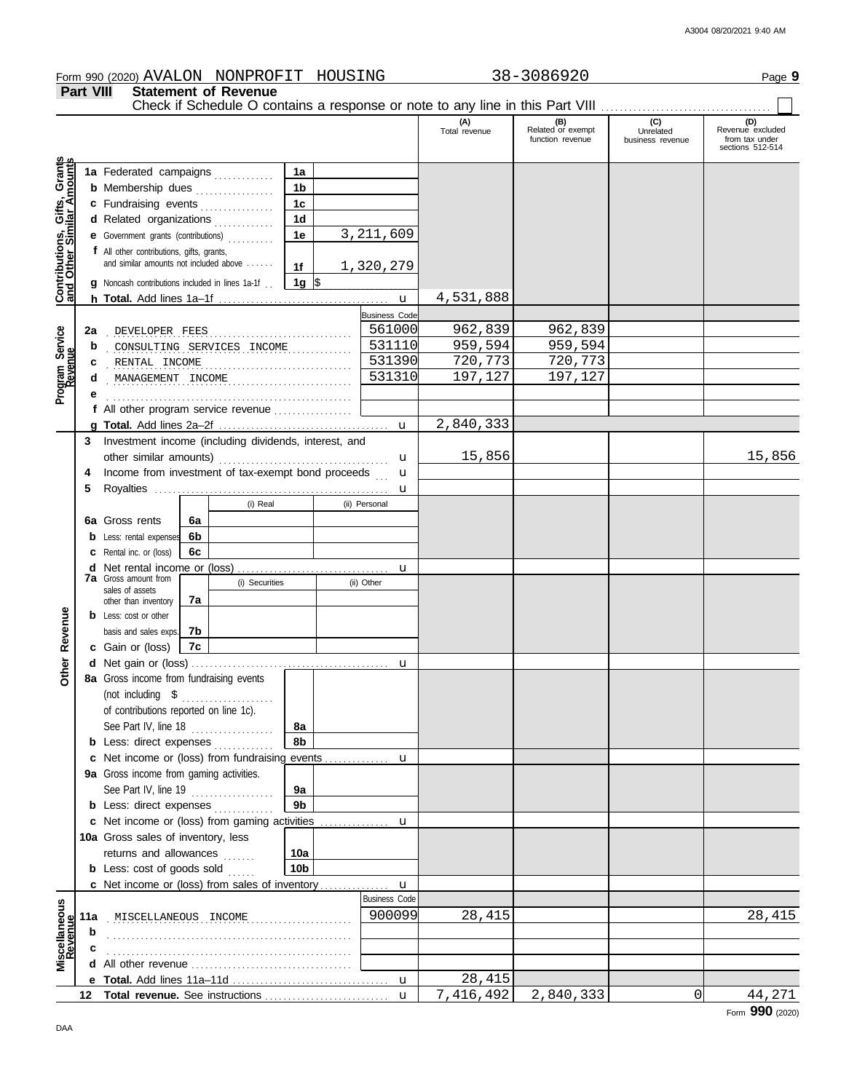Form 990 (2020) Page **9** AVALON NONPROFIT HOUSING 38-3086920 **Part VIII Statement of Revenue** Check if Schedule O contains a response or note to any line in this Part VIII. **(B) (C) (D) Related** or exempt **Unrelated Revenue excluded** (A) (B)<br>Total revenue Related or exemptunction revenue sections 512-514 business revenue Gifts, Grants<br>illar Amounts **Contributions, Gifts, Grants and Other Similar Amounts 1a 1a** Federated campaigns . . . . . . . . . . . **1b b** Membership dues . . . . . . . . . . . . . . . **1c c** Fundraising events . . . . . . . . . . . . . **1d d** Related organizations . . . . . . . . . . . Contributions,<br>and Other Sim 3,211,609 **1e e** Government grants (contributions) . . . . . . . . . . **f** All other contributions, gifts, grants, and similar amounts not included above . . . . . . **1f** 1,320,279 **1g g** Noncash contributions included in lines 1a-1f . .  $\frac{1}{2}$ 4,531,888 u **h Total.** Add lines 1a–1f . . . . . . . . . . . . . . . . . . . . . . . . . . . . . . . . . . . . . Business Code Program Service<br>Revenue **Program Service** . . . . . . . . . . . . . . . . . . . . . . . . . . . . . . . . . . . . . . . . . . . . . . . . . . . . . **2a** DEVELOPER FEES 561000 962,839 962,839 **b** consulting services income 531110 959,594 959,594 **c** . . . . . . . . . . . . . . . . . . . . . . . . . . . . . . . . . . . . . . . . . . . . . . . . . . . . . RENTAL INCOME 531390 720,773 720,773 . . . . . . . . . . . . . . . . . . . . . . . . . . . . . . . . . . . . . . . . . . . . . . . . . . . . . MANAGEMENT INCOME 531310 197,127 197,127 **d e f** All other program service revenue . . . . . . . . . . . . . . . . . 2,840,333 **g Total.** Add lines 2a–2f . . . . . . . . . . . . . . . . . . . . . . . . . . . . . . . . . . . . . u **3** Investment income (including dividends, interest, and 15,856 15,856 u other similar amounts) . . . . . . . . . . . . . . . . . . . . . . . . . . . . . . . . . . . . . u **4** Income from investment of tax-exempt bond proceeds . . . **5** Royalties . . . . . . . . . . . . . . . . . . . . . . . . . . . . . . . . . . . . . . . . . . . . . . . . . . . u (i) Real (ii) Personal **6a 6a** Gross rents **6b b** Less: rental expenses **6c c** Rental inc. or (loss) **d** Net rental income or (loss) . . . . . . . . . . . . . . . . . . . . . . . . . . . . . . . . . u **7a** Gross amount from (i) Securities (ii) Other sales of assets **7a** other than inventory Revenue **Other Revenue b** Less: cost or other **7b** basis and sales exps. **7c c** Gain or (loss) Other **d** u Net gain or (loss) . . . . . . . . . . . . . . . . . . . . . . . . . . . . . . . . . . . . . . . . . . . **8a** Gross income from fundraising events (not including \$ ..................... of contributions reported on line 1c). See Part IV, line 18 . . . . . . . . . . . . . . . . . . **8a 8b b** Less: direct expenses . . . . . . . . . . . . **c** Net income or (loss) from fundraising events . . . . . . . . . . . . . . u **9a** Gross income from gaming activities. See Part IV, line 19 . . . . . . . . . . . . . . . . . . **9a 9b b** Less: direct expenses ............. Net income or (loss) from gaming activities . . . . . . . . . . . . . . . **c** u 10a Gross sales of inventory, less returns and allowances ....... **10a 10b b** Less:  $\cosh$  of goods  $\sinh$ Net income or (loss) from sales of inventory . . . . . . . . . . . . . . . **c** u Business Code **Revenue Miscellaneous 11a** . . . . . . . . . . . . . . . . . . . . . . . . . . . . . . . . . . . . . . . . . . . . . . . . . . . . . MISCELLANEOUS INCOME 900099 28,415 28,415 **b** . . . . . . . . . . . . . . . . . . . . . . . . . . . . . . . . . . . . . . . . . . . . . . . . . . . . . **c** . . . . . . . . . . . . . . . . . . . . . . . . . . . . . . . . . . . . . . . . . . . . . . . . . . . . . **d** All other revenue . . . . . . . . . . . . . . . . . . . . . . . . . . . . . . . . . . . 28,415 u **e Total.** Add lines 11a–11d . . . . . . . . . . . . . . . . . . . . . . . . . . . . . . . . . . 7,416,492 2,840,333 0 44,271 u **Total revenue.** See instructions . . . . . . . . . . . . . . . . . . . . . . . . . . . **12**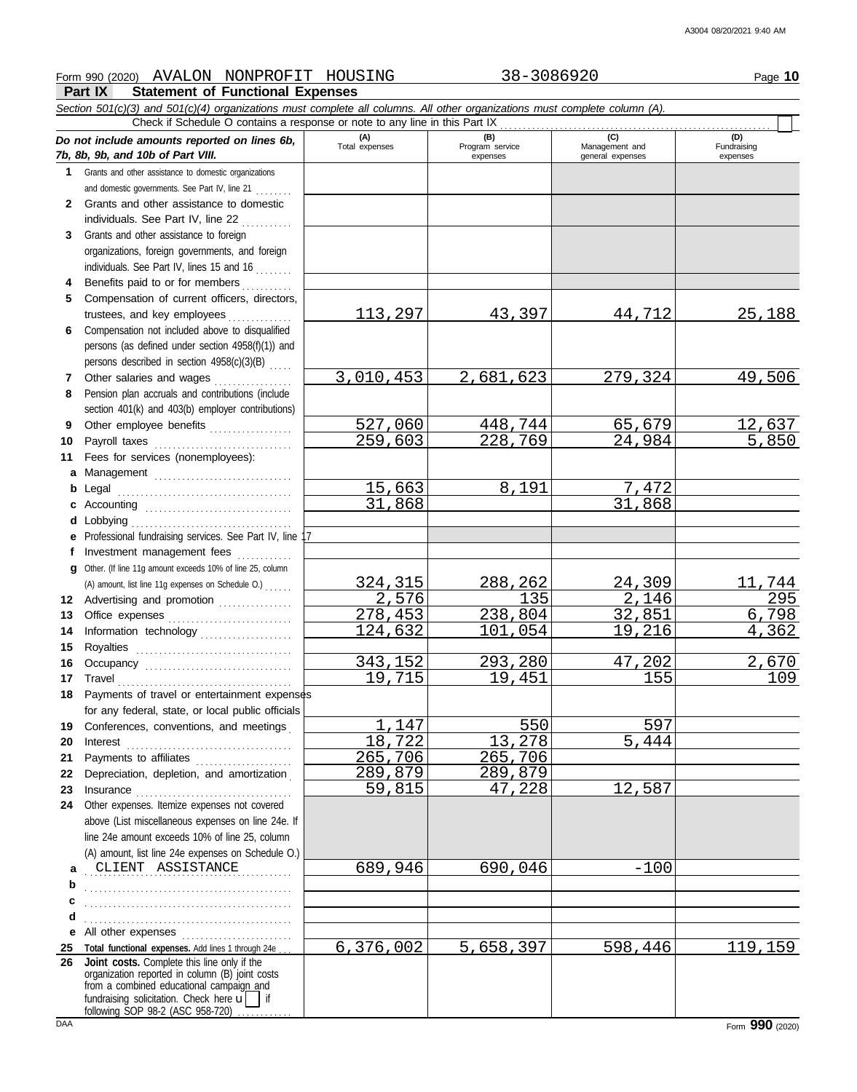## Form 990 (2020) Page **10** AVALON NONPROFIT HOUSING 38-3086920

## **Part IX Statement of Functional Expenses**

|              | Section 501(c)(3) and 501(c)(4) organizations must complete all columns. All other organizations must complete column (A).<br>Check if Schedule O contains a response or note to any line in this Part IX                            |                       |                             |                                    |                         |
|--------------|--------------------------------------------------------------------------------------------------------------------------------------------------------------------------------------------------------------------------------------|-----------------------|-----------------------------|------------------------------------|-------------------------|
|              | Do not include amounts reported on lines 6b,                                                                                                                                                                                         |                       | (B)                         | (C)                                | (D)                     |
|              | 7b, 8b, 9b, and 10b of Part VIII.                                                                                                                                                                                                    | (A)<br>Total expenses | Program service<br>expenses | Management and<br>general expenses | Fundraising<br>expenses |
| 1.           | Grants and other assistance to domestic organizations                                                                                                                                                                                |                       |                             |                                    |                         |
|              | and domestic governments. See Part IV, line 21                                                                                                                                                                                       |                       |                             |                                    |                         |
| $\mathbf{2}$ | Grants and other assistance to domestic                                                                                                                                                                                              |                       |                             |                                    |                         |
|              | individuals. See Part IV, line 22                                                                                                                                                                                                    |                       |                             |                                    |                         |
| 3            | Grants and other assistance to foreign                                                                                                                                                                                               |                       |                             |                                    |                         |
|              | organizations, foreign governments, and foreign                                                                                                                                                                                      |                       |                             |                                    |                         |
|              | individuals. See Part IV, lines 15 and 16                                                                                                                                                                                            |                       |                             |                                    |                         |
| 4            | Benefits paid to or for members                                                                                                                                                                                                      |                       |                             |                                    |                         |
| 5            | Compensation of current officers, directors,                                                                                                                                                                                         |                       |                             |                                    |                         |
|              | trustees, and key employees                                                                                                                                                                                                          | 113,297               | 43,397                      | 44,712                             | 25,188                  |
| 6            | Compensation not included above to disqualified                                                                                                                                                                                      |                       |                             |                                    |                         |
|              | persons (as defined under section 4958(f)(1)) and                                                                                                                                                                                    |                       |                             |                                    |                         |
|              | persons described in section 4958(c)(3)(B)                                                                                                                                                                                           |                       |                             |                                    |                         |
| 7            | Other salaries and wages                                                                                                                                                                                                             | 3,010,453             | 2,681,623                   | 279,324                            | 49,506                  |
| 8            | Pension plan accruals and contributions (include                                                                                                                                                                                     |                       |                             |                                    |                         |
|              | section 401(k) and 403(b) employer contributions)                                                                                                                                                                                    |                       |                             |                                    |                         |
| 9            | Other employee benefits                                                                                                                                                                                                              | 527,060               | 448,744                     | 65,679                             | 12,637                  |
| 10           |                                                                                                                                                                                                                                      | 259,603               | 228,769                     | 24,984                             | 5,850                   |
| 11           | Fees for services (nonemployees):                                                                                                                                                                                                    |                       |                             |                                    |                         |
| a            |                                                                                                                                                                                                                                      |                       |                             |                                    |                         |
| b            | Legal                                                                                                                                                                                                                                | 15,663                | 8,191                       | 7,472<br>31,868                    |                         |
| c            |                                                                                                                                                                                                                                      | 31,868                |                             |                                    |                         |
| d            | Lobbying<br>Professional fundraising services. See Part IV, line 17                                                                                                                                                                  |                       |                             |                                    |                         |
| e<br>f       | Investment management fees                                                                                                                                                                                                           |                       |                             |                                    |                         |
| a            | Other. (If line 11g amount exceeds 10% of line 25, column                                                                                                                                                                            |                       |                             |                                    |                         |
|              | (A) amount, list line 11g expenses on Schedule O.)                                                                                                                                                                                   | 324,315               | 288,262                     | 24,309                             | 11,744                  |
| 12           | Advertising and promotion [1] [1] Advertising and promotion                                                                                                                                                                          | 2,576                 | 135                         | 2,146                              | 295                     |
| 13           |                                                                                                                                                                                                                                      | 278,453               | 238,804                     | 32,851                             | 6,798                   |
| 14           | Information technology                                                                                                                                                                                                               | 124,632               | 101,054                     | 19,216                             | 4,362                   |
| 15           |                                                                                                                                                                                                                                      |                       |                             |                                    |                         |
| 16           |                                                                                                                                                                                                                                      | 343,152               | 293,280                     | 47,202                             | 2,670                   |
| 17           | Travel                                                                                                                                                                                                                               | 19,715                | 19,451                      | 155                                | 109                     |
| 18           | Payments of travel or entertainment expenses                                                                                                                                                                                         |                       |                             |                                    |                         |
|              | for any federal, state, or local public officials                                                                                                                                                                                    |                       |                             |                                    |                         |
| 19           | Conferences, conventions, and meetings                                                                                                                                                                                               | 1,147                 | 550                         | 597                                |                         |
| 20           | Interest                                                                                                                                                                                                                             | 18,722                | 13,278                      | 5,444                              |                         |
| 21           | Payments to affiliates                                                                                                                                                                                                               | 265,706               | 265,706                     |                                    |                         |
| 22           | Depreciation, depletion, and amortization                                                                                                                                                                                            | 289,879               | 289,879                     |                                    |                         |
| 23           | Insurance <i>manual continuum continuum continuum continuum continuum continuum continuum continuum continuum continuum continuum continuum continuum continuum continuum continuum continuum continuum continuum continuum cont</i> | 59,815                | 47,228                      | 12,587                             |                         |
| 24           | Other expenses. Itemize expenses not covered                                                                                                                                                                                         |                       |                             |                                    |                         |
|              | above (List miscellaneous expenses on line 24e. If                                                                                                                                                                                   |                       |                             |                                    |                         |
|              | line 24e amount exceeds 10% of line 25, column                                                                                                                                                                                       |                       |                             |                                    |                         |
|              | (A) amount, list line 24e expenses on Schedule O.)                                                                                                                                                                                   |                       |                             |                                    |                         |
| a            | CLIENT ASSISTANCE                                                                                                                                                                                                                    | 689,946               | 690,046                     | $-100$                             |                         |
| b            |                                                                                                                                                                                                                                      |                       |                             |                                    |                         |
| c            |                                                                                                                                                                                                                                      |                       |                             |                                    |                         |
| d            |                                                                                                                                                                                                                                      |                       |                             |                                    |                         |
| е            | All other expenses<br>Total functional expenses. Add lines 1 through 24e.                                                                                                                                                            | 6,376,002             | 5,658,397                   | 598,446                            | 119,159                 |
| 25<br>26     | Joint costs. Complete this line only if the                                                                                                                                                                                          |                       |                             |                                    |                         |
|              | organization reported in column (B) joint costs                                                                                                                                                                                      |                       |                             |                                    |                         |
|              | from a combined educational campaign and<br>fundraising solicitation. Check here $\mathbf{u}$   if                                                                                                                                   |                       |                             |                                    |                         |
|              | following SOP 98-2 (ASC 958-720)                                                                                                                                                                                                     |                       |                             |                                    |                         |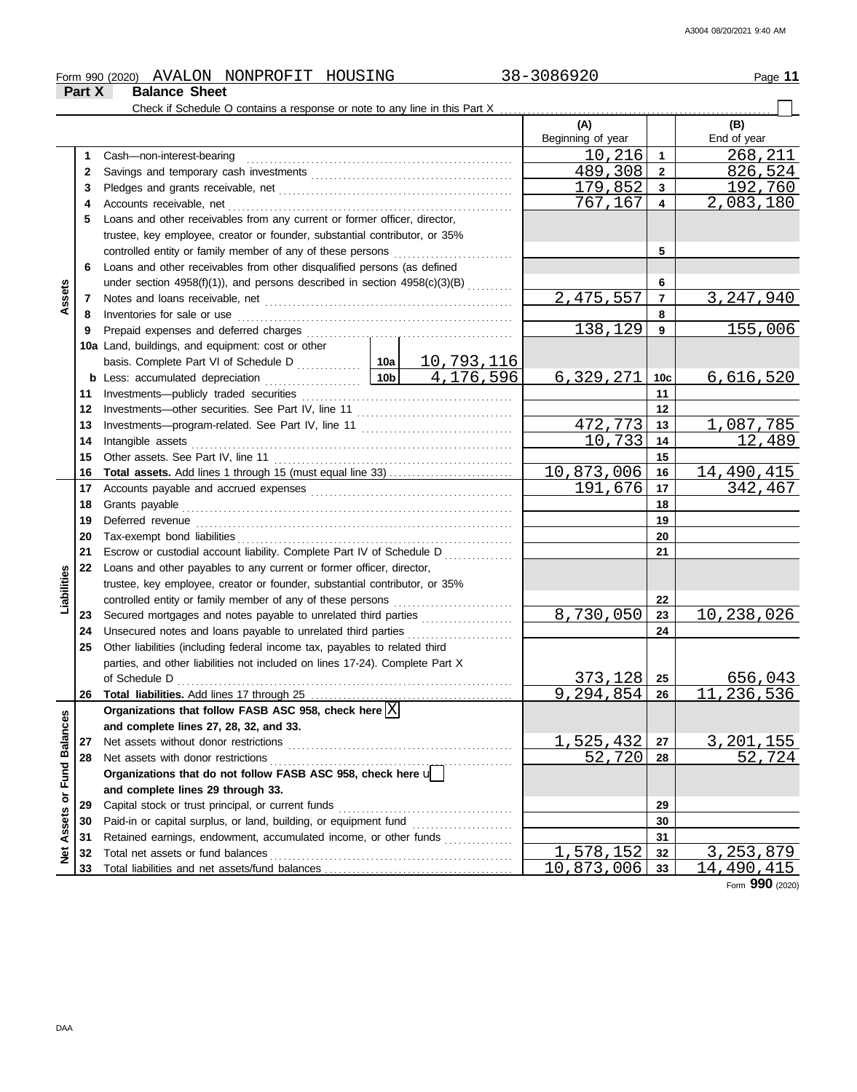|                         |        | Form 990 (2020) AVALON NONPROFIT HOUSING                                                                                                 |  | 38-3086920               |                         | Page 11            |
|-------------------------|--------|------------------------------------------------------------------------------------------------------------------------------------------|--|--------------------------|-------------------------|--------------------|
|                         | Part X | <b>Balance Sheet</b>                                                                                                                     |  |                          |                         |                    |
|                         |        |                                                                                                                                          |  |                          |                         |                    |
|                         |        |                                                                                                                                          |  | (A)<br>Beginning of year |                         | (B)<br>End of year |
|                         |        |                                                                                                                                          |  | 10,216                   | $\mathbf{1}$            | 268,211            |
|                         | 1      | Cash-non-interest-bearing                                                                                                                |  | 489,308                  | $\mathbf{2}$            | 826,524            |
|                         | 2<br>3 |                                                                                                                                          |  | 179,852                  | $\mathbf{3}$            | 192,760            |
|                         |        |                                                                                                                                          |  | 767,167                  | $\overline{\mathbf{4}}$ | 2,083,180          |
|                         | 4<br>5 | Loans and other receivables from any current or former officer, director,                                                                |  |                          |                         |                    |
|                         |        |                                                                                                                                          |  |                          |                         |                    |
|                         |        | trustee, key employee, creator or founder, substantial contributor, or 35%<br>controlled entity or family member of any of these persons |  |                          | 5                       |                    |
|                         | 6      | Loans and other receivables from other disqualified persons (as defined                                                                  |  |                          |                         |                    |
|                         |        | under section $4958(f)(1)$ ), and persons described in section $4958(c)(3)(B)$ <sub>.</sub>                                              |  |                          | 6                       |                    |
| Assets                  | 7      |                                                                                                                                          |  | 2, 475, 557              | $\overline{7}$          | 3, 247, 940        |
|                         | 8      |                                                                                                                                          |  |                          | 8                       |                    |
|                         | 9      |                                                                                                                                          |  | 138,129                  | 9                       | 155,006            |
|                         |        | 10a Land, buildings, and equipment: cost or other                                                                                        |  |                          |                         |                    |
|                         |        |                                                                                                                                          |  |                          |                         |                    |
|                         |        | <b>b</b> Less: accumulated depreciation $\ldots$ $\boxed{10b}$ $\boxed{4,176,596}$                                                       |  | 6,329,271                | 10c                     | <u>6,616,520</u>   |
|                         | 11     |                                                                                                                                          |  |                          | 11                      |                    |
|                         | 12     |                                                                                                                                          |  |                          | 12                      |                    |
|                         | 13     |                                                                                                                                          |  | 472,773                  | 13                      | 1,087,785          |
|                         | 14     |                                                                                                                                          |  | 10,733                   | 14                      | 12,489             |
|                         | 15     |                                                                                                                                          |  | 15                       |                         |                    |
|                         | 16     |                                                                                                                                          |  | 10,873,006               | 16                      | 14,490,415         |
|                         | 17     |                                                                                                                                          |  | 191,676                  | 17                      | 342,467            |
|                         | 18     |                                                                                                                                          |  |                          | 18                      |                    |
|                         | 19     |                                                                                                                                          |  |                          | 19                      |                    |
|                         | 20     |                                                                                                                                          |  |                          | 20                      |                    |
|                         | 21     | Escrow or custodial account liability. Complete Part IV of Schedule D                                                                    |  |                          | 21                      |                    |
|                         | 22     | Loans and other payables to any current or former officer, director,                                                                     |  |                          |                         |                    |
|                         |        | trustee, key employee, creator or founder, substantial contributor, or 35%                                                               |  |                          |                         |                    |
| Liabilities             |        | controlled entity or family member of any of these persons                                                                               |  |                          | 22                      |                    |
|                         | 23     | Secured mortgages and notes payable to unrelated third parties                                                                           |  | 8,730,050                | 23                      | 10,238,026         |
|                         | 24     | Unsecured notes and loans payable to unrelated third parties                                                                             |  |                          | 24                      |                    |
|                         | 25     | Other liabilities (including federal income tax, payables to related third                                                               |  |                          |                         |                    |
|                         |        | parties, and other liabilities not included on lines 17-24). Complete Part X                                                             |  |                          |                         |                    |
|                         |        | of Schedule D                                                                                                                            |  | 373,128                  | 25                      | 656,043            |
|                         | 26     |                                                                                                                                          |  | 9, 294, 854              | 26                      | 11,236,536         |
|                         |        | Organizations that follow FASB ASC 958, check here $\boxed{\text{X}}$                                                                    |  |                          |                         |                    |
|                         |        | and complete lines 27, 28, 32, and 33.                                                                                                   |  |                          |                         |                    |
|                         | 27     |                                                                                                                                          |  | 1,525,432                | 27                      | 3, 201, 155        |
|                         | 28     | Net assets with donor restrictions                                                                                                       |  | 52,720                   | 28                      | 52,724             |
|                         |        | Organizations that do not follow FASB ASC 958, check here u                                                                              |  |                          |                         |                    |
| Assets or Fund Balances |        | and complete lines 29 through 33.                                                                                                        |  |                          |                         |                    |
|                         | 29     |                                                                                                                                          |  |                          | 29                      |                    |
|                         | 30     |                                                                                                                                          |  |                          | 30                      |                    |
|                         | 31     | Retained earnings, endowment, accumulated income, or other funds                                                                         |  |                          | 31                      |                    |
| <b>Net</b>              | 32     | Total net assets or fund balances                                                                                                        |  | 1,578,152                | 32                      | 3, 253, 879        |
|                         | 33     |                                                                                                                                          |  | 10,873,006               | 33                      | 14,490,415         |

Form **990** (2020)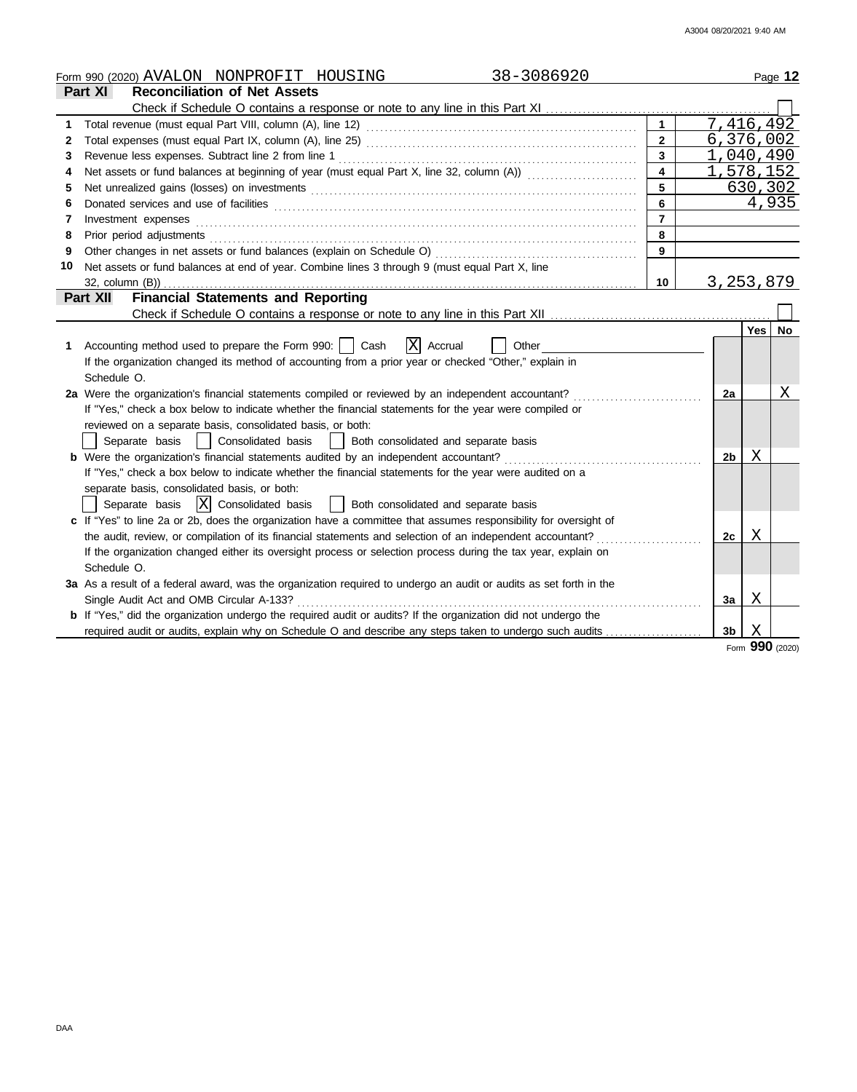|    | 38-3086920<br>Form 990 (2020) AVALON NONPROFIT HOUSING                                                                                                                                                                         |                |                  |         | Page 12 |
|----|--------------------------------------------------------------------------------------------------------------------------------------------------------------------------------------------------------------------------------|----------------|------------------|---------|---------|
|    | <b>Reconciliation of Net Assets</b><br><b>Part XI</b>                                                                                                                                                                          |                |                  |         |         |
|    |                                                                                                                                                                                                                                |                |                  |         |         |
| 1  |                                                                                                                                                                                                                                |                | 7,416,492        |         |         |
| 2  |                                                                                                                                                                                                                                | $\overline{2}$ | 6,376,002        |         |         |
| 3  | Revenue less expenses. Subtract line 2 from line 1                                                                                                                                                                             | $\mathbf{3}$   | 1,040,490        |         |         |
| 4  | Net assets or fund balances at beginning of year (must equal Part X, line 32, column (A))                                                                                                                                      | $\overline{4}$ | <u>1,578,152</u> |         |         |
| 5  | Net unrealized gains (losses) on investments [11] match and the contract of the state of the state of the state of the state of the state of the state of the state of the state of the state of the state of the state of the | 5              |                  | 630,302 |         |
| 6  |                                                                                                                                                                                                                                | 6              |                  | 4,935   |         |
| 7  | Investment expenses                                                                                                                                                                                                            | $\overline{7}$ |                  |         |         |
| 8  | Prior period adjustments [11, 12] and the contract of the contract of the contract of the contract of the contract of the contract of the contract of the contract of the contract of the contract of the contract of the cont | 8              |                  |         |         |
| 9  | Other changes in net assets or fund balances (explain on Schedule O)                                                                                                                                                           | 9              |                  |         |         |
| 10 | Net assets or fund balances at end of year. Combine lines 3 through 9 (must equal Part X, line                                                                                                                                 |                |                  |         |         |
|    | $32$ , column $(B)$ )                                                                                                                                                                                                          | 10             | 3, 253, 879      |         |         |
|    | <b>Financial Statements and Reporting</b><br><b>Part XII</b>                                                                                                                                                                   |                |                  |         |         |
|    |                                                                                                                                                                                                                                |                |                  |         |         |
|    |                                                                                                                                                                                                                                |                |                  | Yes     | No      |
| 1  | Accounting method used to prepare the Form 990:     Cash<br>X Accrual<br>Other                                                                                                                                                 |                |                  |         |         |
|    | If the organization changed its method of accounting from a prior year or checked "Other," explain in                                                                                                                          |                |                  |         |         |
|    | Schedule O.                                                                                                                                                                                                                    |                |                  |         |         |
|    | 2a Were the organization's financial statements compiled or reviewed by an independent accountant?                                                                                                                             |                | 2a               |         | Χ       |
|    | If "Yes," check a box below to indicate whether the financial statements for the year were compiled or                                                                                                                         |                |                  |         |         |
|    | reviewed on a separate basis, consolidated basis, or both:                                                                                                                                                                     |                |                  |         |         |
|    | Separate basis   Consolidated basis   Both consolidated and separate basis                                                                                                                                                     |                |                  |         |         |
|    | <b>b</b> Were the organization's financial statements audited by an independent accountant?                                                                                                                                    |                | 2b               | Χ       |         |
|    | If "Yes," check a box below to indicate whether the financial statements for the year were audited on a                                                                                                                        |                |                  |         |         |
|    | separate basis, consolidated basis, or both:                                                                                                                                                                                   |                |                  |         |         |
|    | Separate basis $ X $ Consolidated basis<br>  Both consolidated and separate basis                                                                                                                                              |                |                  |         |         |
|    | c If "Yes" to line 2a or 2b, does the organization have a committee that assumes responsibility for oversight of                                                                                                               |                |                  |         |         |
|    | the audit, review, or compilation of its financial statements and selection of an independent accountant?                                                                                                                      |                | 2с               | Χ       |         |
|    | If the organization changed either its oversight process or selection process during the tax year, explain on                                                                                                                  |                |                  |         |         |
|    | Schedule O.                                                                                                                                                                                                                    |                |                  |         |         |
|    | 3a As a result of a federal award, was the organization required to undergo an audit or audits as set forth in the                                                                                                             |                |                  |         |         |
|    | Single Audit Act and OMB Circular A-133?                                                                                                                                                                                       |                | За               | Χ       |         |
|    | <b>b</b> If "Yes," did the organization undergo the required audit or audits? If the organization did not undergo the                                                                                                          |                |                  |         |         |
|    | required audit or audits, explain why on Schedule O and describe any steps taken to undergo such audits                                                                                                                        |                | 3 <sub>b</sub>   | X       |         |

Form **990** (2020)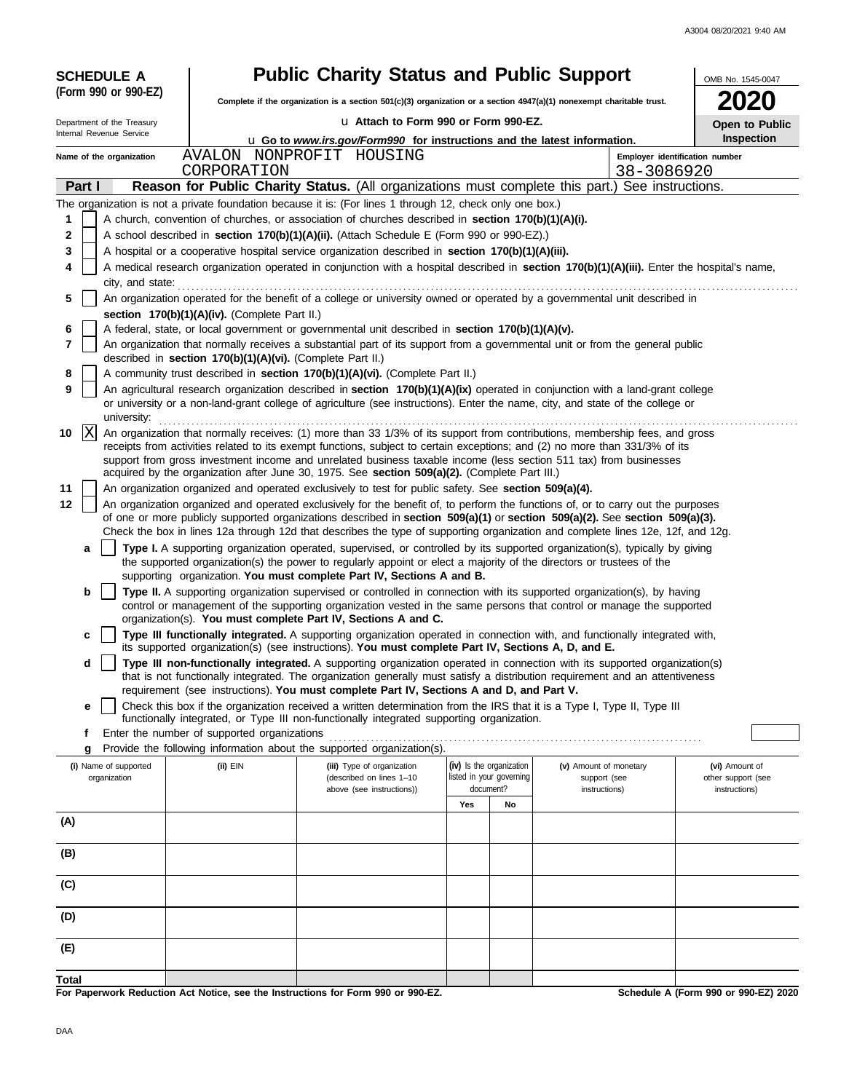| <b>SCHEDULE A</b>                                                   |                                                            | <b>Public Charity Status and Public Support</b>                                                                      |                                                      |    |                                                                                                                                                                                                                                                                 | OMB No. 1545-0047                    |
|---------------------------------------------------------------------|------------------------------------------------------------|----------------------------------------------------------------------------------------------------------------------|------------------------------------------------------|----|-----------------------------------------------------------------------------------------------------------------------------------------------------------------------------------------------------------------------------------------------------------------|--------------------------------------|
| (Form 990 or 990-EZ)                                                |                                                            | Complete if the organization is a section 501(c)(3) organization or a section 4947(a)(1) nonexempt charitable trust. |                                                      |    |                                                                                                                                                                                                                                                                 | 2020                                 |
| La Attach to Form 990 or Form 990-EZ.<br>Department of the Treasury |                                                            |                                                                                                                      |                                                      |    | <b>Open to Public</b>                                                                                                                                                                                                                                           |                                      |
| Internal Revenue Service                                            |                                                            | <b>u</b> Go to <i>www.irs.gov/Form990</i> for instructions and the latest information.                               |                                                      |    |                                                                                                                                                                                                                                                                 | Inspection                           |
| Name of the organization                                            |                                                            | AVALON NONPROFIT HOUSING                                                                                             |                                                      |    |                                                                                                                                                                                                                                                                 | Employer identification number       |
| Part I                                                              | CORPORATION                                                |                                                                                                                      |                                                      |    | 38-3086920<br>Reason for Public Charity Status. (All organizations must complete this part.) See instructions.                                                                                                                                                  |                                      |
|                                                                     |                                                            | The organization is not a private foundation because it is: (For lines 1 through 12, check only one box.)            |                                                      |    |                                                                                                                                                                                                                                                                 |                                      |
| 1                                                                   |                                                            | A church, convention of churches, or association of churches described in section 170(b)(1)(A)(i).                   |                                                      |    |                                                                                                                                                                                                                                                                 |                                      |
| 2                                                                   |                                                            | A school described in section 170(b)(1)(A)(ii). (Attach Schedule E (Form 990 or 990-EZ).)                            |                                                      |    |                                                                                                                                                                                                                                                                 |                                      |
| 3                                                                   |                                                            | A hospital or a cooperative hospital service organization described in section 170(b)(1)(A)(iii).                    |                                                      |    |                                                                                                                                                                                                                                                                 |                                      |
| 4<br>city, and state:                                               |                                                            |                                                                                                                      |                                                      |    | A medical research organization operated in conjunction with a hospital described in section 170(b)(1)(A)(iii). Enter the hospital's name,                                                                                                                      |                                      |
| 5                                                                   |                                                            |                                                                                                                      |                                                      |    | An organization operated for the benefit of a college or university owned or operated by a governmental unit described in                                                                                                                                       |                                      |
|                                                                     | section 170(b)(1)(A)(iv). (Complete Part II.)              |                                                                                                                      |                                                      |    |                                                                                                                                                                                                                                                                 |                                      |
| 6<br>7                                                              |                                                            | A federal, state, or local government or governmental unit described in section 170(b)(1)(A)(v).                     |                                                      |    | An organization that normally receives a substantial part of its support from a governmental unit or from the general public                                                                                                                                    |                                      |
|                                                                     | described in section 170(b)(1)(A)(vi). (Complete Part II.) |                                                                                                                      |                                                      |    |                                                                                                                                                                                                                                                                 |                                      |
| 8                                                                   |                                                            | A community trust described in section 170(b)(1)(A)(vi). (Complete Part II.)                                         |                                                      |    |                                                                                                                                                                                                                                                                 |                                      |
| 9<br>university:                                                    |                                                            |                                                                                                                      |                                                      |    | An agricultural research organization described in section 170(b)(1)(A)(ix) operated in conjunction with a land-grant college<br>or university or a non-land-grant college of agriculture (see instructions). Enter the name, city, and state of the college or |                                      |
| $\vert$ X $\vert$<br>10                                             |                                                            |                                                                                                                      |                                                      |    | An organization that normally receives: (1) more than 33 1/3% of its support from contributions, membership fees, and gross                                                                                                                                     |                                      |
|                                                                     |                                                            |                                                                                                                      |                                                      |    | receipts from activities related to its exempt functions, subject to certain exceptions; and (2) no more than 331/3% of its<br>support from gross investment income and unrelated business taxable income (less section 511 tax) from businesses                |                                      |
|                                                                     |                                                            | acquired by the organization after June 30, 1975. See section 509(a)(2). (Complete Part III.)                        |                                                      |    |                                                                                                                                                                                                                                                                 |                                      |
| 11                                                                  |                                                            | An organization organized and operated exclusively to test for public safety. See section 509(a)(4).                 |                                                      |    |                                                                                                                                                                                                                                                                 |                                      |
| 12                                                                  |                                                            |                                                                                                                      |                                                      |    | An organization organized and operated exclusively for the benefit of, to perform the functions of, or to carry out the purposes<br>of one or more publicly supported organizations described in section 509(a)(1) or section 509(a)(2). See section 509(a)(3). |                                      |
|                                                                     |                                                            |                                                                                                                      |                                                      |    | Check the box in lines 12a through 12d that describes the type of supporting organization and complete lines 12e, 12f, and 12g.                                                                                                                                 |                                      |
| a                                                                   |                                                            |                                                                                                                      |                                                      |    | Type I. A supporting organization operated, supervised, or controlled by its supported organization(s), typically by giving                                                                                                                                     |                                      |
|                                                                     |                                                            | the supported organization(s) the power to regularly appoint or elect a majority of the directors or trustees of the |                                                      |    |                                                                                                                                                                                                                                                                 |                                      |
| b                                                                   |                                                            | supporting organization. You must complete Part IV, Sections A and B.                                                |                                                      |    | Type II. A supporting organization supervised or controlled in connection with its supported organization(s), by having                                                                                                                                         |                                      |
|                                                                     |                                                            |                                                                                                                      |                                                      |    | control or management of the supporting organization vested in the same persons that control or manage the supported                                                                                                                                            |                                      |
|                                                                     |                                                            | organization(s). You must complete Part IV, Sections A and C.                                                        |                                                      |    |                                                                                                                                                                                                                                                                 |                                      |
| c                                                                   |                                                            | its supported organization(s) (see instructions). You must complete Part IV, Sections A, D, and E.                   |                                                      |    | Type III functionally integrated. A supporting organization operated in connection with, and functionally integrated with,                                                                                                                                      |                                      |
| d                                                                   |                                                            |                                                                                                                      |                                                      |    | Type III non-functionally integrated. A supporting organization operated in connection with its supported organization(s)<br>that is not functionally integrated. The organization generally must satisfy a distribution requirement and an attentiveness       |                                      |
|                                                                     |                                                            | requirement (see instructions). You must complete Part IV, Sections A and D, and Part V.                             |                                                      |    |                                                                                                                                                                                                                                                                 |                                      |
| е                                                                   |                                                            |                                                                                                                      |                                                      |    | Check this box if the organization received a written determination from the IRS that it is a Type I, Type II, Type III                                                                                                                                         |                                      |
| f                                                                   | Enter the number of supported organizations                | functionally integrated, or Type III non-functionally integrated supporting organization.                            |                                                      |    |                                                                                                                                                                                                                                                                 |                                      |
| g                                                                   |                                                            | Provide the following information about the supported organization(s).                                               |                                                      |    |                                                                                                                                                                                                                                                                 |                                      |
| (i) Name of supported<br>organization                               | (ii) EIN                                                   | (iii) Type of organization<br>(described on lines 1-10                                                               | (iv) Is the organization<br>listed in your governing |    | (v) Amount of monetary                                                                                                                                                                                                                                          | (vi) Amount of<br>other support (see |
|                                                                     |                                                            | above (see instructions))                                                                                            | document?                                            |    | support (see<br>instructions)                                                                                                                                                                                                                                   | instructions)                        |
|                                                                     |                                                            |                                                                                                                      | Yes                                                  | No |                                                                                                                                                                                                                                                                 |                                      |
| (A)                                                                 |                                                            |                                                                                                                      |                                                      |    |                                                                                                                                                                                                                                                                 |                                      |
| (B)                                                                 |                                                            |                                                                                                                      |                                                      |    |                                                                                                                                                                                                                                                                 |                                      |
|                                                                     |                                                            |                                                                                                                      |                                                      |    |                                                                                                                                                                                                                                                                 |                                      |
| (C)                                                                 |                                                            |                                                                                                                      |                                                      |    |                                                                                                                                                                                                                                                                 |                                      |
| (D)                                                                 |                                                            |                                                                                                                      |                                                      |    |                                                                                                                                                                                                                                                                 |                                      |
| (E)                                                                 |                                                            |                                                                                                                      |                                                      |    |                                                                                                                                                                                                                                                                 |                                      |
|                                                                     |                                                            |                                                                                                                      |                                                      |    |                                                                                                                                                                                                                                                                 |                                      |
| Total                                                               |                                                            |                                                                                                                      |                                                      |    |                                                                                                                                                                                                                                                                 |                                      |

**For Paperwork Reduction Act Notice, see the Instructions for Form 990 or 990-EZ.**

**Schedule A (Form 990 or 990-EZ) 2020**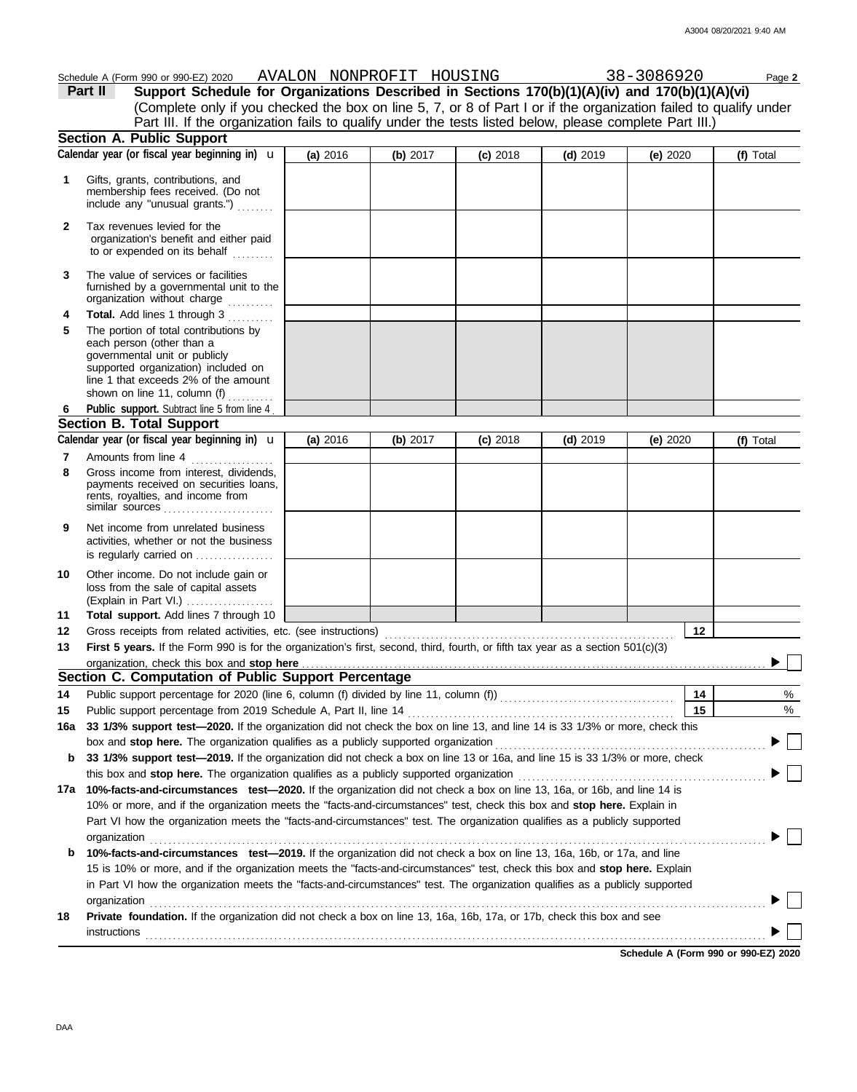|     | Schedule A (Form 990 or 990-EZ) 2020 AVALON NONPROFIT HOUSING<br>Support Schedule for Organizations Described in Sections 170(b)(1)(A)(iv) and 170(b)(1)(A)(vi)<br>Part II<br>(Complete only if you checked the box on line 5, 7, or 8 of Part I or if the organization failed to qualify under |          |          |            |            | 38-3086920 | Page 2    |
|-----|-------------------------------------------------------------------------------------------------------------------------------------------------------------------------------------------------------------------------------------------------------------------------------------------------|----------|----------|------------|------------|------------|-----------|
|     | Part III. If the organization fails to qualify under the tests listed below, please complete Part III.)                                                                                                                                                                                         |          |          |            |            |            |           |
|     | <b>Section A. Public Support</b>                                                                                                                                                                                                                                                                |          |          |            |            |            |           |
|     | Calendar year (or fiscal year beginning in) $\mathbf u$                                                                                                                                                                                                                                         | (a) 2016 | (b) 2017 | $(c)$ 2018 | $(d)$ 2019 | (e) $2020$ | (f) Total |
| 1   | Gifts, grants, contributions, and<br>membership fees received. (Do not<br>include any "unusual grants.")                                                                                                                                                                                        |          |          |            |            |            |           |
| 2   | Tax revenues levied for the<br>organization's benefit and either paid<br>to or expended on its behalf                                                                                                                                                                                           |          |          |            |            |            |           |
| 3   | The value of services or facilities<br>furnished by a governmental unit to the<br>organization without charge                                                                                                                                                                                   |          |          |            |            |            |           |
| 4   | Total. Add lines 1 through 3                                                                                                                                                                                                                                                                    |          |          |            |            |            |           |
| 5   | The portion of total contributions by<br>each person (other than a<br>governmental unit or publicly<br>supported organization) included on<br>line 1 that exceeds 2% of the amount<br>shown on line 11, column (f) $\ldots$                                                                     |          |          |            |            |            |           |
| 6   | Public support. Subtract line 5 from line 4.                                                                                                                                                                                                                                                    |          |          |            |            |            |           |
|     | <b>Section B. Total Support</b>                                                                                                                                                                                                                                                                 |          |          |            |            |            |           |
|     | Calendar year (or fiscal year beginning in) <b>u</b>                                                                                                                                                                                                                                            | (a) 2016 | (b) 2017 | $(c)$ 2018 | $(d)$ 2019 | (e) 2020   | (f) Total |
| 7   | Amounts from line 4                                                                                                                                                                                                                                                                             |          |          |            |            |            |           |
| 8   | Gross income from interest, dividends,<br>payments received on securities loans,<br>rents, royalties, and income from<br>similar sources $\ldots, \ldots, \ldots, \ldots, \ldots, \ldots$                                                                                                       |          |          |            |            |            |           |
| 9   | Net income from unrelated business<br>activities, whether or not the business<br>is regularly carried on                                                                                                                                                                                        |          |          |            |            |            |           |
| 10  | Other income. Do not include gain or<br>loss from the sale of capital assets<br>(Explain in Part VI.)                                                                                                                                                                                           |          |          |            |            |            |           |
| 11  | Total support. Add lines 7 through 10                                                                                                                                                                                                                                                           |          |          |            |            |            |           |
| 12  |                                                                                                                                                                                                                                                                                                 |          |          |            |            | 12         |           |
| 13  | First 5 years. If the Form 990 is for the organization's first, second, third, fourth, or fifth tax year as a section 501(c)(3)                                                                                                                                                                 |          |          |            |            |            |           |
|     | organization, check this box and stop here                                                                                                                                                                                                                                                      |          |          |            |            |            |           |
|     | Section C. Computation of Public Support Percentage                                                                                                                                                                                                                                             |          |          |            |            |            |           |
| 14  |                                                                                                                                                                                                                                                                                                 |          |          |            |            | 14         | %         |
| 15  | Public support percentage from 2019 Schedule A, Part II, line 14                                                                                                                                                                                                                                |          |          |            |            | 15         | %         |
| 16a | 33 1/3% support test-2020. If the organization did not check the box on line 13, and line 14 is 33 1/3% or more, check this                                                                                                                                                                     |          |          |            |            |            |           |
|     | box and stop here. The organization qualifies as a publicly supported organization<br>33 1/3% support test-2019. If the organization did not check a box on line 13 or 16a, and line 15 is 33 1/3% or more, check                                                                               |          |          |            |            |            |           |
| b   | this box and stop here. The organization qualifies as a publicly supported organization                                                                                                                                                                                                         |          |          |            |            |            |           |
| 17a | 10%-facts-and-circumstances test-2020. If the organization did not check a box on line 13, 16a, or 16b, and line 14 is                                                                                                                                                                          |          |          |            |            |            |           |
|     | 10% or more, and if the organization meets the "facts-and-circumstances" test, check this box and stop here. Explain in                                                                                                                                                                         |          |          |            |            |            |           |
|     | Part VI how the organization meets the "facts-and-circumstances" test. The organization qualifies as a publicly supported<br>organization                                                                                                                                                       |          |          |            |            |            |           |
| b   | 10%-facts-and-circumstances test-2019. If the organization did not check a box on line 13, 16a, 16b, or 17a, and line                                                                                                                                                                           |          |          |            |            |            |           |
|     | 15 is 10% or more, and if the organization meets the "facts-and-circumstances" test, check this box and stop here. Explain                                                                                                                                                                      |          |          |            |            |            |           |
|     | in Part VI how the organization meets the "facts-and-circumstances" test. The organization qualifies as a publicly supported                                                                                                                                                                    |          |          |            |            |            |           |
|     | organization                                                                                                                                                                                                                                                                                    |          |          |            |            |            |           |
| 18  | Private foundation. If the organization did not check a box on line 13, 16a, 16b, 17a, or 17b, check this box and see                                                                                                                                                                           |          |          |            |            |            |           |
|     | <b>instructions</b>                                                                                                                                                                                                                                                                             |          |          |            |            |            |           |

**Schedule A (Form 990 or 990-EZ) 2020**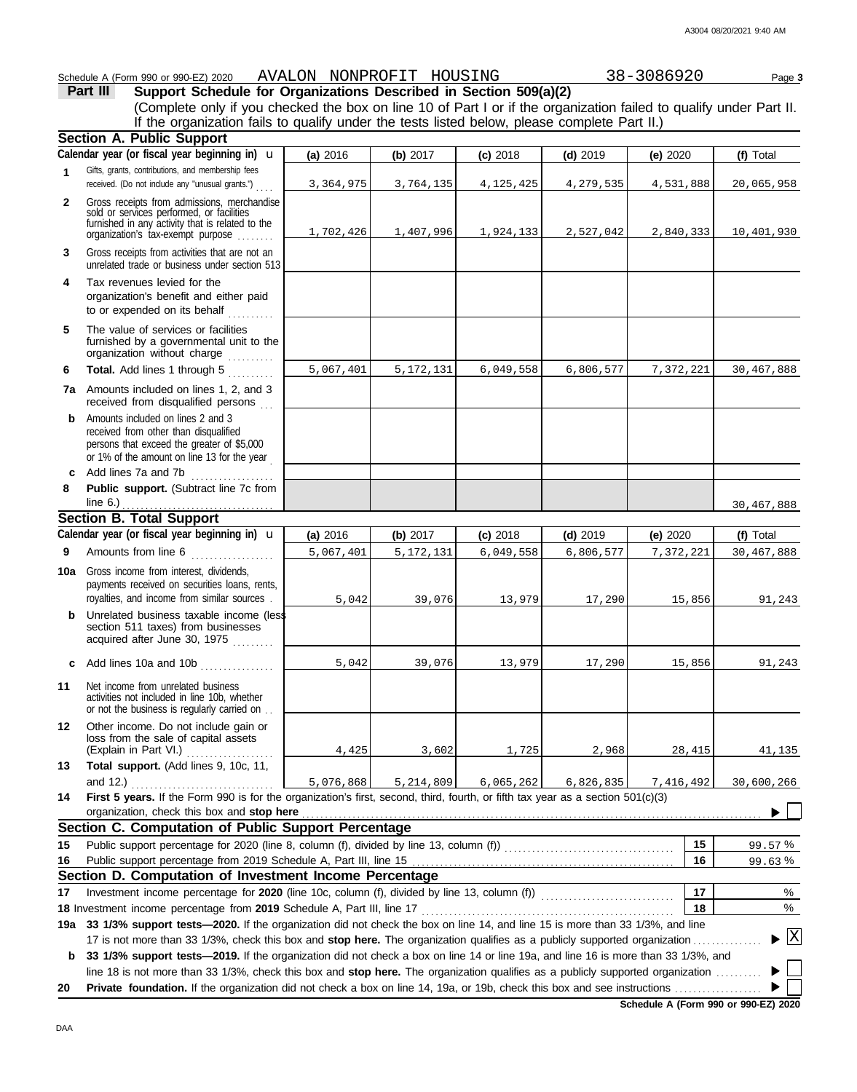#### Schedule A (Form 990 or 990-EZ) 2020 AVALON NONPROFIT HOUSING 38-3086920 Page 3 **Part III Support Schedule for Organizations Described in Section 509(a)(2)** (Complete only if you checked the box on line 10 of Part I or if the organization failed to qualify under Part II. If the organization fails to qualify under the tests listed below, please complete Part II.) **Section A. Public Support** Calendar year (or fiscal year beginning in) **u (a)** 2016 **(b)** 2017 **(c)** 2018 **(d)** 2019 **(e)** 2020 **(f)** Total Gifts, grants, contributions, and membership fees **1** 3,364,975 3,764,135 4,125,425 4,279,535 4,531,888 20,065,958 received. (Do not include any "unusual grants.") . . . . Gross receipts from admissions, merchandise **2** sold or services performed, or facilities furnished in any activity that is related to the 1,702,426 1,407,996 1,924,133 2,527,042 2,840,333 10,401,930 organization's tax-exempt purpose . . . . . . . . Gross receipts from activities that are not an **3** unrelated trade or business under section 513 **4** Tax revenues levied for the organization's benefit and either paid to or expended on its behalf  $\ldots \ldots$ **5** The value of services or facilities furnished by a governmental unit to the organization without charge **Total.** Add lines 1 through 5 .......... 5,067,401 5,172,131 6,049,558 6,806,577 7,372,221 30,467,888 **6 7a** Amounts included on lines 1, 2, and 3 received from disqualified persons **b** Amounts included on lines 2 and 3 received from other than disqualified persons that exceed the greater of \$5,000 or 1% of the amount on line 13 for the year **c** Add lines 7a and 7b **8 Public support.** (Subtract line 7c from  $line 6.)$ 30,467,888 **Section B. Total Support** Calendar year (or fiscal year beginning in) **u (a)** 2016 **(b)** 2017 **(c)** 2018 **(d)** 2019 **(e)** 2020 **(f)** Total Amounts from line 6 . . . . . . . . . . . . . . . . . . **9** 5,067,401 5,172,131 6,049,558 6,806,577 7,372,221 30,467,888 **10a** Gross income from interest, dividends, payments received on securities loans, rents, royalties, and income from similar sources . 5,042 39,076 13,979 17,290 15,856 91,243 **b** Unrelated business taxable income (less section 511 taxes) from businesses acquired after June 30, 1975 **c** Add lines 10a and 10b . . . . . . . 5,042 39,076 13,979 17,290 15,856 91,243 **11** Net income from unrelated business activities not included in line 10b, whether or not the business is regularly carried on . . **12** Other income. Do not include gain or loss from the sale of capital assets (Explain in Part VI.) ................... 4,425 3,602 1,725 2,968 28,415 41,135 **13 Total support.** (Add lines 9, 10c, 11, and 12.) . . . . . . . . . . . . . . . . . . . . . . . . . . . . . . . 5,076,868 5,214,809 6,065,262 6,826,835 7,416,492 30,600,266 **14 First 5 years.** If the Form 990 is for the organization's first, second, third, fourth, or fifth tax year as a section 501(c)(3) organization, check this box and stop here  $\blacktriangleright$ **Section C. Computation of Public Support Percentage 15 15** Public support percentage for 2020 (line 8, column (f), divided by line 13, column (f))  $\ldots$ % 99.57 Public support percentage from 2019 Schedule A, Part III, line 15 **16 16** <u>99.63%</u> **Section D. Computation of Investment Income Percentage 17** % **17** Investment income percentage for 2020 (line 10c, column (f), divided by line 13, column (f)) .................... **18** % **18** Investment income percentage from **2019** Schedule A, Part III, line 17 . . . . . . . . . . . . . . . . . . . . . . . . . . . . . . . . . . . . . . . . . . . . . . . . . . . . . . . **19a 33 1/3% support tests—2020.** If the organization did not check the box on line 14, and line 15 is more than 33 1/3%, and line

X 17 is not more than 33 1/3%, check this box and **stop here.** The organization qualifies as a publicly supported organization . . . . . . . . . . . . . . . **b 33 1/3% support tests—2019.** If the organization did not check a box on line 14 or line 19a, and line 16 is more than 33 1/3%, and line 18 is not more than 33 1/3%, check this box and **stop here.** The organization qualifies as a publicly supported organization . . . . . . . . . . Þ

**20 Private foundation.** If the organization did not check a box on line 14, 19a, or 19b, check this box and see instructions . . . . . . . . . . . . . . . . . . .

**Schedule A (Form 990 or 990-EZ) 2020**

▶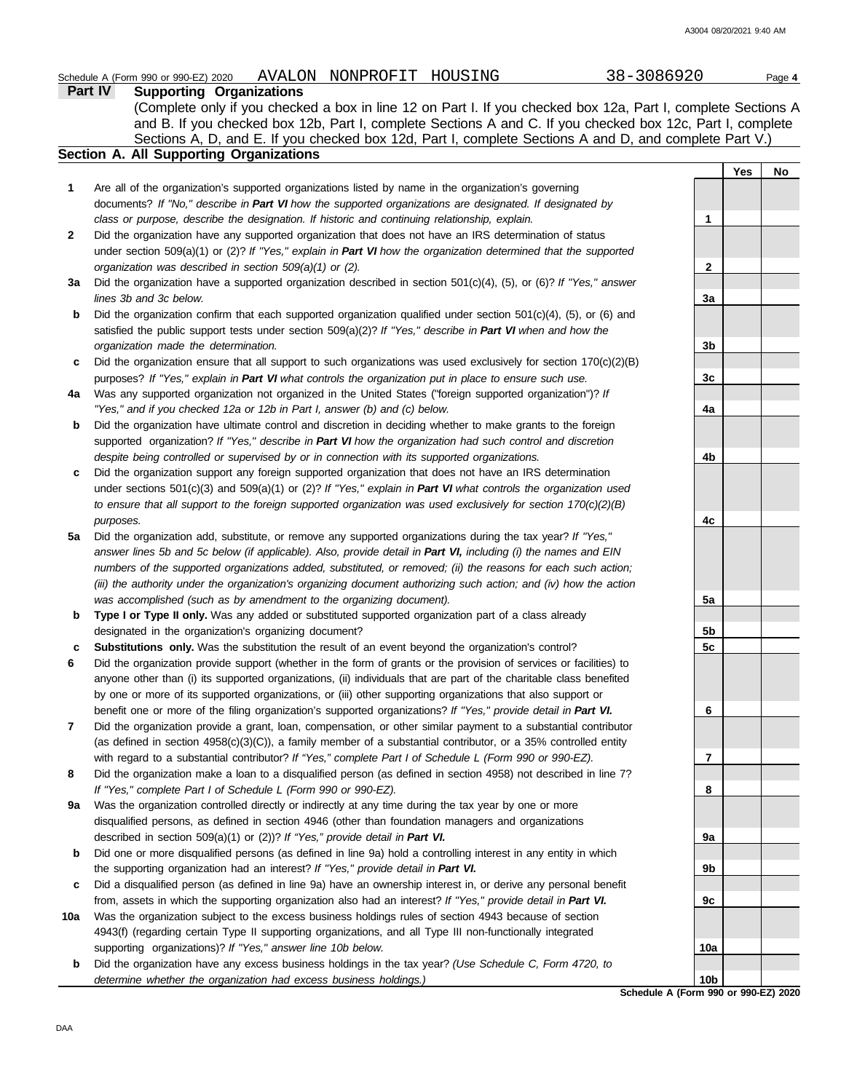## Schedule A (Form 990 or 990-EZ) 2020 AVALON NONPROFIT HOUSING 38-3086920 Page 4

**Part IV Supporting Organizations** Sections A, D, and E. If you checked box 12d, Part I, complete Sections A and D, and complete Part V.) (Complete only if you checked a box in line 12 on Part I. If you checked box 12a, Part I, complete Sections A and B. If you checked box 12b, Part I, complete Sections A and C. If you checked box 12c, Part I, complete

### **Section A. All Supporting Organizations**

- Are all of the organization's supported organizations listed by name in the organization's governing documents? *If "No," describe in Part VI how the supported organizations are designated. If designated by class or purpose, describe the designation. If historic and continuing relationship, explain.* **1**
- Did the organization have any supported organization that does not have an IRS determination of status under section 509(a)(1) or (2)? *If "Yes," explain in Part VI how the organization determined that the supported organization was described in section 509(a)(1) or (2).* **2**
- **3a** Did the organization have a supported organization described in section 501(c)(4), (5), or (6)? *If "Yes," answer lines 3b and 3c below.*
- **b** Did the organization confirm that each supported organization qualified under section 501(c)(4), (5), or (6) and satisfied the public support tests under section 509(a)(2)? *If "Yes," describe in Part VI when and how the organization made the determination.*
- **c** Did the organization ensure that all support to such organizations was used exclusively for section 170(c)(2)(B) purposes? *If "Yes," explain in Part VI what controls the organization put in place to ensure such use.*
- **4a** Was any supported organization not organized in the United States ("foreign supported organization")? *If "Yes," and if you checked 12a or 12b in Part I, answer (b) and (c) below.*
- **b** Did the organization have ultimate control and discretion in deciding whether to make grants to the foreign supported organization? *If "Yes," describe in Part VI how the organization had such control and discretion despite being controlled or supervised by or in connection with its supported organizations.*
- **c** Did the organization support any foreign supported organization that does not have an IRS determination under sections 501(c)(3) and 509(a)(1) or (2)? *If "Yes," explain in Part VI what controls the organization used to ensure that all support to the foreign supported organization was used exclusively for section 170(c)(2)(B) purposes.*
- **5a** Did the organization add, substitute, or remove any supported organizations during the tax year? *If "Yes," answer lines 5b and 5c below (if applicable). Also, provide detail in Part VI, including (i) the names and EIN numbers of the supported organizations added, substituted, or removed; (ii) the reasons for each such action; (iii) the authority under the organization's organizing document authorizing such action; and (iv) how the action was accomplished (such as by amendment to the organizing document).*
- **b** Type I or Type II only. Was any added or substituted supported organization part of a class already designated in the organization's organizing document?
- **c Substitutions only.** Was the substitution the result of an event beyond the organization's control?
- **6** Did the organization provide support (whether in the form of grants or the provision of services or facilities) to anyone other than (i) its supported organizations, (ii) individuals that are part of the charitable class benefited by one or more of its supported organizations, or (iii) other supporting organizations that also support or benefit one or more of the filing organization's supported organizations? *If "Yes," provide detail in Part VI.*
- **7** Did the organization provide a grant, loan, compensation, or other similar payment to a substantial contributor (as defined in section 4958(c)(3)(C)), a family member of a substantial contributor, or a 35% controlled entity with regard to a substantial contributor? *If "Yes," complete Part I of Schedule L (Form 990 or 990-EZ).*
- **8** Did the organization make a loan to a disqualified person (as defined in section 4958) not described in line 7? *If "Yes," complete Part I of Schedule L (Form 990 or 990-EZ).*
- **9a** Was the organization controlled directly or indirectly at any time during the tax year by one or more disqualified persons, as defined in section 4946 (other than foundation managers and organizations described in section 509(a)(1) or (2))? *If "Yes," provide detail in Part VI.*
- **b** Did one or more disqualified persons (as defined in line 9a) hold a controlling interest in any entity in which the supporting organization had an interest? *If "Yes," provide detail in Part VI.*
- **c** Did a disqualified person (as defined in line 9a) have an ownership interest in, or derive any personal benefit from, assets in which the supporting organization also had an interest? *If "Yes," provide detail in Part VI.*
- **10a** Was the organization subject to the excess business holdings rules of section 4943 because of section 4943(f) (regarding certain Type II supporting organizations, and all Type III non-functionally integrated supporting organizations)? *If "Yes," answer line 10b below.*
	- **b** Did the organization have any excess business holdings in the tax year? *(Use Schedule C, Form 4720, to determine whether the organization had excess business holdings.)*

**Yes No 1 2 3a 3b 3c 4a 4b 4c 5a 5b 5c 6 7 8 9a 9b 9c 10a 10b**

**Schedule A (Form 990 or 990-EZ) 2020**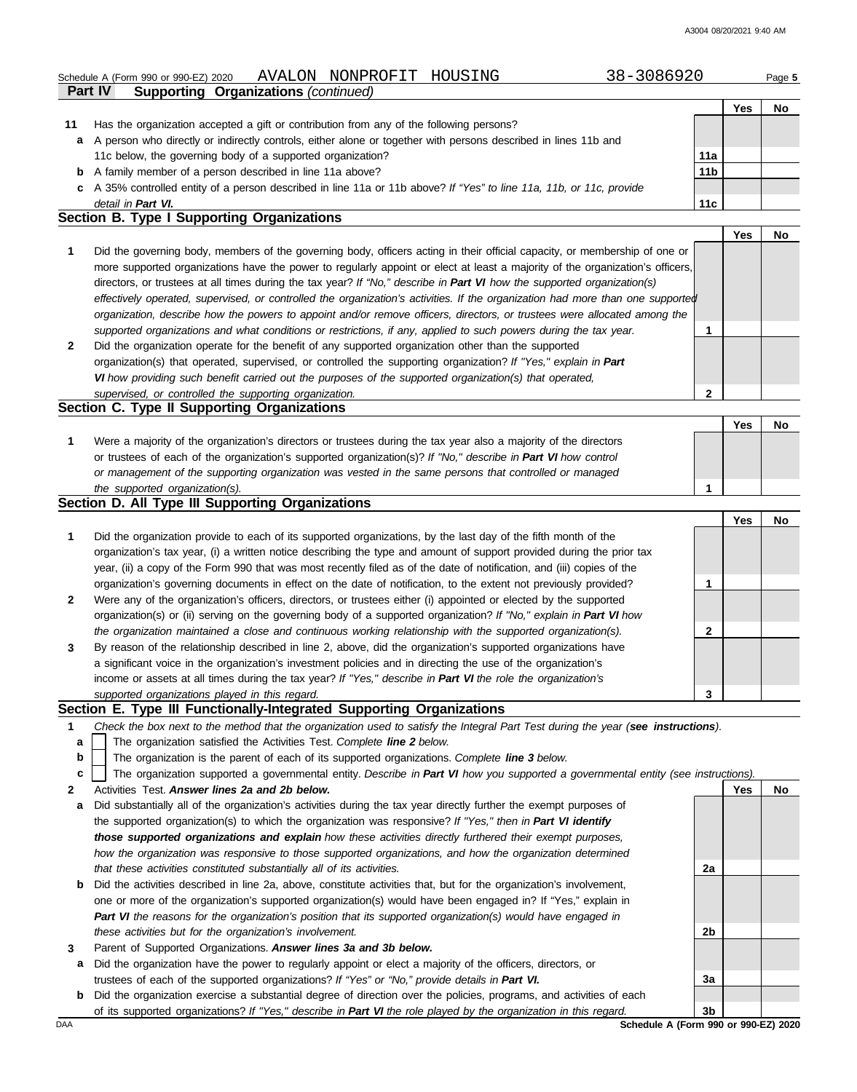**Yes No**

# Schedule A (Form 990 or 990-EZ) 2020 AVALON NONPROFIT HOUSING 38-3086920 Page **5**

| Part IV<br><b>Supporting Organizations (continued)</b>                                                               |                 |     |  |
|----------------------------------------------------------------------------------------------------------------------|-----------------|-----|--|
|                                                                                                                      |                 | Yes |  |
| Has the organization accepted a gift or contribution from any of the following persons?                              |                 |     |  |
| a A person who directly or indirectly controls, either alone or together with persons described in lines 11b and     |                 |     |  |
| 11c below, the governing body of a supported organization?                                                           | 11a             |     |  |
| <b>b</b> A family member of a person described in line 11a above?                                                    | 11 <sub>b</sub> |     |  |
| c A 35% controlled entity of a person described in line 11a or 11b above? If "Yes" to line 11a, 11b, or 11c, provide |                 |     |  |
| detail in Part VI.                                                                                                   | 11c             |     |  |

#### **Section B. Type I Supporting Organizations**

**11**

|                                             |                                                                                                                                |   | Yes | No |  |
|---------------------------------------------|--------------------------------------------------------------------------------------------------------------------------------|---|-----|----|--|
|                                             | Did the governing body, members of the governing body, officers acting in their official capacity, or membership of one or     |   |     |    |  |
|                                             | more supported organizations have the power to regularly appoint or elect at least a majority of the organization's officers,  |   |     |    |  |
|                                             | directors, or trustees at all times during the tax year? If "No," describe in Part VI how the supported organization(s)        |   |     |    |  |
|                                             | effectively operated, supervised, or controlled the organization's activities. If the organization had more than one supported |   |     |    |  |
|                                             | organization, describe how the powers to appoint and/or remove officers, directors, or trustees were allocated among the       |   |     |    |  |
|                                             | supported organizations and what conditions or restrictions, if any, applied to such powers during the tax year.               |   |     |    |  |
|                                             | Did the organization operate for the benefit of any supported organization other than the supported                            |   |     |    |  |
|                                             | organization(s) that operated, supervised, or controlled the supporting organization? If "Yes," explain in Part                |   |     |    |  |
|                                             | VI how providing such benefit carried out the purposes of the supported organization(s) that operated,                         |   |     |    |  |
|                                             | supervised, or controlled the supporting organization.                                                                         | າ |     |    |  |
| Section C. Type II Supporting Organizations |                                                                                                                                |   |     |    |  |

| Were a majority of the organization's directors or trustees during the tax year also a majority of the directors |  |  |
|------------------------------------------------------------------------------------------------------------------|--|--|
| or trustees of each of the organization's supported organization(s)? If "No," describe in Part VI how control    |  |  |
| or management of the supporting organization was vested in the same persons that controlled or managed           |  |  |
| the supported organization(s).                                                                                   |  |  |

#### **Section D. All Type III Supporting Organizations**

|                |                                                                                                                        | Yes | Nc |
|----------------|------------------------------------------------------------------------------------------------------------------------|-----|----|
| 1              | Did the organization provide to each of its supported organizations, by the last day of the fifth month of the         |     |    |
|                | organization's tax year, (i) a written notice describing the type and amount of support provided during the prior tax  |     |    |
|                | year, (ii) a copy of the Form 990 that was most recently filed as of the date of notification, and (iii) copies of the |     |    |
|                | organization's governing documents in effect on the date of notification, to the extent not previously provided?       |     |    |
| $\overline{2}$ | Were any of the organization's officers, directors, or trustees either (i) appointed or elected by the supported       |     |    |
|                | organization(s) or (ii) serving on the governing body of a supported organization? If "No," explain in Part VI how     |     |    |
|                | the organization maintained a close and continuous working relationship with the supported organization(s).            |     |    |
| $\mathbf{3}$   | By reason of the relationship described in line 2, above, did the organization's supported organizations have          |     |    |
|                | a significant voice in the organization's investment policies and in directing the use of the organization's           |     |    |
|                | income or assets at all times during the tax year? If "Yes," describe in Part VI the role the organization's           |     |    |
|                | supported organizations played in this regard.                                                                         |     |    |

#### **Section E. Type III Functionally-Integrated Supporting Organizations**

- **1** *Check the box next to the method that the organization used to satisfy the Integral Part Test during the year (see instructions).*
	- The organization satisfied the Activities Test. *Complete line 2 below.* **a**
	- The organization is the parent of each of its supported organizations. *Complete line 3 below.* **b**
	- The organization supported a governmental entity. *Describe in Part VI how you supported a governmental entity (see instructions).* **c**
- **2** Activities Test. *Answer lines 2a and 2b below.*
- **a** Did substantially all of the organization's activities during the tax year directly further the exempt purposes of the supported organization(s) to which the organization was responsive? *If "Yes," then in Part VI identify those supported organizations and explain how these activities directly furthered their exempt purposes, how the organization was responsive to those supported organizations, and how the organization determined that these activities constituted substantially all of its activities.*
- **b** Did the activities described in line 2a, above, constitute activities that, but for the organization's involvement, one or more of the organization's supported organization(s) would have been engaged in? If "Yes," explain in *Part VI the reasons for the organization's position that its supported organization(s) would have engaged in these activities but for the organization's involvement.*
- **3** Parent of Supported Organizations. *Answer lines 3a and 3b below.*
- **a** Did the organization have the power to regularly appoint or elect a majority of the officers, directors, or trustees of each of the supported organizations? *If "Yes" or "No," provide details in Part VI.*
- **b** Did the organization exercise a substantial degree of direction over the policies, programs, and activities of each of its supported organizations? *If "Yes," describe in Part VI the role played by the organization in this regard.*

**Yes No 2a 2b 3a 3b**

DAA **Schedule A (Form 990 or 990-EZ) 2020**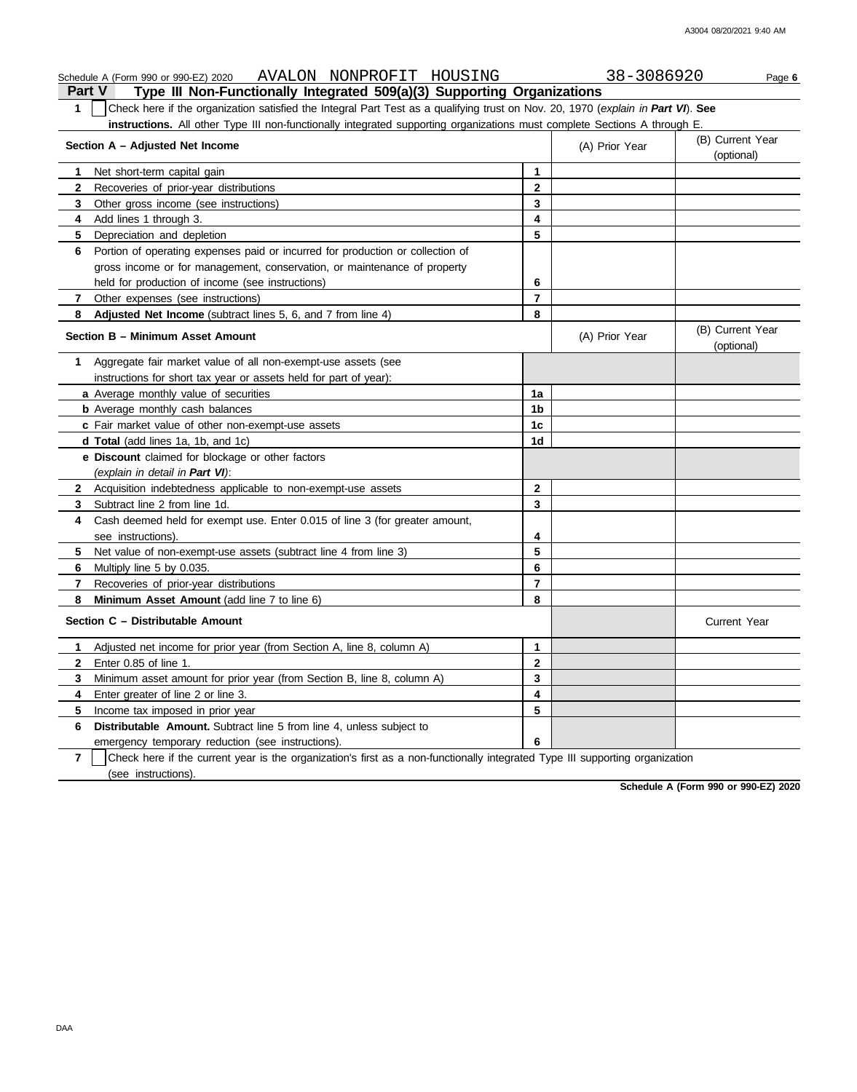| AVALON NONPROFIT HOUSING<br>Schedule A (Form 990 or 990-EZ) 2020                                                                                 |                          | 38-3086920     | Page 6                         |
|--------------------------------------------------------------------------------------------------------------------------------------------------|--------------------------|----------------|--------------------------------|
| Type III Non-Functionally Integrated 509(a)(3) Supporting Organizations<br><b>Part V</b>                                                         |                          |                |                                |
| Check here if the organization satisfied the Integral Part Test as a qualifying trust on Nov. 20, 1970 (explain in Part VI). See<br>$\mathbf{1}$ |                          |                |                                |
| instructions. All other Type III non-functionally integrated supporting organizations must complete Sections A through E.                        |                          |                |                                |
| Section A - Adjusted Net Income                                                                                                                  |                          | (A) Prior Year | (B) Current Year<br>(optional) |
| Net short-term capital gain<br>1                                                                                                                 | $\mathbf{1}$             |                |                                |
| $\mathbf{2}$<br>Recoveries of prior-year distributions                                                                                           | $\mathbf{2}$             |                |                                |
| Other gross income (see instructions)<br>3                                                                                                       | 3                        |                |                                |
| Add lines 1 through 3.<br>4                                                                                                                      | 4                        |                |                                |
| 5<br>Depreciation and depletion                                                                                                                  | 5                        |                |                                |
| Portion of operating expenses paid or incurred for production or collection of<br>6                                                              |                          |                |                                |
| gross income or for management, conservation, or maintenance of property                                                                         |                          |                |                                |
| held for production of income (see instructions)                                                                                                 | 6                        |                |                                |
| 7<br>Other expenses (see instructions)                                                                                                           | $\overline{\phantom{a}}$ |                |                                |
| Adjusted Net Income (subtract lines 5, 6, and 7 from line 4)<br>8                                                                                | 8                        |                |                                |
| Section B - Minimum Asset Amount                                                                                                                 |                          | (A) Prior Year | (B) Current Year<br>(optional) |
| Aggregate fair market value of all non-exempt-use assets (see<br>1.                                                                              |                          |                |                                |
| instructions for short tax year or assets held for part of year):                                                                                |                          |                |                                |
| a Average monthly value of securities                                                                                                            | 1a                       |                |                                |
| <b>b</b> Average monthly cash balances                                                                                                           | 1b                       |                |                                |
| c Fair market value of other non-exempt-use assets                                                                                               | 1c                       |                |                                |
| d Total (add lines 1a, 1b, and 1c)                                                                                                               | 1d                       |                |                                |
| e Discount claimed for blockage or other factors                                                                                                 |                          |                |                                |
| (explain in detail in Part VI):                                                                                                                  |                          |                |                                |
| $\mathbf{2}$<br>Acquisition indebtedness applicable to non-exempt-use assets                                                                     | $\mathbf{2}$             |                |                                |
| Subtract line 2 from line 1d.<br>3                                                                                                               | 3                        |                |                                |
| Cash deemed held for exempt use. Enter 0.015 of line 3 (for greater amount,<br>4                                                                 |                          |                |                                |
| see instructions).                                                                                                                               | 4                        |                |                                |
| Net value of non-exempt-use assets (subtract line 4 from line 3)<br>5                                                                            | 5                        |                |                                |
| Multiply line 5 by 0.035.<br>6                                                                                                                   | 6                        |                |                                |
| $\overline{\phantom{a}}$<br>Recoveries of prior-year distributions                                                                               | $\overline{7}$           |                |                                |
| Minimum Asset Amount (add line 7 to line 6)<br>8                                                                                                 | 8                        |                |                                |
| Section C - Distributable Amount                                                                                                                 |                          |                | <b>Current Year</b>            |
| Adjusted net income for prior year (from Section A, line 8, column A)<br>1.                                                                      | $\mathbf{1}$             |                |                                |
| Enter 0.85 of line 1.<br>2                                                                                                                       | $\mathbf{2}$             |                |                                |
| 3<br>Minimum asset amount for prior year (from Section B, line 8, column A)                                                                      | 3                        |                |                                |
| 4<br>Enter greater of line 2 or line 3.                                                                                                          | 4                        |                |                                |
| 5<br>Income tax imposed in prior year                                                                                                            | 5                        |                |                                |
| Distributable Amount. Subtract line 5 from line 4, unless subject to<br>6                                                                        |                          |                |                                |
| emergency temporary reduction (see instructions).                                                                                                | 6                        |                |                                |
| -                                                                                                                                                |                          |                |                                |

**7** | Check here if the current year is the organization's first as a non-functionally integrated Type III supporting organization (see instructions).

**Schedule A (Form 990 or 990-EZ) 2020**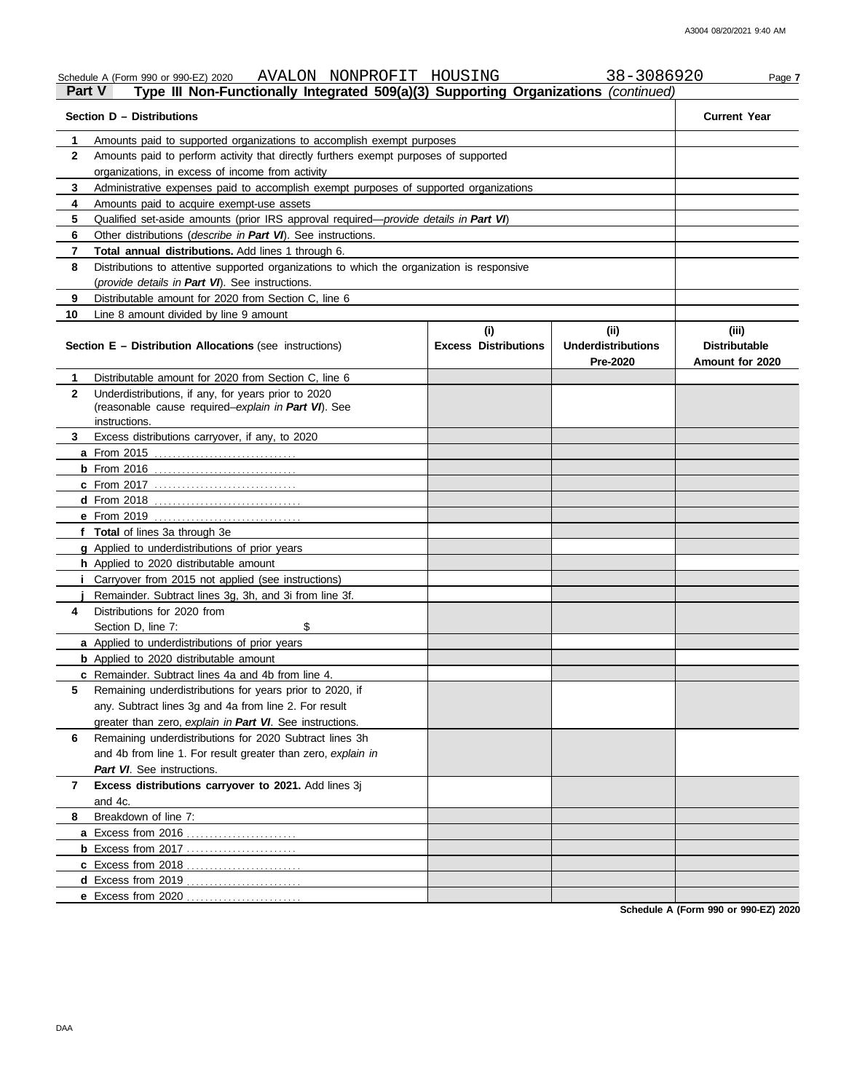|                           | AVALON NONPROFIT HOUSING<br>Schedule A (Form 990 or 990-EZ) 2020                           |                             | 38-3086920                | Page 7               |  |  |  |  |  |
|---------------------------|--------------------------------------------------------------------------------------------|-----------------------------|---------------------------|----------------------|--|--|--|--|--|
| <b>Part V</b>             | Type III Non-Functionally Integrated 509(a)(3) Supporting Organizations (continued)        |                             |                           |                      |  |  |  |  |  |
| Section D - Distributions | <b>Current Year</b>                                                                        |                             |                           |                      |  |  |  |  |  |
| 1                         | Amounts paid to supported organizations to accomplish exempt purposes                      |                             |                           |                      |  |  |  |  |  |
| 2                         |                                                                                            |                             |                           |                      |  |  |  |  |  |
|                           | organizations, in excess of income from activity                                           |                             |                           |                      |  |  |  |  |  |
| 3                         | Administrative expenses paid to accomplish exempt purposes of supported organizations      |                             |                           |                      |  |  |  |  |  |
| 4                         | Amounts paid to acquire exempt-use assets                                                  |                             |                           |                      |  |  |  |  |  |
| 5                         | Qualified set-aside amounts (prior IRS approval required-provide details in Part VI)       |                             |                           |                      |  |  |  |  |  |
| 6                         | Other distributions ( <i>describe in Part VI</i> ). See instructions.                      |                             |                           |                      |  |  |  |  |  |
| 7                         | <b>Total annual distributions.</b> Add lines 1 through 6.                                  |                             |                           |                      |  |  |  |  |  |
| 8                         | Distributions to attentive supported organizations to which the organization is responsive |                             |                           |                      |  |  |  |  |  |
|                           | (provide details in Part VI). See instructions.                                            |                             |                           |                      |  |  |  |  |  |
| 9                         | Distributable amount for 2020 from Section C, line 6                                       |                             |                           |                      |  |  |  |  |  |
| 10                        | Line 8 amount divided by line 9 amount                                                     |                             |                           |                      |  |  |  |  |  |
|                           |                                                                                            | (i)                         | (i)                       | (iii)                |  |  |  |  |  |
|                           | <b>Section E - Distribution Allocations (see instructions)</b>                             | <b>Excess Distributions</b> | <b>Underdistributions</b> | <b>Distributable</b> |  |  |  |  |  |
|                           | Distributable amount for 2020 from Section C. line 6                                       |                             | Pre-2020                  | Amount for 2020      |  |  |  |  |  |
| 1                         | Underdistributions, if any, for years prior to 2020                                        |                             |                           |                      |  |  |  |  |  |
| $\mathbf{2}$              | (reasonable cause required-explain in Part VI). See                                        |                             |                           |                      |  |  |  |  |  |
| 3                         | instructions.<br>Excess distributions carryover, if any, to 2020                           |                             |                           |                      |  |  |  |  |  |
|                           |                                                                                            |                             |                           |                      |  |  |  |  |  |
|                           |                                                                                            |                             |                           |                      |  |  |  |  |  |
|                           |                                                                                            |                             |                           |                      |  |  |  |  |  |
|                           | <b>c</b> From 2017                                                                         |                             |                           |                      |  |  |  |  |  |
|                           |                                                                                            |                             |                           |                      |  |  |  |  |  |
|                           |                                                                                            |                             |                           |                      |  |  |  |  |  |
|                           | f Total of lines 3a through 3e                                                             |                             |                           |                      |  |  |  |  |  |
|                           | g Applied to underdistributions of prior years                                             |                             |                           |                      |  |  |  |  |  |
|                           | h Applied to 2020 distributable amount                                                     |                             |                           |                      |  |  |  |  |  |
|                           | <i>i</i> Carryover from 2015 not applied (see instructions)                                |                             |                           |                      |  |  |  |  |  |
|                           | Remainder. Subtract lines 3g, 3h, and 3i from line 3f.                                     |                             |                           |                      |  |  |  |  |  |
| 4                         | Distributions for 2020 from                                                                |                             |                           |                      |  |  |  |  |  |
|                           | \$<br>Section D, line 7:                                                                   |                             |                           |                      |  |  |  |  |  |
|                           | a Applied to underdistributions of prior years                                             |                             |                           |                      |  |  |  |  |  |
|                           | <b>b</b> Applied to 2020 distributable amount                                              |                             |                           |                      |  |  |  |  |  |
|                           | c Remainder. Subtract lines 4a and 4b from line 4.                                         |                             |                           |                      |  |  |  |  |  |
| 5                         | Remaining underdistributions for years prior to 2020, if                                   |                             |                           |                      |  |  |  |  |  |
|                           | any. Subtract lines 3g and 4a from line 2. For result                                      |                             |                           |                      |  |  |  |  |  |
|                           | greater than zero, explain in Part VI. See instructions.                                   |                             |                           |                      |  |  |  |  |  |
| 6                         | Remaining underdistributions for 2020 Subtract lines 3h                                    |                             |                           |                      |  |  |  |  |  |
|                           | and 4b from line 1. For result greater than zero, explain in                               |                             |                           |                      |  |  |  |  |  |
|                           | Part VI. See instructions.                                                                 |                             |                           |                      |  |  |  |  |  |
| 7                         | Excess distributions carryover to 2021. Add lines 3j                                       |                             |                           |                      |  |  |  |  |  |
|                           | and 4c.                                                                                    |                             |                           |                      |  |  |  |  |  |
| 8                         | Breakdown of line 7:                                                                       |                             |                           |                      |  |  |  |  |  |
|                           | a Excess from 2016                                                                         |                             |                           |                      |  |  |  |  |  |
|                           | <b>b</b> Excess from 2017                                                                  |                             |                           |                      |  |  |  |  |  |
|                           |                                                                                            |                             |                           |                      |  |  |  |  |  |
|                           |                                                                                            |                             |                           |                      |  |  |  |  |  |
|                           |                                                                                            |                             |                           |                      |  |  |  |  |  |

**Schedule A (Form 990 or 990-EZ) 2020**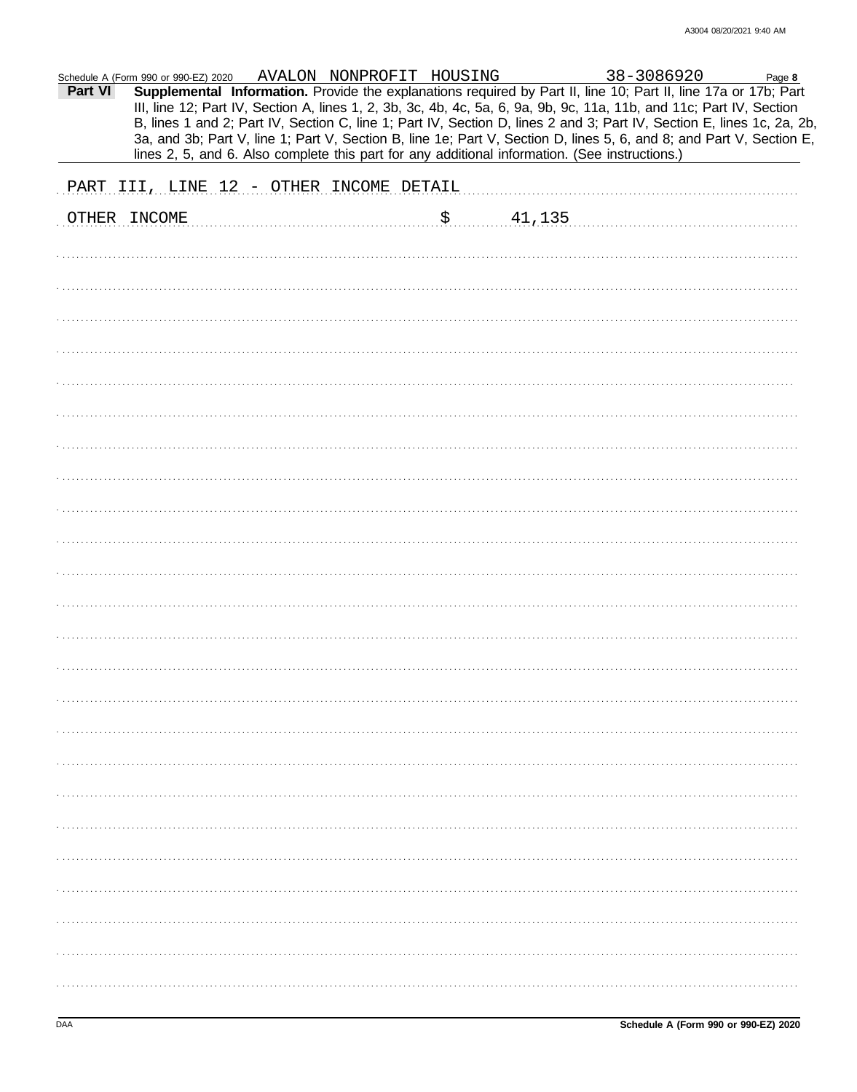|         | Schedule A (Form 990 or 990-EZ) 2020                                                           |  |           |                                                                                                                                                                                                                                                                                                                                                                                                                                                                                                                                                                      |  |
|---------|------------------------------------------------------------------------------------------------|--|-----------|----------------------------------------------------------------------------------------------------------------------------------------------------------------------------------------------------------------------------------------------------------------------------------------------------------------------------------------------------------------------------------------------------------------------------------------------------------------------------------------------------------------------------------------------------------------------|--|
| Part VI |                                                                                                |  |           | m 990 or 990-EZ) 2020 AVALON NONPROFIT HOUSING 38-3086920 Page 8<br><b>Supplemental Information.</b> Provide the explanations required by Part II, line 10; Part II, line 17a or 17b; Part<br>III, line 12; Part IV, Section A, lines 1, 2, 3b, 3c, 4b, 4c, 5a, 6, 9a, 9b, 9c, 11a, 11b, and 11c; Part IV, Section<br>B, lines 1 and 2; Part IV, Section C, line 1; Part IV, Section D, lines 2 and 3; Part IV, Section E, lines 1c, 2a, 2b,<br>3a, and 3b; Part V, line 1; Part V, Section B, line 1e; Part V, Section D, lines 5, 6, and 8; and Part V, Section E, |  |
|         | lines 2, 5, and 6. Also complete this part for any additional information. (See instructions.) |  |           |                                                                                                                                                                                                                                                                                                                                                                                                                                                                                                                                                                      |  |
|         | PART III, LINE 12 - OTHER INCOME DETAIL                                                        |  |           |                                                                                                                                                                                                                                                                                                                                                                                                                                                                                                                                                                      |  |
|         | OTHER INCOME                                                                                   |  | \$ 41,135 |                                                                                                                                                                                                                                                                                                                                                                                                                                                                                                                                                                      |  |
|         |                                                                                                |  |           |                                                                                                                                                                                                                                                                                                                                                                                                                                                                                                                                                                      |  |
|         |                                                                                                |  |           |                                                                                                                                                                                                                                                                                                                                                                                                                                                                                                                                                                      |  |
|         |                                                                                                |  |           |                                                                                                                                                                                                                                                                                                                                                                                                                                                                                                                                                                      |  |
|         |                                                                                                |  |           |                                                                                                                                                                                                                                                                                                                                                                                                                                                                                                                                                                      |  |
|         |                                                                                                |  |           |                                                                                                                                                                                                                                                                                                                                                                                                                                                                                                                                                                      |  |
|         |                                                                                                |  |           |                                                                                                                                                                                                                                                                                                                                                                                                                                                                                                                                                                      |  |
|         |                                                                                                |  |           |                                                                                                                                                                                                                                                                                                                                                                                                                                                                                                                                                                      |  |
|         |                                                                                                |  |           |                                                                                                                                                                                                                                                                                                                                                                                                                                                                                                                                                                      |  |
|         |                                                                                                |  |           |                                                                                                                                                                                                                                                                                                                                                                                                                                                                                                                                                                      |  |
|         |                                                                                                |  |           |                                                                                                                                                                                                                                                                                                                                                                                                                                                                                                                                                                      |  |
|         |                                                                                                |  |           |                                                                                                                                                                                                                                                                                                                                                                                                                                                                                                                                                                      |  |
|         |                                                                                                |  |           |                                                                                                                                                                                                                                                                                                                                                                                                                                                                                                                                                                      |  |
|         |                                                                                                |  |           |                                                                                                                                                                                                                                                                                                                                                                                                                                                                                                                                                                      |  |
|         |                                                                                                |  |           |                                                                                                                                                                                                                                                                                                                                                                                                                                                                                                                                                                      |  |
|         |                                                                                                |  |           |                                                                                                                                                                                                                                                                                                                                                                                                                                                                                                                                                                      |  |
|         |                                                                                                |  |           |                                                                                                                                                                                                                                                                                                                                                                                                                                                                                                                                                                      |  |
|         |                                                                                                |  |           |                                                                                                                                                                                                                                                                                                                                                                                                                                                                                                                                                                      |  |
|         |                                                                                                |  |           |                                                                                                                                                                                                                                                                                                                                                                                                                                                                                                                                                                      |  |
|         |                                                                                                |  |           |                                                                                                                                                                                                                                                                                                                                                                                                                                                                                                                                                                      |  |
|         |                                                                                                |  |           |                                                                                                                                                                                                                                                                                                                                                                                                                                                                                                                                                                      |  |
|         |                                                                                                |  |           |                                                                                                                                                                                                                                                                                                                                                                                                                                                                                                                                                                      |  |
|         |                                                                                                |  |           |                                                                                                                                                                                                                                                                                                                                                                                                                                                                                                                                                                      |  |
|         |                                                                                                |  |           |                                                                                                                                                                                                                                                                                                                                                                                                                                                                                                                                                                      |  |
|         |                                                                                                |  |           |                                                                                                                                                                                                                                                                                                                                                                                                                                                                                                                                                                      |  |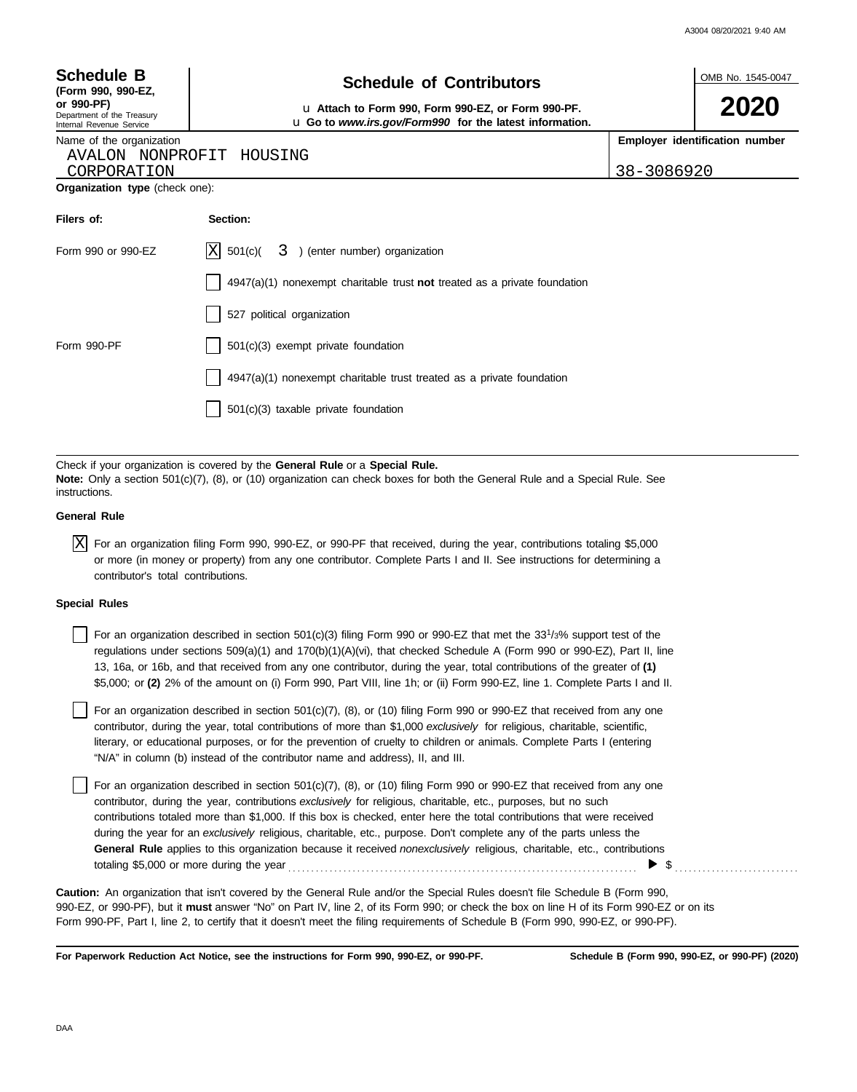| A3004 08/20/2021 9:40 AM |  |
|--------------------------|--|
|                          |  |

OMB No. 1545-0047

**2020**

|  |  | <b>Schedule B</b> |
|--|--|-------------------|
|--|--|-------------------|

| (Form 990, 990-EZ,         |
|----------------------------|
| or 990-PF)                 |
| Department of the Treasury |
| Internal Revenue Service   |

# **Schedule of Contributors**

**or 990-PF)** u **Attach to Form 990, Form 990-EZ, or Form 990-PF.** u **Go to** *www.irs.gov/Form990* **for the latest information.**

**Employer identification number**

Name of the organization AVALON NONPROFIT HOUSING

CORPORATION 38-3086920

| Organization type (check one): |  |  |
|--------------------------------|--|--|
|                                |  |  |

| Filers of:         | Section:                                                                    |
|--------------------|-----------------------------------------------------------------------------|
| Form 990 or 990-EZ | $ X $ 501(c)( $3$ ) (enter number) organization                             |
|                    | $4947(a)(1)$ nonexempt charitable trust not treated as a private foundation |
|                    | 527 political organization                                                  |
| Form 990-PF        | $501(c)(3)$ exempt private foundation                                       |
|                    | $4947(a)(1)$ nonexempt charitable trust treated as a private foundation     |
|                    | $501(c)(3)$ taxable private foundation                                      |

Check if your organization is covered by the **General Rule** or a **Special Rule. Note:** Only a section 501(c)(7), (8), or (10) organization can check boxes for both the General Rule and a Special Rule. See instructions.

#### **General Rule**

 $\overline{X}$  For an organization filing Form 990, 990-EZ, or 990-PF that received, during the year, contributions totaling \$5,000 or more (in money or property) from any one contributor. Complete Parts I and II. See instructions for determining a contributor's total contributions.

#### **Special Rules**

For an organization described in section 501(c)(3) filing Form 990 or 990-EZ that met the  $33^{1/3\%}$  support test of the regulations under sections 509(a)(1) and 170(b)(1)(A)(vi), that checked Schedule A (Form 990 or 990-EZ), Part II, line 13, 16a, or 16b, and that received from any one contributor, during the year, total contributions of the greater of **(1)** \$5,000; or **(2)** 2% of the amount on (i) Form 990, Part VIII, line 1h; or (ii) Form 990-EZ, line 1. Complete Parts I and II.

literary, or educational purposes, or for the prevention of cruelty to children or animals. Complete Parts I (entering For an organization described in section 501(c)(7), (8), or (10) filing Form 990 or 990-EZ that received from any one contributor, during the year, total contributions of more than \$1,000 *exclusively* for religious, charitable, scientific, "N/A" in column (b) instead of the contributor name and address), II, and III.

For an organization described in section 501(c)(7), (8), or (10) filing Form 990 or 990-EZ that received from any one contributor, during the year, contributions *exclusively* for religious, charitable, etc., purposes, but no such contributions totaled more than \$1,000. If this box is checked, enter here the total contributions that were received during the year for an *exclusively* religious, charitable, etc., purpose. Don't complete any of the parts unless the **General Rule** applies to this organization because it received *nonexclusively* religious, charitable, etc., contributions totaling \$5,000 or more during the year . . . . . . . . . . . . . . . . . . . . . . . . . . . . . . . . . . . . . . . . . . . . . . . . . . . . . . . . . . . . . . . . . . . . . . . . . . . .  $\triangleright$  \$

990-EZ, or 990-PF), but it **must** answer "No" on Part IV, line 2, of its Form 990; or check the box on line H of its Form 990-EZ or on its Form 990-PF, Part I, line 2, to certify that it doesn't meet the filing requirements of Schedule B (Form 990, 990-EZ, or 990-PF). **Caution:** An organization that isn't covered by the General Rule and/or the Special Rules doesn't file Schedule B (Form 990,

**For Paperwork Reduction Act Notice, see the instructions for Form 990, 990-EZ, or 990-PF.**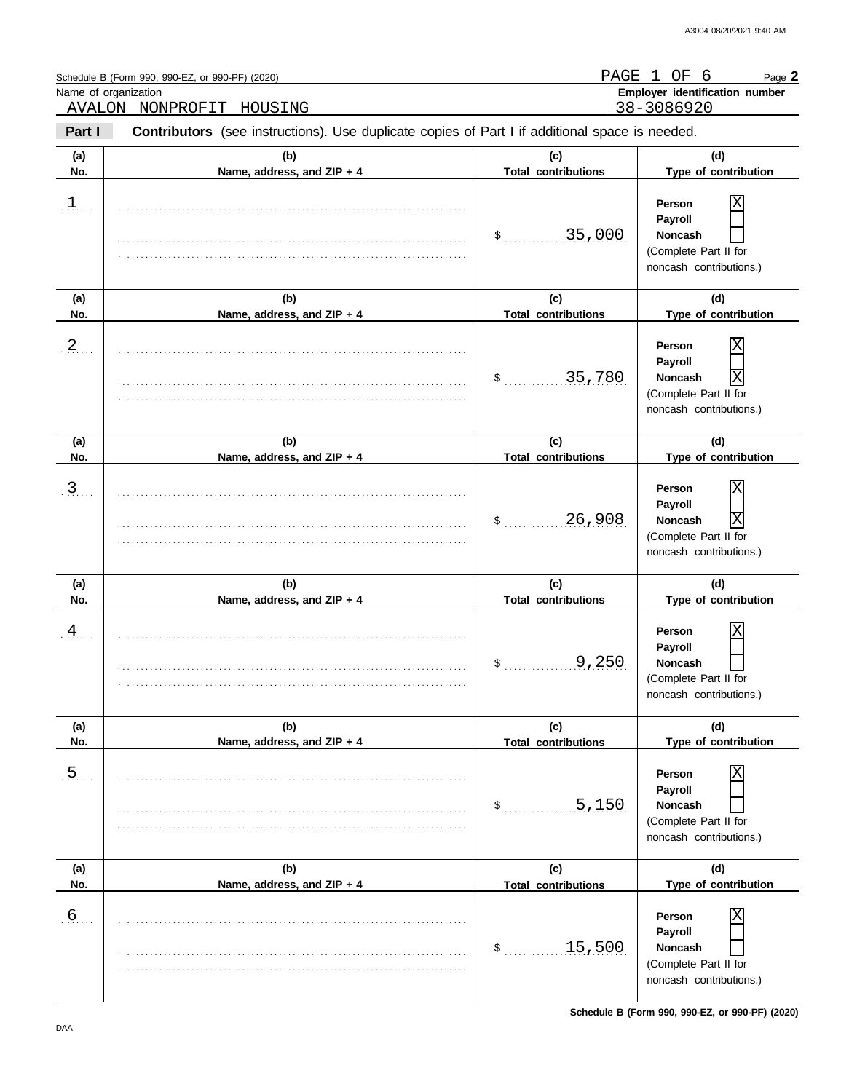| Name of organization | Schedule B (Form 990, 990-EZ, or 990-PF) (2020)<br>AVALON NONPROFIT HOUSING                    | PAGE 1                            | OF<br>6<br>Page 2<br>Employer identification number<br>38-3086920                                                     |
|----------------------|------------------------------------------------------------------------------------------------|-----------------------------------|-----------------------------------------------------------------------------------------------------------------------|
| Part I               | Contributors (see instructions). Use duplicate copies of Part I if additional space is needed. |                                   |                                                                                                                       |
| (a)<br>No.           | (b)<br>Name, address, and ZIP + 4                                                              | (c)<br><b>Total contributions</b> | (d)<br>Type of contribution                                                                                           |
| $\mathbf 1$          |                                                                                                | 35,000<br>$\sim$                  | Person<br>Payroll<br><b>Noncash</b><br>(Complete Part II for<br>noncash contributions.)                               |
| (a)<br>No.           | (b)<br>Name, address, and ZIP + 4                                                              | (c)<br><b>Total contributions</b> | (d)<br>Type of contribution                                                                                           |
| $\overline{2}$       |                                                                                                | 35,780<br>\$                      | Χ<br>Person<br>Payroll<br>$\overline{\text{X}}$<br><b>Noncash</b><br>(Complete Part II for<br>noncash contributions.) |
| (a)<br>No.           | (b)<br>Name, address, and ZIP + 4                                                              | (c)<br><b>Total contributions</b> | (d)<br>Type of contribution                                                                                           |
| 3                    |                                                                                                | 26,908<br>\$                      | Χ<br>Person<br>Payroll<br>$\overline{\text{X}}$<br><b>Noncash</b><br>(Complete Part II for<br>noncash contributions.) |
| (a)<br>No.           | (b)<br>Name, address, and ZIP + 4                                                              | (c)<br><b>Total contributions</b> | (d)<br>Type of contribution                                                                                           |
| 4                    |                                                                                                | \$<br><u>9,250</u>                | Χ<br>Person<br>Payroll<br>Noncash<br>(Complete Part II for<br>noncash contributions.)                                 |
| (a)<br>No.           | (b)<br>Name, address, and ZIP + 4                                                              | (c)<br><b>Total contributions</b> | (d)<br>Type of contribution                                                                                           |
| $\overline{5}$       |                                                                                                | .5,150<br>\$                      | Person<br>Payroll<br><b>Noncash</b><br>(Complete Part II for<br>noncash contributions.)                               |
| (a)<br>No.           | (b)<br>Name, address, and ZIP + 4                                                              | (c)<br><b>Total contributions</b> | (d)<br>Type of contribution                                                                                           |
| 6 <sub>1</sub>       |                                                                                                | 15,500<br>\$                      | Person<br>Payroll<br><b>Noncash</b><br>(Complete Part II for<br>noncash contributions.)                               |

**Schedule B (Form 990, 990-EZ, or 990-PF) (2020)**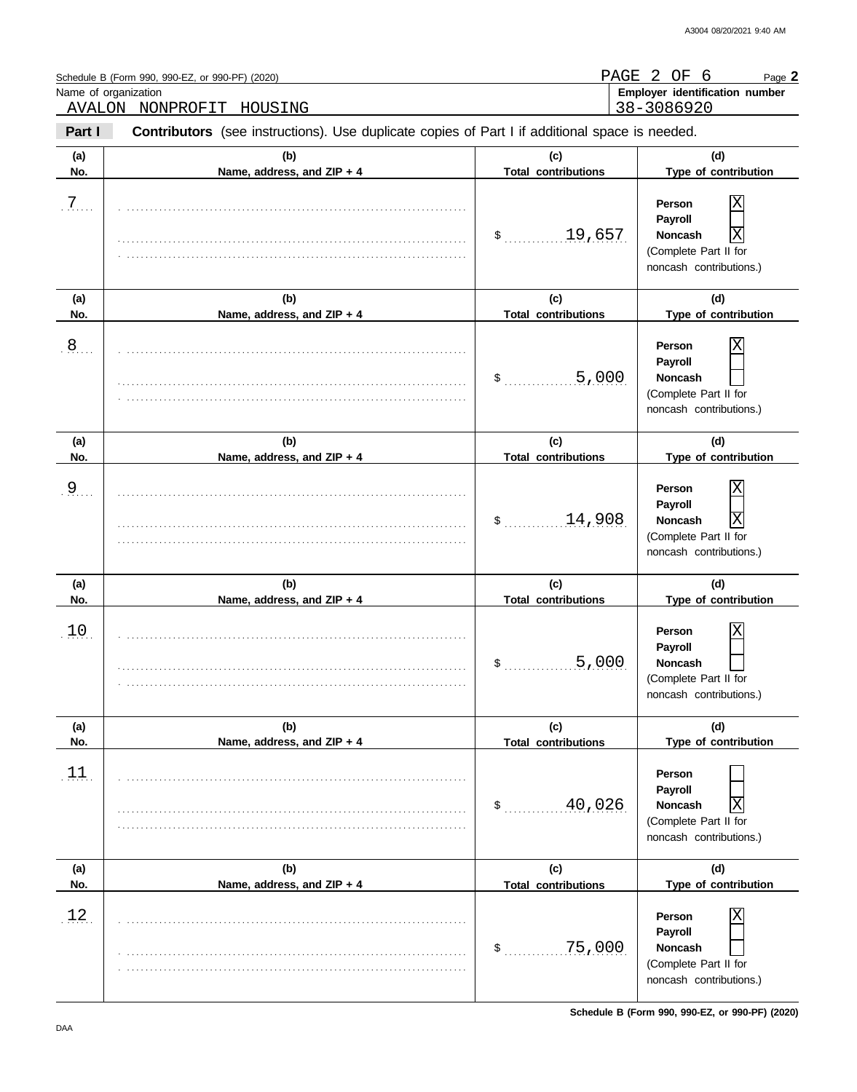| Name of organization | Schedule B (Form 990, 990-EZ, or 990-PF) (2020)<br>AVALON NONPROFIT<br>HOUSING                 | PAGE                              | 2<br>OF<br>6<br>Page 2<br>Employer identification number<br>38-3086920                            |
|----------------------|------------------------------------------------------------------------------------------------|-----------------------------------|---------------------------------------------------------------------------------------------------|
| Part I               | Contributors (see instructions). Use duplicate copies of Part I if additional space is needed. |                                   |                                                                                                   |
| (a)<br>No.           | (b)<br>Name, address, and ZIP + 4                                                              | (c)<br><b>Total contributions</b> | (d)<br>Type of contribution                                                                       |
| $\overline{7}$       |                                                                                                | 19,657<br>$\sim$                  | Person<br>Payroll<br>Χ<br><b>Noncash</b><br>(Complete Part II for<br>noncash contributions.)      |
| (a)<br>No.           | (b)<br>Name, address, and ZIP + 4                                                              | (c)<br><b>Total contributions</b> | (d)<br>Type of contribution                                                                       |
| $\overline{8}$       |                                                                                                | 5,000<br>\$                       | Person<br>Payroll<br><b>Noncash</b><br>(Complete Part II for<br>noncash contributions.)           |
| (a)<br>No.           | (b)<br>Name, address, and ZIP + 4                                                              | (c)<br><b>Total contributions</b> | (d)<br>Type of contribution                                                                       |
| $\overline{9}$       |                                                                                                | 14,908<br>\$                      | Χ<br>Person<br>Payroll<br>X<br><b>Noncash</b><br>(Complete Part II for<br>noncash contributions.) |
| (a)<br>No.           | (b)<br>Name, address, and ZIP + 4                                                              | (c)<br><b>Total contributions</b> | (d)<br>Type of contribution                                                                       |
| 10                   |                                                                                                | 5,000<br>\$                       | Χ<br>Person<br>Payroll<br>Noncash<br>(Complete Part II for<br>noncash contributions.)             |
| (a)<br>No.           | (b)<br>Name, address, and ZIP + 4                                                              | (c)<br><b>Total contributions</b> | (d)<br>Type of contribution                                                                       |
| $\boxed{11}$         |                                                                                                | 40,026<br>$$^{\circ}$             | Person<br>Payroll<br>Χ<br><b>Noncash</b><br>(Complete Part II for<br>noncash contributions.)      |
| (a)<br>No.           | (b)<br>Name, address, and ZIP + 4                                                              | (c)<br><b>Total contributions</b> | (d)<br>Type of contribution                                                                       |
| 12.                  |                                                                                                | 75,000<br>\$                      | Person<br>Payroll<br>Noncash<br>(Complete Part II for<br>noncash contributions.)                  |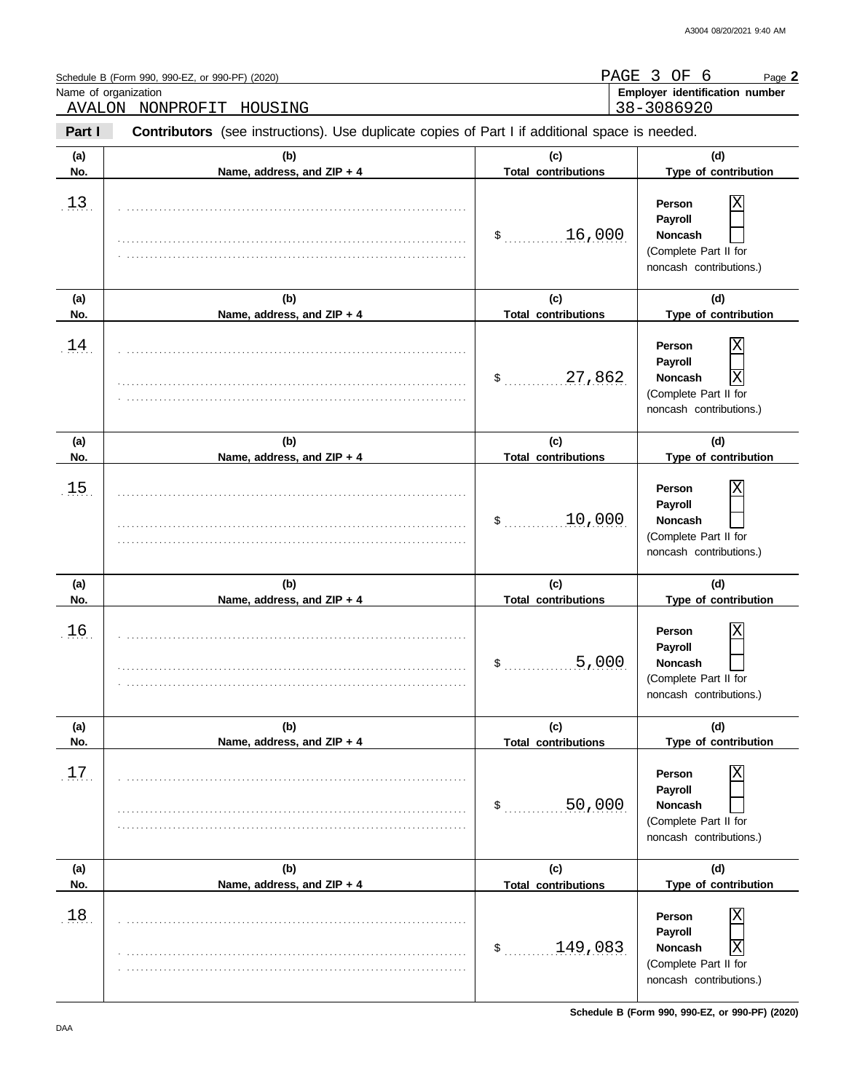|            | Schedule B (Form 990, 990-EZ, or 990-PF) (2020)<br>Name of organization<br>AVALON NONPROFIT HOUSING |                                   | PAGE 3 OF 6<br>Page 2<br>Employer identification number<br>38-3086920                                            |
|------------|-----------------------------------------------------------------------------------------------------|-----------------------------------|------------------------------------------------------------------------------------------------------------------|
| Part I     | Contributors (see instructions). Use duplicate copies of Part I if additional space is needed.      |                                   |                                                                                                                  |
| (a)<br>No. | (b)<br>Name, address, and ZIP + 4                                                                   | (c)<br><b>Total contributions</b> | (d)<br>Type of contribution                                                                                      |
| 13.        |                                                                                                     | 16,000<br>$\mathfrak s$           | Person<br>Payroll<br><b>Noncash</b><br>(Complete Part II for<br>noncash contributions.)                          |
| (a)<br>No. | (b)<br>Name, address, and ZIP + 4                                                                   | (c)<br><b>Total contributions</b> | (d)<br>Type of contribution                                                                                      |
| 14         |                                                                                                     | 27,862<br>$\sim$                  | Person<br>Payroll<br>$\overline{\text{X}}$<br><b>Noncash</b><br>(Complete Part II for<br>noncash contributions.) |
| (a)<br>No. | (b)<br>Name, address, and ZIP + 4                                                                   | (c)<br><b>Total contributions</b> | (d)<br>Type of contribution                                                                                      |
| 15.        |                                                                                                     | 10,000<br>\$                      | Person<br>Payroll<br><b>Noncash</b><br>(Complete Part II for<br>noncash contributions.)                          |
| (a)<br>No. | (b)<br>Name, address, and ZIP + 4                                                                   | (c)<br><b>Total contributions</b> | (d)<br>Type of contribution                                                                                      |
| 16         |                                                                                                     | 5,000<br>\$                       | Χ<br>Person<br>Payroll<br>Noncash<br>(Complete Part II for<br>noncash contributions.)                            |
| (a)<br>No. | (b)<br>Name, address, and ZIP + 4                                                                   | (c)<br><b>Total contributions</b> | (d)<br>Type of contribution                                                                                      |
| 17.        |                                                                                                     | 50,000<br>\$                      | Person<br>Payroll<br><b>Noncash</b><br>(Complete Part II for<br>noncash contributions.)                          |
| (a)<br>No. | (b)<br>Name, address, and ZIP + 4                                                                   | (c)<br><b>Total contributions</b> | (d)<br>Type of contribution                                                                                      |
| 18         |                                                                                                     | 149,083<br>$\mathsf{\$}$          | Person<br>Payroll<br>Χ<br>Noncash<br>(Complete Part II for<br>noncash contributions.)                            |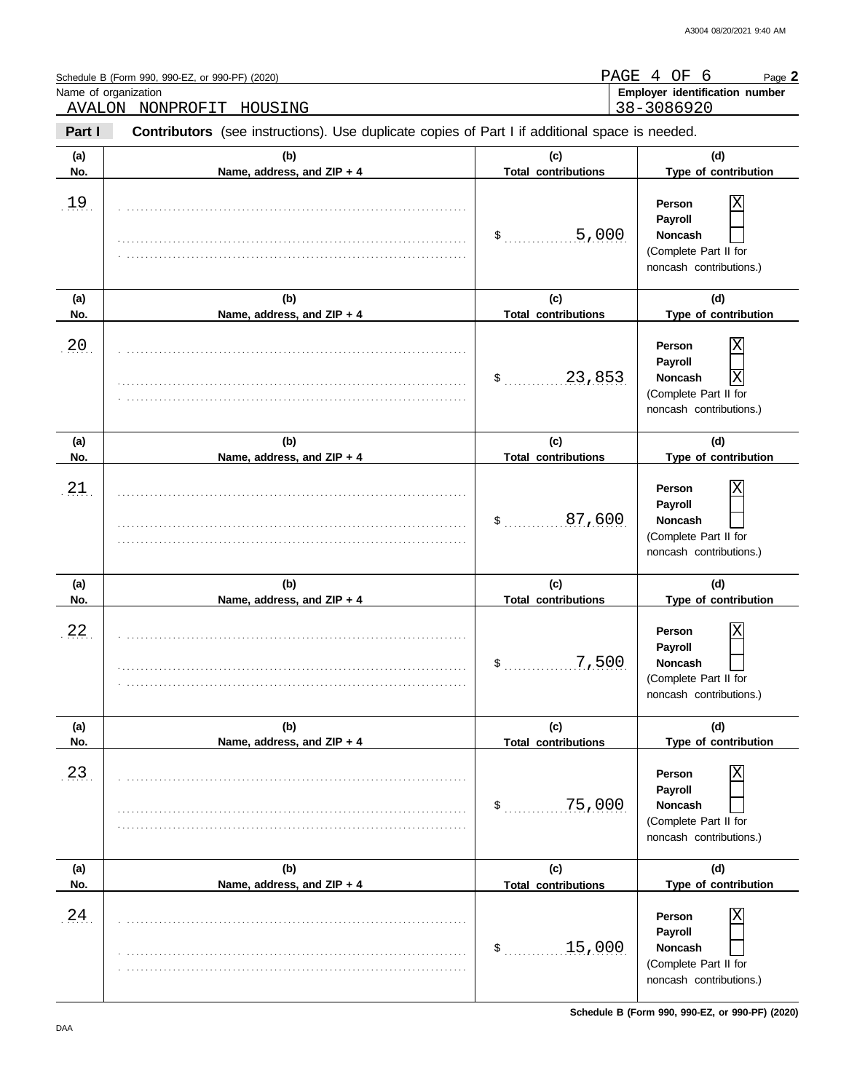| Name of organization | Schedule B (Form 990, 990-EZ, or 990-PF) (2020)<br>AVALON NONPROFIT HOUSING                    |                                   | PAGE 4 OF 6<br>Page 2<br>Employer identification number<br>38-3086920                                            |
|----------------------|------------------------------------------------------------------------------------------------|-----------------------------------|------------------------------------------------------------------------------------------------------------------|
| Part I               | Contributors (see instructions). Use duplicate copies of Part I if additional space is needed. |                                   |                                                                                                                  |
| (a)<br>No.           | (b)<br>Name, address, and ZIP + 4                                                              | (c)<br><b>Total contributions</b> | (d)<br>Type of contribution                                                                                      |
| 19.                  |                                                                                                | 5,000<br>$\mathfrak s$            | Person<br>Payroll<br><b>Noncash</b><br>(Complete Part II for<br>noncash contributions.)                          |
| (a)<br>No.           | (b)<br>Name, address, and ZIP + 4                                                              | (c)<br><b>Total contributions</b> | (d)<br>Type of contribution                                                                                      |
| 20                   |                                                                                                | 23,853<br>$\sim$                  | Person<br>Payroll<br>$\overline{\text{X}}$<br><b>Noncash</b><br>(Complete Part II for<br>noncash contributions.) |
| (a)<br>No.           | (b)<br>Name, address, and ZIP + 4                                                              | (c)<br><b>Total contributions</b> | (d)<br>Type of contribution                                                                                      |
| 21                   |                                                                                                | 87,600<br>S.                      | Person<br>Payroll<br><b>Noncash</b><br>(Complete Part II for<br>noncash contributions.)                          |
| (a)<br>No.           | (b)<br>Name, address, and ZIP + 4                                                              | (c)<br><b>Total contributions</b> | (d)<br>Type of contribution                                                                                      |
| 22.                  |                                                                                                | \$<br><u>7,500</u>                | Χ<br>Person<br>Payroll<br>Noncash<br>(Complete Part II for<br>noncash contributions.)                            |
| (a)<br>No.           | (b)<br>Name, address, and ZIP + 4                                                              | (c)<br><b>Total contributions</b> | (d)<br>Type of contribution                                                                                      |
| 23                   |                                                                                                | 75,000<br>\$                      | Person<br>Payroll<br><b>Noncash</b><br>(Complete Part II for<br>noncash contributions.)                          |
| (a)<br>No.           | (b)<br>Name, address, and ZIP + 4                                                              | (c)<br><b>Total contributions</b> | (d)<br>Type of contribution                                                                                      |
| 24.                  |                                                                                                | 15,000<br>\$                      | Person<br>Payroll<br>Noncash<br>(Complete Part II for<br>noncash contributions.)                                 |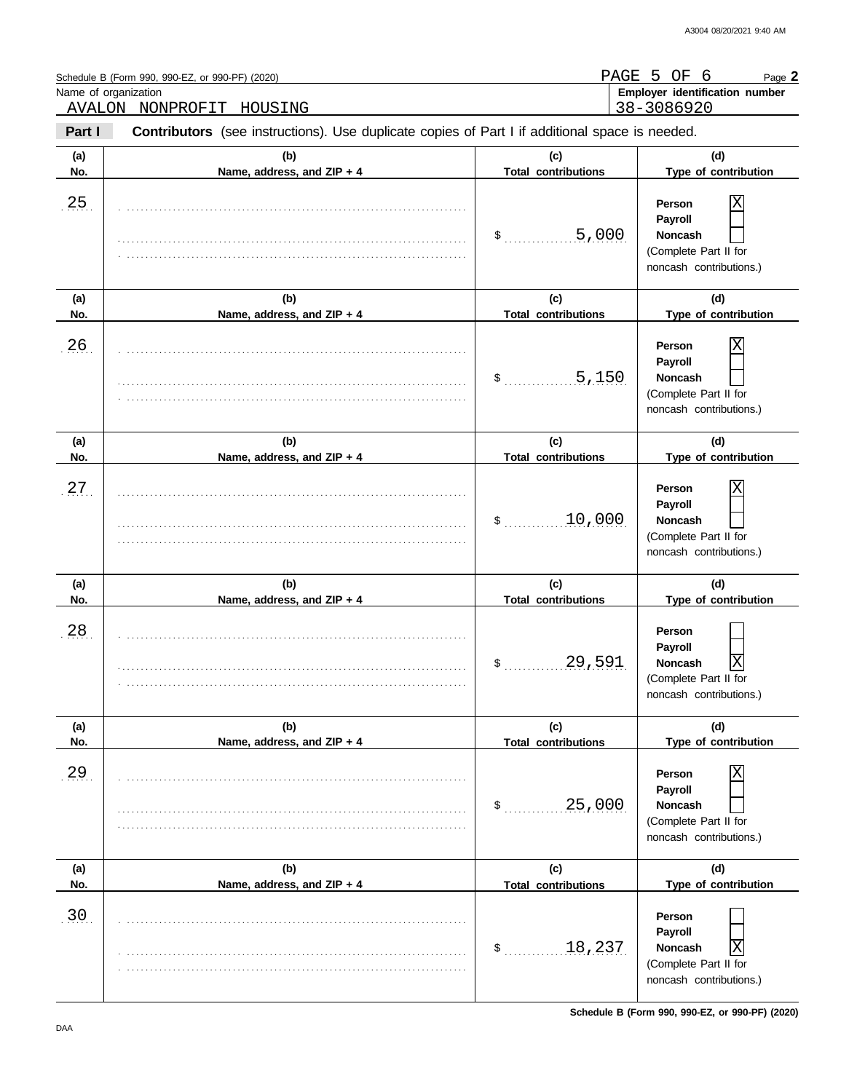|            | Schedule B (Form 990, 990-EZ, or 990-PF) (2020)<br>Name of organization<br>AVALON NONPROFIT HOUSING |                                   | PAGE 5 OF 6<br>Page 2<br>Employer identification number<br>38-3086920                        |
|------------|-----------------------------------------------------------------------------------------------------|-----------------------------------|----------------------------------------------------------------------------------------------|
| Part I     | Contributors (see instructions). Use duplicate copies of Part I if additional space is needed.      |                                   |                                                                                              |
| (a)<br>No. | (b)<br>Name, address, and ZIP + 4                                                                   | (c)<br><b>Total contributions</b> | (d)<br>Type of contribution                                                                  |
| 25.        |                                                                                                     | .5,000<br>$\sim$                  | Person<br>Payroll<br><b>Noncash</b><br>(Complete Part II for<br>noncash contributions.)      |
| (a)<br>No. | (b)<br>Name, address, and ZIP + 4                                                                   | (c)<br><b>Total contributions</b> | (d)<br>Type of contribution                                                                  |
| 26         |                                                                                                     | 5,150<br>$\sim$                   | Person<br>Payroll<br><b>Noncash</b><br>(Complete Part II for<br>noncash contributions.)      |
| (a)<br>No. | (b)<br>Name, address, and ZIP + 4                                                                   | (c)<br><b>Total contributions</b> | (d)<br>Type of contribution                                                                  |
| 27         |                                                                                                     | 10,000<br>$\sim$                  | Person<br>Payroll<br><b>Noncash</b><br>(Complete Part II for<br>noncash contributions.)      |
| (a)<br>No. | (b)<br>Name, address, and ZIP + 4                                                                   | (c)<br><b>Total contributions</b> | (d)<br>Type of contribution                                                                  |
| 28         |                                                                                                     | 29,591<br>\$                      | Person<br>Payroll<br>Noncash<br> X <br>(Complete Part II for<br>noncash contributions.)      |
| (a)<br>No. | (b)<br>Name, address, and ZIP + 4                                                                   | (c)<br><b>Total contributions</b> | (d)<br>Type of contribution                                                                  |
| 29.        |                                                                                                     | 25,000<br>$\sim$                  | Person<br>Payroll<br><b>Noncash</b><br>(Complete Part II for<br>noncash contributions.)      |
| (a)<br>No. | (b)<br>Name, address, and ZIP + 4                                                                   | (c)<br><b>Total contributions</b> | (d)<br>Type of contribution                                                                  |
| .30.       |                                                                                                     | 18,237<br>\$                      | Person<br>Payroll<br>Χ<br><b>Noncash</b><br>(Complete Part II for<br>noncash contributions.) |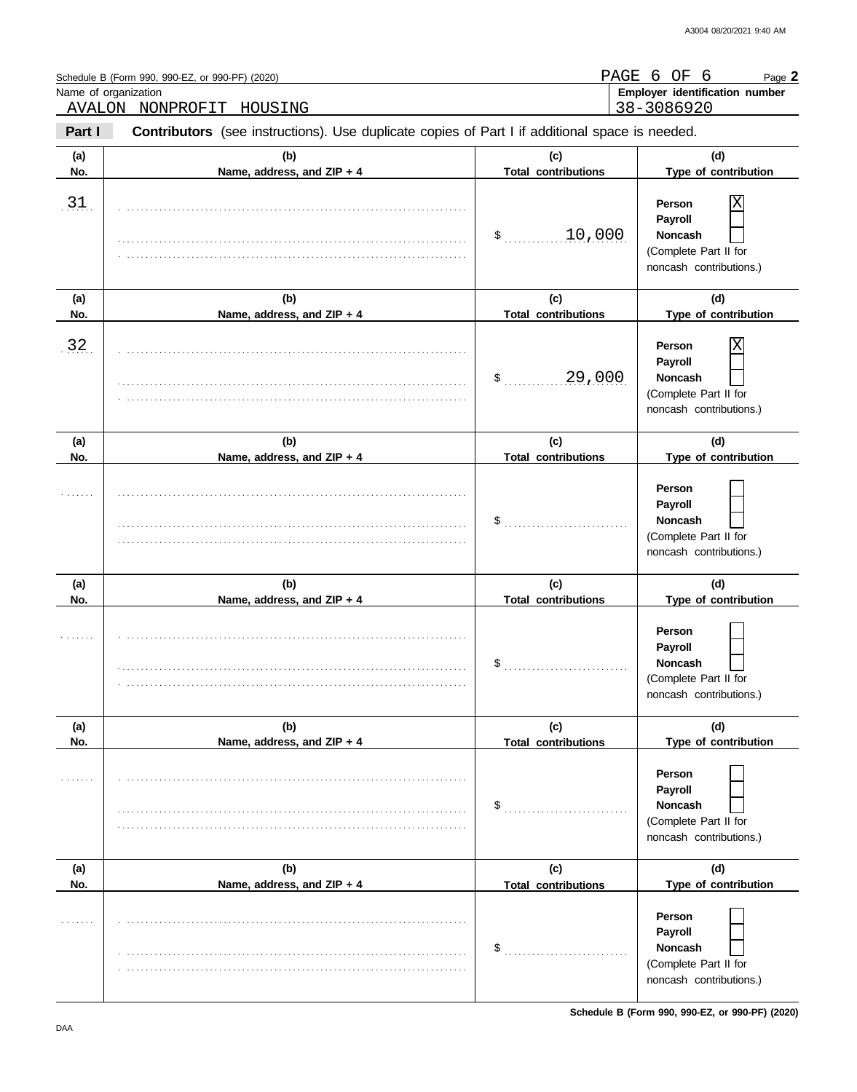| Name of organization | Schedule B (Form 990, 990-EZ, or 990-PF) (2020)<br>AVALON NONPROFIT HOUSING                    |                                   | PAGE 6 OF 6<br>Page 2<br>Employer identification number<br>38-3086920                   |
|----------------------|------------------------------------------------------------------------------------------------|-----------------------------------|-----------------------------------------------------------------------------------------|
| Part I               | Contributors (see instructions). Use duplicate copies of Part I if additional space is needed. |                                   |                                                                                         |
| (a)<br>No.           | (b)<br>Name, address, and ZIP + 4                                                              | (c)<br><b>Total contributions</b> | (d)<br>Type of contribution                                                             |
| 31.                  |                                                                                                | 10,000<br>$\sim$                  | Person<br>Payroll<br><b>Noncash</b><br>(Complete Part II for<br>noncash contributions.) |
| (a)<br>No.           | (b)<br>Name, address, and ZIP + 4                                                              | (c)<br><b>Total contributions</b> | (d)<br>Type of contribution                                                             |
| 32                   |                                                                                                | 29,000<br>$\sim$                  | Person<br>Payroll<br><b>Noncash</b><br>(Complete Part II for<br>noncash contributions.) |
| (a)<br>No.           | (b)<br>Name, address, and ZIP + 4                                                              | (c)<br><b>Total contributions</b> | (d)<br>Type of contribution                                                             |
|                      |                                                                                                | \$                                | Person<br>Payroll<br><b>Noncash</b><br>(Complete Part II for<br>noncash contributions.) |
| (a)<br>No.           | (b)<br>Name, address, and ZIP + 4                                                              | (c)<br><b>Total contributions</b> | (d)<br>Type of contribution                                                             |
|                      |                                                                                                | \$                                | Person<br>Payroll<br>Noncash<br>(Complete Part II for<br>noncash contributions.)        |
| (a)<br>No.           | (b)<br>Name, address, and ZIP + 4                                                              | (c)<br><b>Total contributions</b> | (d)<br>Type of contribution                                                             |
|                      |                                                                                                | \$                                | Person<br>Payroll<br><b>Noncash</b><br>(Complete Part II for<br>noncash contributions.) |
| (a)<br>No.           | (b)<br>Name, address, and ZIP + 4                                                              | (c)<br><b>Total contributions</b> | (d)<br>Type of contribution                                                             |
|                      |                                                                                                | \$                                | Person<br>Payroll<br>Noncash<br>(Complete Part II for<br>noncash contributions.)        |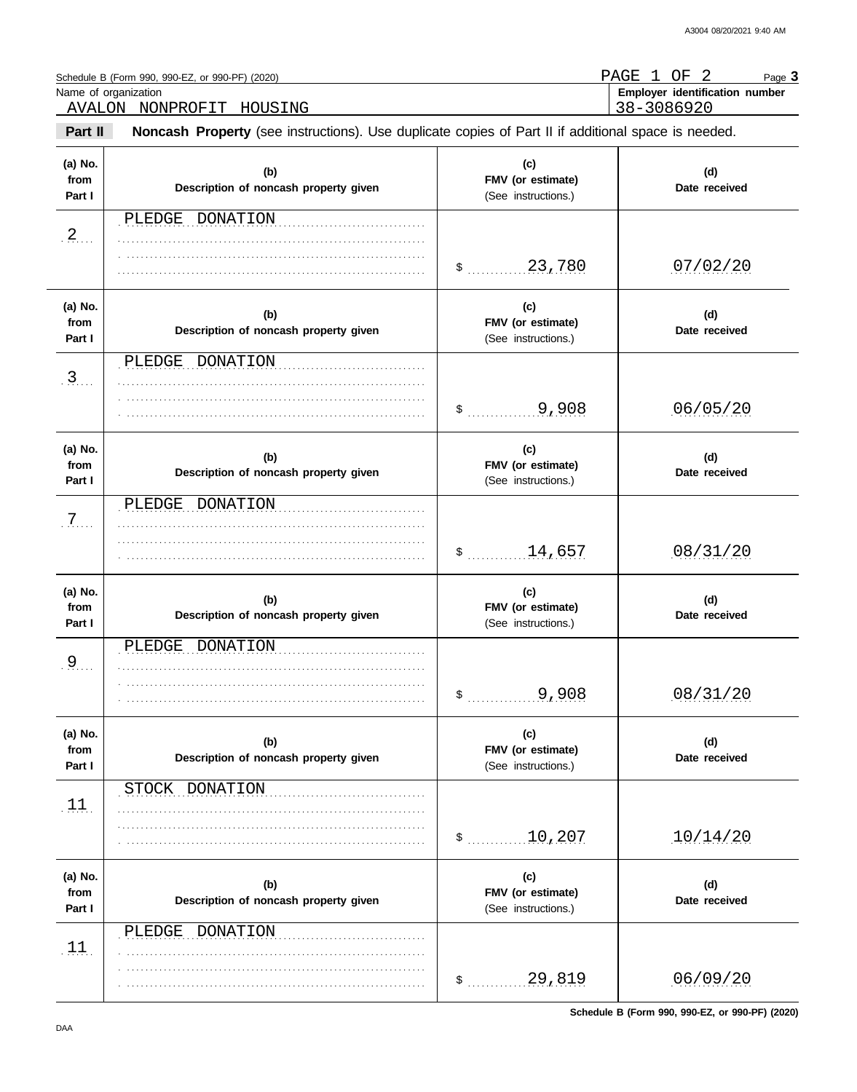PAGE 1 OF 2

Page **3**

|                           | Name of organization<br>AVALON NONPROFIT<br>HOUSING                                                 |                                                 | Employer identification number<br>38-3086920 |
|---------------------------|-----------------------------------------------------------------------------------------------------|-------------------------------------------------|----------------------------------------------|
| Part II                   | Noncash Property (see instructions). Use duplicate copies of Part II if additional space is needed. |                                                 |                                              |
| (a) No.<br>from<br>Part I | (b)<br>Description of noncash property given                                                        | (c)<br>FMV (or estimate)<br>(See instructions.) | (d)<br>Date received                         |
| .2                        | PLEDGE DONATION                                                                                     |                                                 |                                              |
|                           |                                                                                                     |                                                 | 07/02/20                                     |
| (a) No.<br>from<br>Part I | (b)<br>Description of noncash property given                                                        | (c)<br>FMV (or estimate)<br>(See instructions.) | (d)<br>Date received                         |
| 3                         | PLEDGE DONATION                                                                                     |                                                 |                                              |
|                           |                                                                                                     | 9,908<br>$\mathsf{\$}$                          | 06/05/20                                     |
| (a) No.<br>from<br>Part I | (b)<br>Description of noncash property given                                                        | (c)<br>FMV (or estimate)<br>(See instructions.) | (d)<br>Date received                         |
| $.7.$                     | PLEDGE DONATION                                                                                     | \$14,657                                        | 08/31/20                                     |
| (a) No.<br>from<br>Part I | (b)<br>Description of noncash property given                                                        | (c)<br>FMV (or estimate)<br>(See instructions.) | (d)<br>Date received                         |
| .9                        | DONATION<br>PLEDGE                                                                                  | 9,908<br>\$                                     | 08/31/20                                     |
| (a) No.<br>from<br>Part I | (b)<br>Description of noncash property given                                                        | (c)<br>FMV (or estimate)<br>(See instructions.) | (d)<br>Date received                         |
| .11.                      | STOCK DONATION                                                                                      | 10,207<br>\$                                    | 10/14/20                                     |
| (a) No.<br>from<br>Part I | (b)<br>Description of noncash property given                                                        | (c)<br>FMV (or estimate)<br>(See instructions.) | (d)<br>Date received                         |
| $\overline{11}$ .         | PLEDGE DONATION                                                                                     |                                                 |                                              |
|                           |                                                                                                     | 29,819<br>\$                                    | 06/09/20                                     |

. . . . . . . . . . . . . . . . . . . . . . . . . . . . . . . . . . . . . . . . . . . . . . . . . . . . . . . . . . . . . . . . . .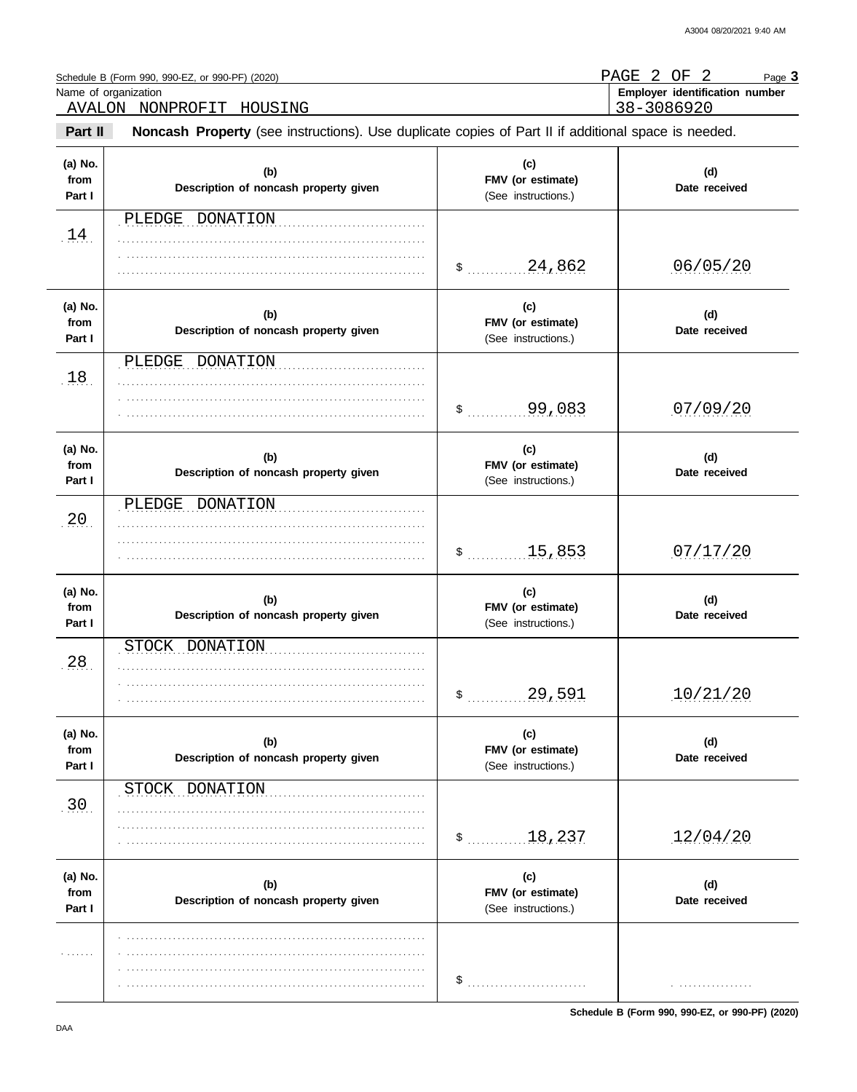$\overline{\phantom{0}}$ 

| Schedule B (Form 990, 990-EZ, or 990-PF) (2020) | PAGE 2 OF<br>Page 3            |
|-------------------------------------------------|--------------------------------|
| Name of organization                            | Employer identification number |
| AVALON NONPROFIT HOUSING                        | 38-3086920                     |

| Part II                   | Noncash Property (see instructions). Use duplicate copies of Part II if additional space is needed. |                                                 |                      |  |  |  |  |
|---------------------------|-----------------------------------------------------------------------------------------------------|-------------------------------------------------|----------------------|--|--|--|--|
| (a) No.<br>from<br>Part I | (b)<br>Description of noncash property given                                                        | (c)<br>FMV (or estimate)<br>(See instructions.) | (d)<br>Date received |  |  |  |  |
| 14                        | PLEDGE DONATION                                                                                     |                                                 | .06/05/20            |  |  |  |  |
| (a) No.<br>from<br>Part I | (b)<br>Description of noncash property given                                                        | (c)<br>FMV (or estimate)<br>(See instructions.) | (d)<br>Date received |  |  |  |  |
| .18.                      | DONATION<br>PLEDGE                                                                                  | $$$ 99,083                                      | 07/09/20             |  |  |  |  |
| (a) No.<br>from<br>Part I | (b)<br>Description of noncash property given                                                        | (c)<br>FMV (or estimate)<br>(See instructions.) | (d)<br>Date received |  |  |  |  |
| .20.                      | PLEDGE<br>DONATION                                                                                  | $$$ 15,853                                      | 07/17/20             |  |  |  |  |
| (a) No.<br>from<br>Part I | (b)<br>Description of noncash property given                                                        | (c)<br>FMV (or estimate)<br>(See instructions.) | (d)<br>Date received |  |  |  |  |
| 28.                       | STOCK<br>DONATION                                                                                   | $$$ 29,591                                      | 10/21/20             |  |  |  |  |
| (a) No.<br>from<br>Part I | (b)<br>Description of noncash property given                                                        | (c)<br>FMV (or estimate)<br>(See instructions.) | (d)<br>Date received |  |  |  |  |
| .30                       | STOCK DONATION                                                                                      | \$ 18,237                                       | 12/04/20             |  |  |  |  |
| (a) No.<br>from<br>Part I | (b)<br>Description of noncash property given                                                        | (c)<br>FMV (or estimate)<br>(See instructions.) | (d)<br>Date received |  |  |  |  |
| .                         |                                                                                                     | \$                                              | .                    |  |  |  |  |

**Schedule B (Form 990, 990-EZ, or 990-PF) (2020)**

 $\overline{a}$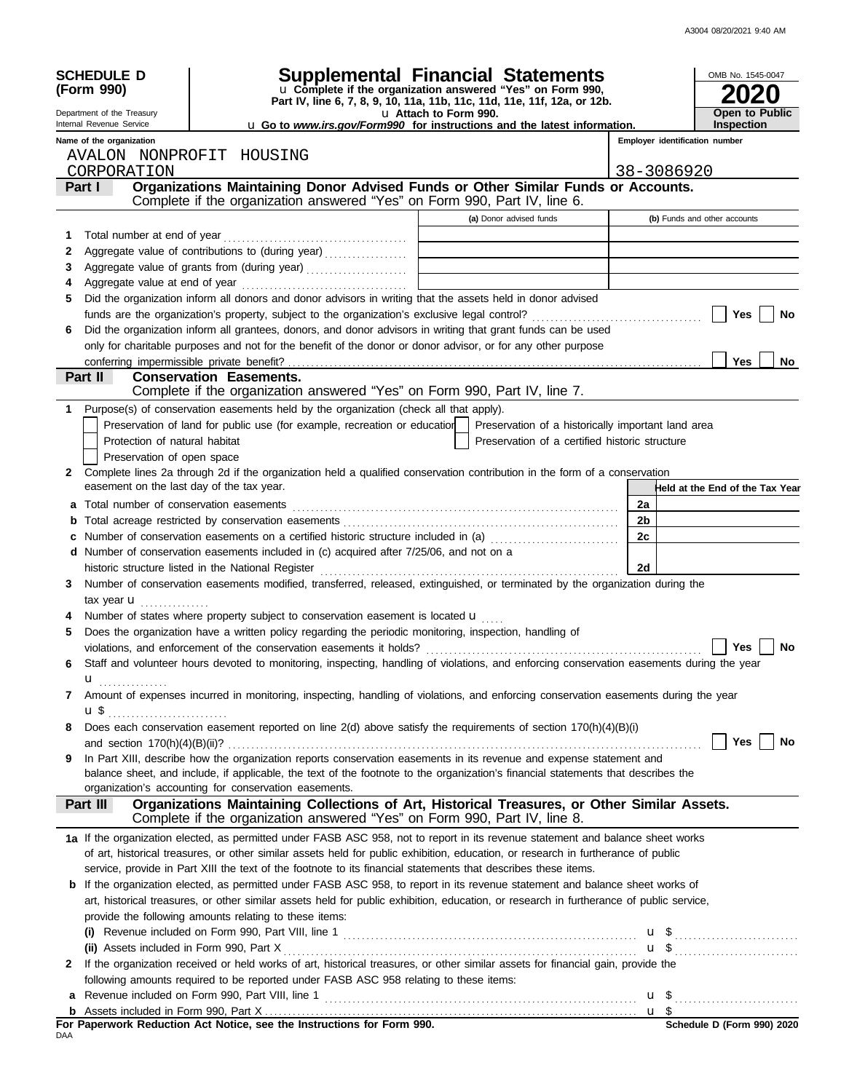| <b>SCHEDULE D</b><br>(Form 990)           |                                                                                                                                                    | <b>Supplemental Financial Statements</b><br>u Complete if the organization answered "Yes" on Form 990,<br>Part IV, line 6, 7, 8, 9, 10, 11a, 11b, 11c, 11d, 11e, 11f, 12a, or 12b. |            | OMB No. 1545-0047               |
|-------------------------------------------|----------------------------------------------------------------------------------------------------------------------------------------------------|------------------------------------------------------------------------------------------------------------------------------------------------------------------------------------|------------|---------------------------------|
| Department of the Treasury                |                                                                                                                                                    | u Attach to Form 990.                                                                                                                                                              |            | <b>Open to Public</b>           |
| Internal Revenue Service                  |                                                                                                                                                    | <b>u</b> Go to <i>www.irs.gov/Form990</i> for instructions and the latest information.                                                                                             |            | <b>Inspection</b>               |
| Name of the organization                  |                                                                                                                                                    |                                                                                                                                                                                    |            | Employer identification number  |
| AVALON NONPROFIT HOUSING<br>CORPORATION   |                                                                                                                                                    |                                                                                                                                                                                    | 38-3086920 |                                 |
| Part I                                    | Organizations Maintaining Donor Advised Funds or Other Similar Funds or Accounts.                                                                  |                                                                                                                                                                                    |            |                                 |
|                                           | Complete if the organization answered "Yes" on Form 990, Part IV, line 6.                                                                          |                                                                                                                                                                                    |            |                                 |
|                                           |                                                                                                                                                    | (a) Donor advised funds                                                                                                                                                            |            | (b) Funds and other accounts    |
| Total number at end of year<br>1          |                                                                                                                                                    |                                                                                                                                                                                    |            |                                 |
| 2                                         | Aggregate value of contributions to (during year)                                                                                                  | the control of the control of the control of the control of the control of                                                                                                         |            |                                 |
| 3                                         | Aggregate value of grants from (during year) [[11] Aggregate value of grants from (during year) [[11] Aggregate value of grants from (during year) |                                                                                                                                                                                    |            |                                 |
| 4                                         |                                                                                                                                                    |                                                                                                                                                                                    |            |                                 |
| 5                                         | Did the organization inform all donors and donor advisors in writing that the assets held in donor advised                                         |                                                                                                                                                                                    |            |                                 |
|                                           |                                                                                                                                                    |                                                                                                                                                                                    |            | <b>Yes</b><br>No                |
| 6                                         | Did the organization inform all grantees, donors, and donor advisors in writing that grant funds can be used                                       |                                                                                                                                                                                    |            |                                 |
|                                           | only for charitable purposes and not for the benefit of the donor or donor advisor, or for any other purpose                                       |                                                                                                                                                                                    |            |                                 |
| conferring impermissible private benefit? |                                                                                                                                                    |                                                                                                                                                                                    |            | <b>Yes</b><br>No                |
| Part II                                   | <b>Conservation Easements.</b>                                                                                                                     |                                                                                                                                                                                    |            |                                 |
|                                           | Complete if the organization answered "Yes" on Form 990, Part IV, line 7.                                                                          |                                                                                                                                                                                    |            |                                 |
| 1                                         | Purpose(s) of conservation easements held by the organization (check all that apply).                                                              |                                                                                                                                                                                    |            |                                 |
|                                           | Preservation of land for public use (for example, recreation or education   Preservation of a historically important land area                     |                                                                                                                                                                                    |            |                                 |
| Protection of natural habitat             |                                                                                                                                                    | Preservation of a certified historic structure                                                                                                                                     |            |                                 |
| Preservation of open space                |                                                                                                                                                    |                                                                                                                                                                                    |            |                                 |
| 2                                         | Complete lines 2a through 2d if the organization held a qualified conservation contribution in the form of a conservation                          |                                                                                                                                                                                    |            |                                 |
| easement on the last day of the tax year. |                                                                                                                                                    |                                                                                                                                                                                    |            | Held at the End of the Tax Year |
| a                                         |                                                                                                                                                    |                                                                                                                                                                                    | 2a         |                                 |
| b                                         |                                                                                                                                                    |                                                                                                                                                                                    | 2b         |                                 |
|                                           |                                                                                                                                                    |                                                                                                                                                                                    | 2c         |                                 |
|                                           | d Number of conservation easements included in (c) acquired after 7/25/06, and not on a                                                            |                                                                                                                                                                                    |            |                                 |
|                                           | historic structure listed in the National Register                                                                                                 |                                                                                                                                                                                    | 2d         |                                 |
| 3                                         | Number of conservation easements modified, transferred, released, extinguished, or terminated by the organization during the                       |                                                                                                                                                                                    |            |                                 |
| tax year $\mathbf{u}$                     |                                                                                                                                                    |                                                                                                                                                                                    |            |                                 |
|                                           | Number of states where property subject to conservation easement is located <b>u</b>                                                               |                                                                                                                                                                                    |            |                                 |
| 5                                         | Does the organization have a written policy regarding the periodic monitoring, inspection, handling of                                             |                                                                                                                                                                                    |            | Yes<br><b>No</b>                |
|                                           | violations, and enforcement of the conservation easements it holds?                                                                                |                                                                                                                                                                                    |            |                                 |
| 6                                         | Staff and volunteer hours devoted to monitoring, inspecting, handling of violations, and enforcing conservation easements during the year          |                                                                                                                                                                                    |            |                                 |
| u                                         |                                                                                                                                                    |                                                                                                                                                                                    |            |                                 |
| 7<br>$\mathbf{u} \, \mathbf{\$}$          | Amount of expenses incurred in monitoring, inspecting, handling of violations, and enforcing conservation easements during the year                |                                                                                                                                                                                    |            |                                 |
|                                           |                                                                                                                                                    |                                                                                                                                                                                    |            |                                 |
| 8                                         | Does each conservation easement reported on line $2(d)$ above satisfy the requirements of section $170(h)(4)(B)(i)$                                |                                                                                                                                                                                    |            | Yes<br>No                       |
|                                           | In Part XIII, describe how the organization reports conservation easements in its revenue and expense statement and                                |                                                                                                                                                                                    |            |                                 |
| 9                                         | balance sheet, and include, if applicable, the text of the footnote to the organization's financial statements that describes the                  |                                                                                                                                                                                    |            |                                 |
|                                           | organization's accounting for conservation easements.                                                                                              |                                                                                                                                                                                    |            |                                 |
| Part III                                  | Organizations Maintaining Collections of Art, Historical Treasures, or Other Similar Assets.                                                       |                                                                                                                                                                                    |            |                                 |
|                                           | Complete if the organization answered "Yes" on Form 990, Part IV, line 8.                                                                          |                                                                                                                                                                                    |            |                                 |
|                                           | 1a If the organization elected, as permitted under FASB ASC 958, not to report in its revenue statement and balance sheet works                    |                                                                                                                                                                                    |            |                                 |
|                                           | of art, historical treasures, or other similar assets held for public exhibition, education, or research in furtherance of public                  |                                                                                                                                                                                    |            |                                 |
|                                           | service, provide in Part XIII the text of the footnote to its financial statements that describes these items.                                     |                                                                                                                                                                                    |            |                                 |
|                                           | <b>b</b> If the organization elected, as permitted under FASB ASC 958, to report in its revenue statement and balance sheet works of               |                                                                                                                                                                                    |            |                                 |
|                                           | art, historical treasures, or other similar assets held for public exhibition, education, or research in furtherance of public service,            |                                                                                                                                                                                    |            |                                 |
|                                           | provide the following amounts relating to these items:                                                                                             |                                                                                                                                                                                    |            |                                 |
|                                           | (i) Revenue included on Form 990, Part VIII, line 1 $\ldots$ $\ldots$ $\ldots$ $\ldots$ $\ldots$ $\ldots$ $\ldots$ $\ldots$ $\ldots$ $\ldots$      |                                                                                                                                                                                    |            |                                 |
| (ii) Assets included in Form 990, Part X  |                                                                                                                                                    |                                                                                                                                                                                    |            |                                 |
| 2                                         | If the organization received or held works of art, historical treasures, or other similar assets for financial gain, provide the                   |                                                                                                                                                                                    |            |                                 |
|                                           | following amounts required to be reported under FASB ASC 958 relating to these items:                                                              |                                                                                                                                                                                    |            |                                 |
| a                                         |                                                                                                                                                    |                                                                                                                                                                                    |            |                                 |
|                                           |                                                                                                                                                    |                                                                                                                                                                                    |            |                                 |
|                                           | For Paperwork Reduction Act Notice, see the Instructions for Form 990.                                                                             |                                                                                                                                                                                    |            | Schedule D (Form 990) 2020      |
| DAA                                       |                                                                                                                                                    |                                                                                                                                                                                    |            |                                 |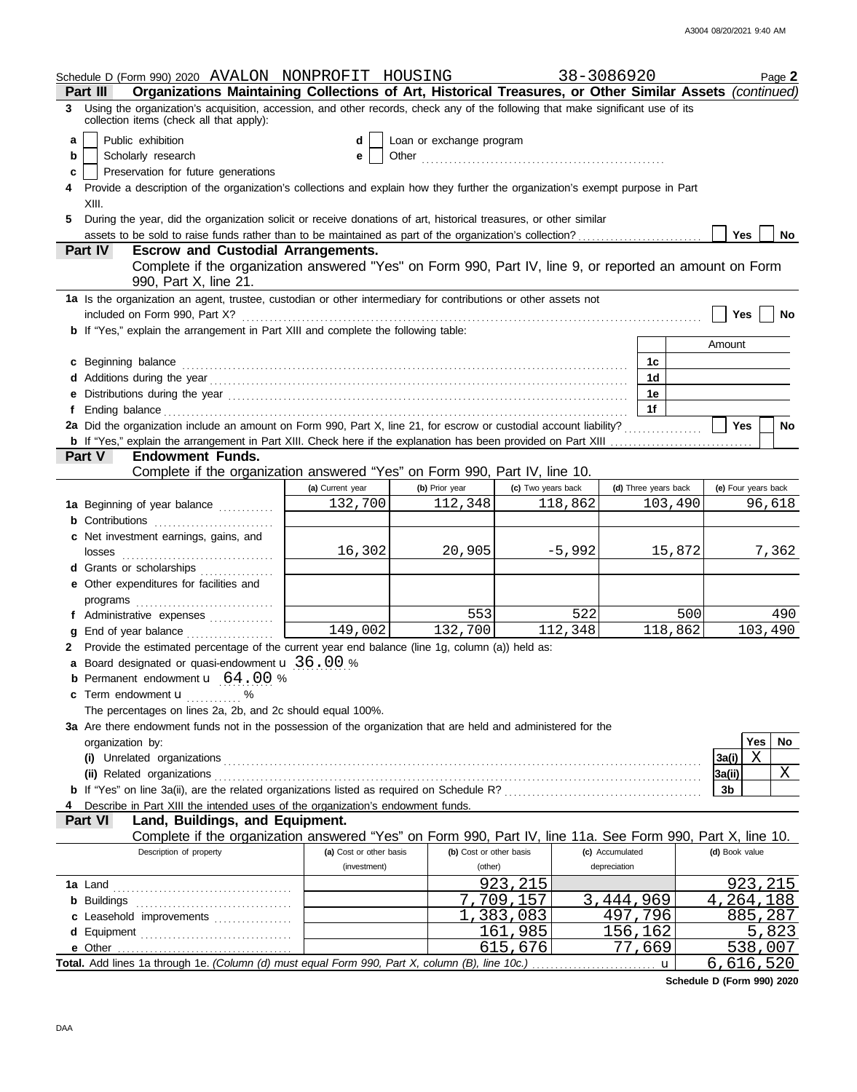|   | Schedule D (Form 990) 2020 AVALON NONPROFIT HOUSING                                                                                                                                                                            |                         |                          |                    | 38-3086920           | Page 2              |  |  |  |
|---|--------------------------------------------------------------------------------------------------------------------------------------------------------------------------------------------------------------------------------|-------------------------|--------------------------|--------------------|----------------------|---------------------|--|--|--|
|   | Organizations Maintaining Collections of Art, Historical Treasures, or Other Similar Assets (continued)<br>Part III                                                                                                            |                         |                          |                    |                      |                     |  |  |  |
| 3 | Using the organization's acquisition, accession, and other records, check any of the following that make significant use of its<br>collection items (check all that apply):                                                    |                         |                          |                    |                      |                     |  |  |  |
| a | Public exhibition                                                                                                                                                                                                              | d                       | Loan or exchange program |                    |                      |                     |  |  |  |
| b | Scholarly research                                                                                                                                                                                                             | е                       |                          |                    |                      |                     |  |  |  |
| c | Preservation for future generations                                                                                                                                                                                            |                         |                          |                    |                      |                     |  |  |  |
|   | Provide a description of the organization's collections and explain how they further the organization's exempt purpose in Part                                                                                                 |                         |                          |                    |                      |                     |  |  |  |
|   | XIII.                                                                                                                                                                                                                          |                         |                          |                    |                      |                     |  |  |  |
|   | During the year, did the organization solicit or receive donations of art, historical treasures, or other similar                                                                                                              |                         |                          |                    |                      | <b>Yes</b><br>No    |  |  |  |
|   | Part IV<br><b>Escrow and Custodial Arrangements.</b>                                                                                                                                                                           |                         |                          |                    |                      |                     |  |  |  |
|   | Complete if the organization answered "Yes" on Form 990, Part IV, line 9, or reported an amount on Form<br>990, Part X, line 21.                                                                                               |                         |                          |                    |                      |                     |  |  |  |
|   | 1a Is the organization an agent, trustee, custodian or other intermediary for contributions or other assets not<br>included on Form 990, Part X?                                                                               |                         |                          |                    |                      | Yes<br>No           |  |  |  |
|   | <b>b</b> If "Yes," explain the arrangement in Part XIII and complete the following table:                                                                                                                                      |                         |                          |                    |                      |                     |  |  |  |
|   |                                                                                                                                                                                                                                |                         |                          |                    |                      | Amount              |  |  |  |
|   | c Beginning balance entrance and all the contract of the contract of the contract of the contract of the contract of the contract of the contract of the contract of the contract of the contract of the contract of the contr |                         |                          |                    | 1c                   |                     |  |  |  |
|   |                                                                                                                                                                                                                                |                         |                          |                    | 1d                   |                     |  |  |  |
|   | e Distributions during the year manufactured contains and the year manufactured with the set of the set of the set of the set of the set of the set of the set of the set of the set of the set of the set of the set of the s |                         |                          |                    | 1е                   |                     |  |  |  |
|   |                                                                                                                                                                                                                                |                         |                          |                    | 1f                   |                     |  |  |  |
|   | 2a Did the organization include an amount on Form 990, Part X, line 21, for escrow or custodial account liability?                                                                                                             |                         |                          |                    |                      | Yes<br>No           |  |  |  |
|   |                                                                                                                                                                                                                                |                         |                          |                    |                      |                     |  |  |  |
|   | <b>Endowment Funds.</b><br>Part V                                                                                                                                                                                              |                         |                          |                    |                      |                     |  |  |  |
|   | Complete if the organization answered "Yes" on Form 990, Part IV, line 10.                                                                                                                                                     |                         |                          |                    |                      |                     |  |  |  |
|   |                                                                                                                                                                                                                                | (a) Current year        | (b) Prior year           | (c) Two years back | (d) Three years back | (e) Four years back |  |  |  |
|   | 1a Beginning of year balance                                                                                                                                                                                                   | 132,700                 | 112,348                  | 118,862            | 103,490              | 96,618              |  |  |  |
|   | <b>b</b> Contributions                                                                                                                                                                                                         |                         |                          |                    |                      |                     |  |  |  |
|   | c Net investment earnings, gains, and                                                                                                                                                                                          |                         |                          |                    |                      |                     |  |  |  |
|   | losses                                                                                                                                                                                                                         | 16,302                  | 20,905                   | $-5,992$           | 15,872               | 7,362               |  |  |  |
|   | d Grants or scholarships                                                                                                                                                                                                       |                         |                          |                    |                      |                     |  |  |  |
|   | e Other expenditures for facilities and                                                                                                                                                                                        |                         |                          |                    |                      |                     |  |  |  |
|   |                                                                                                                                                                                                                                |                         |                          |                    |                      |                     |  |  |  |
|   | f Administrative expenses                                                                                                                                                                                                      |                         | 553                      | 522                | 500                  | 490                 |  |  |  |
|   | g End of year balance                                                                                                                                                                                                          | 149,002                 | 132,700                  | 112,348            | 118,862              | 103,490             |  |  |  |
|   | Provide the estimated percentage of the current year end balance (line 1g, column (a)) held as:                                                                                                                                |                         |                          |                    |                      |                     |  |  |  |
|   | a Board designated or quasi-endowment <b>u</b> 36.00 %                                                                                                                                                                         |                         |                          |                    |                      |                     |  |  |  |
|   | <b>b</b> Permanent endowment $\mathbf{u}$ 64.00 %                                                                                                                                                                              |                         |                          |                    |                      |                     |  |  |  |
|   | c Term endowment <b>u</b> 2008                                                                                                                                                                                                 |                         |                          |                    |                      |                     |  |  |  |
|   | The percentages on lines 2a, 2b, and 2c should equal 100%.                                                                                                                                                                     |                         |                          |                    |                      |                     |  |  |  |
|   |                                                                                                                                                                                                                                |                         |                          |                    |                      |                     |  |  |  |
|   | 3a Are there endowment funds not in the possession of the organization that are held and administered for the                                                                                                                  |                         |                          |                    |                      |                     |  |  |  |
|   | organization by:                                                                                                                                                                                                               |                         |                          |                    |                      | <b>Yes</b><br>No    |  |  |  |
|   |                                                                                                                                                                                                                                |                         |                          |                    |                      | Χ<br>3a(i)          |  |  |  |
|   | (ii) Related organizations                                                                                                                                                                                                     |                         |                          |                    |                      | X<br> 3a(ii)        |  |  |  |
|   |                                                                                                                                                                                                                                |                         |                          |                    |                      | 3 <sub>b</sub>      |  |  |  |
|   | Describe in Part XIII the intended uses of the organization's endowment funds.                                                                                                                                                 |                         |                          |                    |                      |                     |  |  |  |
|   | Land, Buildings, and Equipment.<br><b>Part VI</b><br>Complete if the organization answered "Yes" on Form 990, Part IV, line 11a. See Form 990, Part X, line 10.                                                                |                         |                          |                    |                      |                     |  |  |  |
|   | Description of property                                                                                                                                                                                                        | (a) Cost or other basis | (b) Cost or other basis  |                    | (c) Accumulated      | (d) Book value      |  |  |  |
|   |                                                                                                                                                                                                                                | (investment)            | (other)                  |                    | depreciation         |                     |  |  |  |
|   |                                                                                                                                                                                                                                |                         |                          | 923,215            |                      | 923, 215            |  |  |  |
|   |                                                                                                                                                                                                                                |                         |                          | ,709,157           | 3,444,969            |                     |  |  |  |
|   | <b>b</b> Buildings <b>container and the Buildings container and the Buildings</b>                                                                                                                                              |                         |                          |                    |                      | 4,264,188           |  |  |  |
|   | c Leasehold improvements                                                                                                                                                                                                       |                         |                          | 1,383,083          | 497,796              | 885,287             |  |  |  |
|   | d Equipment                                                                                                                                                                                                                    |                         |                          | 161,985            | 156,162              | 5,823               |  |  |  |
|   |                                                                                                                                                                                                                                |                         |                          | 615,676            | 77,669               | 538,007             |  |  |  |
|   | Total. Add lines 1a through 1e. (Column (d) must equal Form 990, Part X, column (B), line 10c.)                                                                                                                                |                         |                          |                    | $\mathbf{u}$         | 6,616,520           |  |  |  |

**Schedule D (Form 990) 2020**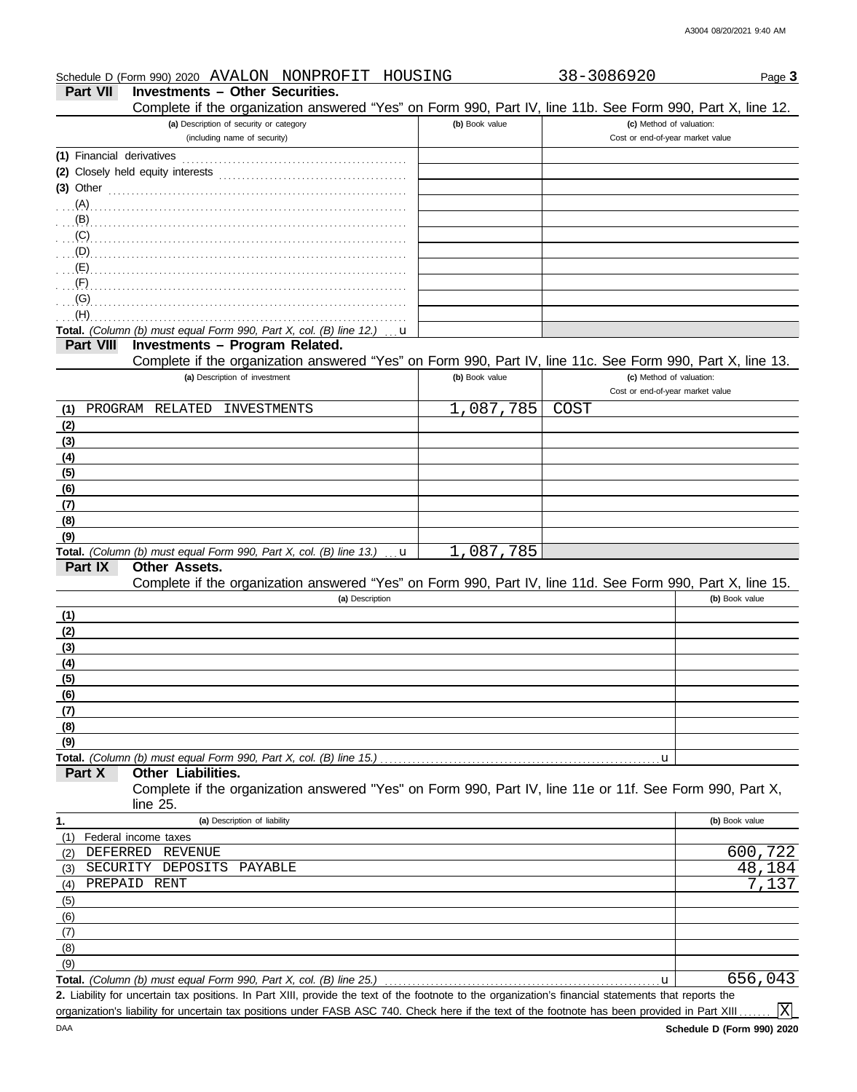| <b>Part VII</b>          | Schedule D (Form 990) 2020 AVALON NONPROFIT<br>HOUSING<br><b>Investments - Other Securities.</b>                                                                                                                              |                | 38-3086920                       | Page 3                                |
|--------------------------|-------------------------------------------------------------------------------------------------------------------------------------------------------------------------------------------------------------------------------|----------------|----------------------------------|---------------------------------------|
|                          | Complete if the organization answered "Yes" on Form 990, Part IV, line 11b. See Form 990, Part X, line 12.                                                                                                                    |                |                                  |                                       |
|                          | (a) Description of security or category                                                                                                                                                                                       | (b) Book value |                                  | (c) Method of valuation:              |
|                          | (including name of security)                                                                                                                                                                                                  |                | Cost or end-of-year market value |                                       |
|                          | (1) Financial derivatives                                                                                                                                                                                                     |                |                                  |                                       |
|                          |                                                                                                                                                                                                                               |                |                                  |                                       |
|                          | $(3)$ Other                                                                                                                                                                                                                   |                |                                  |                                       |
|                          |                                                                                                                                                                                                                               |                |                                  |                                       |
|                          |                                                                                                                                                                                                                               |                |                                  |                                       |
|                          | $(C)$ . The continuum continuum continuum continuum continuum continuum continuum continuum continuum continuum continuum continuum continuum continuum continuum continuum continuum continuum continuum continuum continuum |                |                                  |                                       |
|                          |                                                                                                                                                                                                                               |                |                                  |                                       |
| (E)                      |                                                                                                                                                                                                                               |                |                                  |                                       |
| (F)<br>(G)               |                                                                                                                                                                                                                               |                |                                  |                                       |
| (H)                      |                                                                                                                                                                                                                               |                |                                  |                                       |
|                          | Total. (Column (b) must equal Form 990, Part X, col. (B) line 12.)<br>u                                                                                                                                                       |                |                                  |                                       |
| <b>Part VIII</b>         | Investments - Program Related.                                                                                                                                                                                                |                |                                  |                                       |
|                          | Complete if the organization answered "Yes" on Form 990, Part IV, line 11c. See Form 990, Part X, line 13.                                                                                                                    |                |                                  |                                       |
|                          | (a) Description of investment                                                                                                                                                                                                 | (b) Book value | Cost or end-of-year market value | (c) Method of valuation:              |
| (1)                      | PROGRAM RELATED INVESTMENTS                                                                                                                                                                                                   | 1,087,785      | <b>COST</b>                      |                                       |
| (2)                      |                                                                                                                                                                                                                               |                |                                  |                                       |
| (3)                      |                                                                                                                                                                                                                               |                |                                  |                                       |
| (4)                      |                                                                                                                                                                                                                               |                |                                  |                                       |
| (5)                      |                                                                                                                                                                                                                               |                |                                  |                                       |
| (6)                      |                                                                                                                                                                                                                               |                |                                  |                                       |
| (7)                      |                                                                                                                                                                                                                               |                |                                  |                                       |
| (8)                      |                                                                                                                                                                                                                               |                |                                  |                                       |
| (9)                      |                                                                                                                                                                                                                               |                |                                  |                                       |
|                          | Total. (Column (b) must equal Form 990, Part X, col. (B) line 13.)<br>$\mathbf u$                                                                                                                                             | 1,087,785      |                                  |                                       |
| Part IX                  | Other Assets.                                                                                                                                                                                                                 |                |                                  |                                       |
|                          | Complete if the organization answered "Yes" on Form 990, Part IV, line 11d. See Form 990, Part X, line 15.                                                                                                                    |                |                                  |                                       |
|                          | (a) Description                                                                                                                                                                                                               |                |                                  | (b) Book value                        |
| (1)                      |                                                                                                                                                                                                                               |                |                                  |                                       |
| (2)                      |                                                                                                                                                                                                                               |                |                                  |                                       |
| (3)<br>(4)               |                                                                                                                                                                                                                               |                |                                  |                                       |
| (5)                      |                                                                                                                                                                                                                               |                |                                  |                                       |
| (6)                      |                                                                                                                                                                                                                               |                |                                  |                                       |
| (7)                      |                                                                                                                                                                                                                               |                |                                  |                                       |
| (8)                      |                                                                                                                                                                                                                               |                |                                  |                                       |
| (9)                      |                                                                                                                                                                                                                               |                |                                  |                                       |
|                          | Total. (Column (b) must equal Form 990, Part X, col. (B) line 15.)                                                                                                                                                            |                | u                                |                                       |
| Part X                   | <b>Other Liabilities.</b>                                                                                                                                                                                                     |                |                                  |                                       |
|                          | Complete if the organization answered "Yes" on Form 990, Part IV, line 11e or 11f. See Form 990, Part X,                                                                                                                      |                |                                  |                                       |
|                          |                                                                                                                                                                                                                               |                |                                  |                                       |
|                          | line 25.                                                                                                                                                                                                                      |                |                                  | (b) Book value                        |
| 1.                       | (a) Description of liability                                                                                                                                                                                                  |                |                                  |                                       |
| (1)                      | Federal income taxes                                                                                                                                                                                                          |                |                                  |                                       |
| DEFERRED<br>(2)          | REVENUE                                                                                                                                                                                                                       |                |                                  |                                       |
| SECURITY<br>(3)          | DEPOSITS<br>PAYABLE                                                                                                                                                                                                           |                |                                  |                                       |
| (4)                      | PREPAID RENT                                                                                                                                                                                                                  |                |                                  |                                       |
| (5)                      |                                                                                                                                                                                                                               |                |                                  |                                       |
|                          |                                                                                                                                                                                                                               |                |                                  |                                       |
|                          |                                                                                                                                                                                                                               |                |                                  |                                       |
|                          |                                                                                                                                                                                                                               |                |                                  |                                       |
| (6)<br>(7)<br>(8)<br>(9) | Total. (Column (b) must equal Form 990, Part X, col. (B) line 25.)                                                                                                                                                            |                | u                                | 600,722<br>48,184<br>7,137<br>656,043 |

Liability for uncertain tax positions. In Part XIII, provide the text of the footnote to the organization's financial statements that reports the **2.** organization's liability for uncertain tax positions under FASB ASC 740. Check here if the text of the footnote has been provided in Part XIII..

 $\boxed{\text{X}}$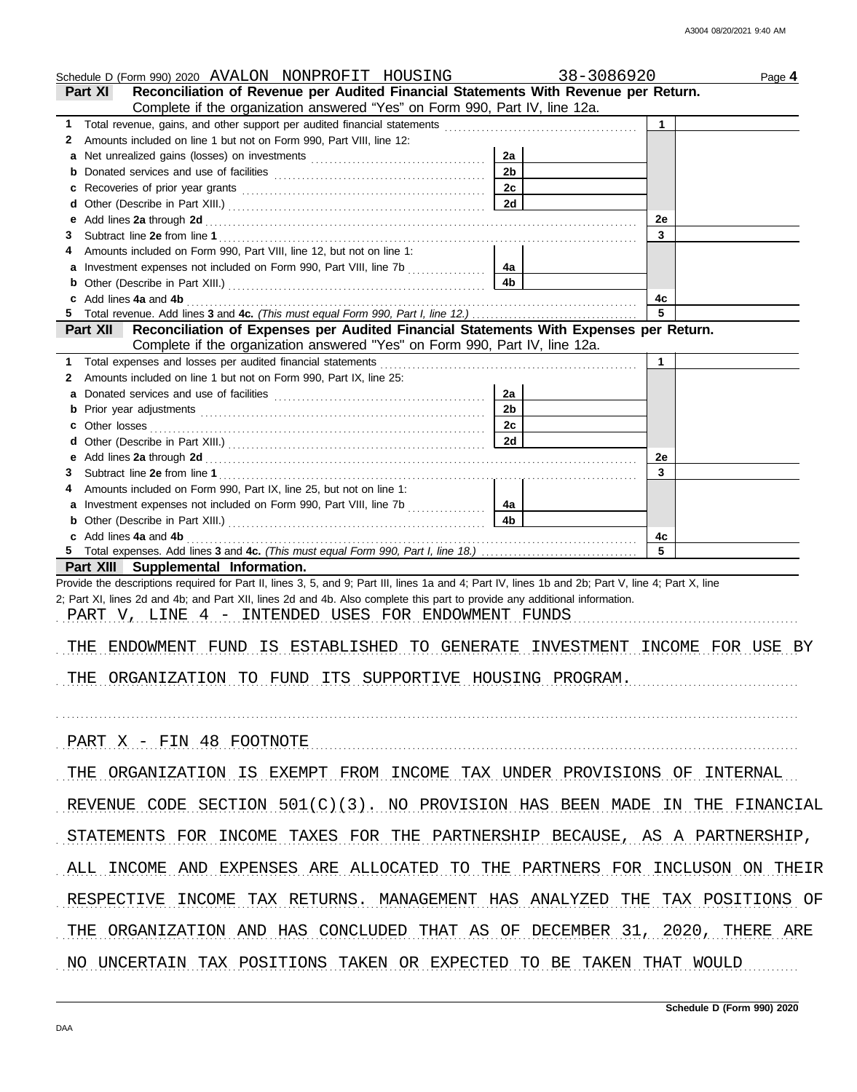| Schedule D (Form 990) 2020 AVALON NONPROFIT HOUSING                                                                                                                                                                                                                              |                      | 38-3086920        | Page 4 |
|----------------------------------------------------------------------------------------------------------------------------------------------------------------------------------------------------------------------------------------------------------------------------------|----------------------|-------------------|--------|
| Reconciliation of Revenue per Audited Financial Statements With Revenue per Return.<br><b>Part XI</b>                                                                                                                                                                            |                      |                   |        |
| Complete if the organization answered "Yes" on Form 990, Part IV, line 12a.                                                                                                                                                                                                      |                      |                   |        |
| 1 Total revenue, gains, and other support per audited financial statements [111] Total revenues [11] Total revenues [11] Total revenues [11] Total revenues [11] Total revenues [11] Total revenues [11] Total revenues [11] T                                                   |                      | $\mathbf{1}$      |        |
| Amounts included on line 1 but not on Form 990, Part VIII, line 12:<br>2                                                                                                                                                                                                         |                      |                   |        |
| a                                                                                                                                                                                                                                                                                | 2a                   |                   |        |
| b                                                                                                                                                                                                                                                                                | 2 <sub>b</sub>       |                   |        |
| Recoveries of prior year grants [[11] North Management of prior year grants [[11] North Management Communication of Prior (120) and Management Communication of Prior (120) and Management Communication of Prior (120) and Ma<br>с                                              | 2c                   |                   |        |
| d                                                                                                                                                                                                                                                                                | 2d                   |                   |        |
| е                                                                                                                                                                                                                                                                                |                      | 2e                |        |
| 3                                                                                                                                                                                                                                                                                |                      | 3                 |        |
| Amounts included on Form 990, Part VIII, line 12, but not on line 1:<br>4                                                                                                                                                                                                        |                      |                   |        |
| a<br>b                                                                                                                                                                                                                                                                           | 4a<br>4 <sub>b</sub> |                   |        |
| Add lines 4a and 4b                                                                                                                                                                                                                                                              |                      | 4с                |        |
| 5                                                                                                                                                                                                                                                                                |                      | 5                 |        |
| Part XII Reconciliation of Expenses per Audited Financial Statements With Expenses per Return.                                                                                                                                                                                   |                      |                   |        |
| Complete if the organization answered "Yes" on Form 990, Part IV, line 12a.                                                                                                                                                                                                      |                      |                   |        |
| Total expenses and losses per audited financial statements<br>1.                                                                                                                                                                                                                 |                      | 1                 |        |
| Amounts included on line 1 but not on Form 990, Part IX, line 25:<br>2                                                                                                                                                                                                           |                      |                   |        |
| a                                                                                                                                                                                                                                                                                | 2a                   |                   |        |
| b                                                                                                                                                                                                                                                                                | 2 <sub>b</sub>       |                   |        |
| Other losses<br>с                                                                                                                                                                                                                                                                | 2c                   |                   |        |
| d                                                                                                                                                                                                                                                                                | 2d                   |                   |        |
| е                                                                                                                                                                                                                                                                                |                      | 2e                |        |
| 3                                                                                                                                                                                                                                                                                |                      | 3                 |        |
| Amounts included on Form 990, Part IX, line 25, but not on line 1:<br>4                                                                                                                                                                                                          |                      |                   |        |
| a                                                                                                                                                                                                                                                                                | 4a                   |                   |        |
| b                                                                                                                                                                                                                                                                                | 4 <sub>b</sub>       |                   |        |
| c Add lines 4a and 4b                                                                                                                                                                                                                                                            |                      | 4c                |        |
|                                                                                                                                                                                                                                                                                  |                      | 5                 |        |
| Part XIII Supplemental Information.                                                                                                                                                                                                                                              |                      |                   |        |
| Provide the descriptions required for Part II, lines 3, 5, and 9; Part III, lines 1a and 4; Part IV, lines 1b and 2b; Part V, line 4; Part X, line<br>2; Part XI, lines 2d and 4b; and Part XII, lines 2d and 4b. Also complete this part to provide any additional information. |                      |                   |        |
| PART V, LINE 4 - INTENDED USES FOR ENDOWMENT FUNDS                                                                                                                                                                                                                               |                      |                   |        |
|                                                                                                                                                                                                                                                                                  |                      |                   |        |
| THE ENDOWMENT FUND IS ESTABLISHED TO GENERATE                                                                                                                                                                                                                                    | INVESTMENT           | INCOME FOR USE BY |        |
|                                                                                                                                                                                                                                                                                  |                      |                   |        |
| THE ORGANIZATION TO FUND ITS SUPPORTIVE HOUSING PROGRAM.                                                                                                                                                                                                                         |                      |                   |        |
|                                                                                                                                                                                                                                                                                  |                      |                   |        |
|                                                                                                                                                                                                                                                                                  |                      |                   |        |
|                                                                                                                                                                                                                                                                                  |                      |                   |        |
| PART X - FIN 48 FOOTNOTE                                                                                                                                                                                                                                                         |                      |                   |        |
|                                                                                                                                                                                                                                                                                  |                      |                   |        |
| THE ORGANIZATION IS EXEMPT FROM INCOME TAX UNDER PROVISIONS OF INTERNAL                                                                                                                                                                                                          |                      |                   |        |
|                                                                                                                                                                                                                                                                                  |                      |                   |        |
| REVENUE CODE SECTION 501(C)(3). NO PROVISION HAS BEEN MADE IN THE FINANCIAL                                                                                                                                                                                                      |                      |                   |        |
|                                                                                                                                                                                                                                                                                  |                      |                   |        |
| INCOME TAXES FOR THE PARTNERSHIP BECAUSE, AS A PARTNERSHIP,<br>STATEMENTS FOR                                                                                                                                                                                                    |                      |                   |        |
|                                                                                                                                                                                                                                                                                  |                      |                   |        |
| ALL INCOME AND EXPENSES ARE ALLOCATED TO THE PARTNERS FOR INCLUSON ON THEIR                                                                                                                                                                                                      |                      |                   |        |
|                                                                                                                                                                                                                                                                                  |                      |                   |        |
| INCOME TAX RETURNS. MANAGEMENT HAS ANALYZED THE TAX POSITIONS OF<br>RESPECTIVE                                                                                                                                                                                                   |                      |                   |        |
|                                                                                                                                                                                                                                                                                  |                      |                   |        |
| THE ORGANIZATION AND HAS CONCLUDED THAT AS OF DECEMBER 31, 2020, THERE ARE                                                                                                                                                                                                       |                      |                   |        |
|                                                                                                                                                                                                                                                                                  |                      |                   |        |
| NO UNCERTAIN TAX POSITIONS TAKEN OR EXPECTED TO BE TAKEN THAT WOULD                                                                                                                                                                                                              |                      |                   |        |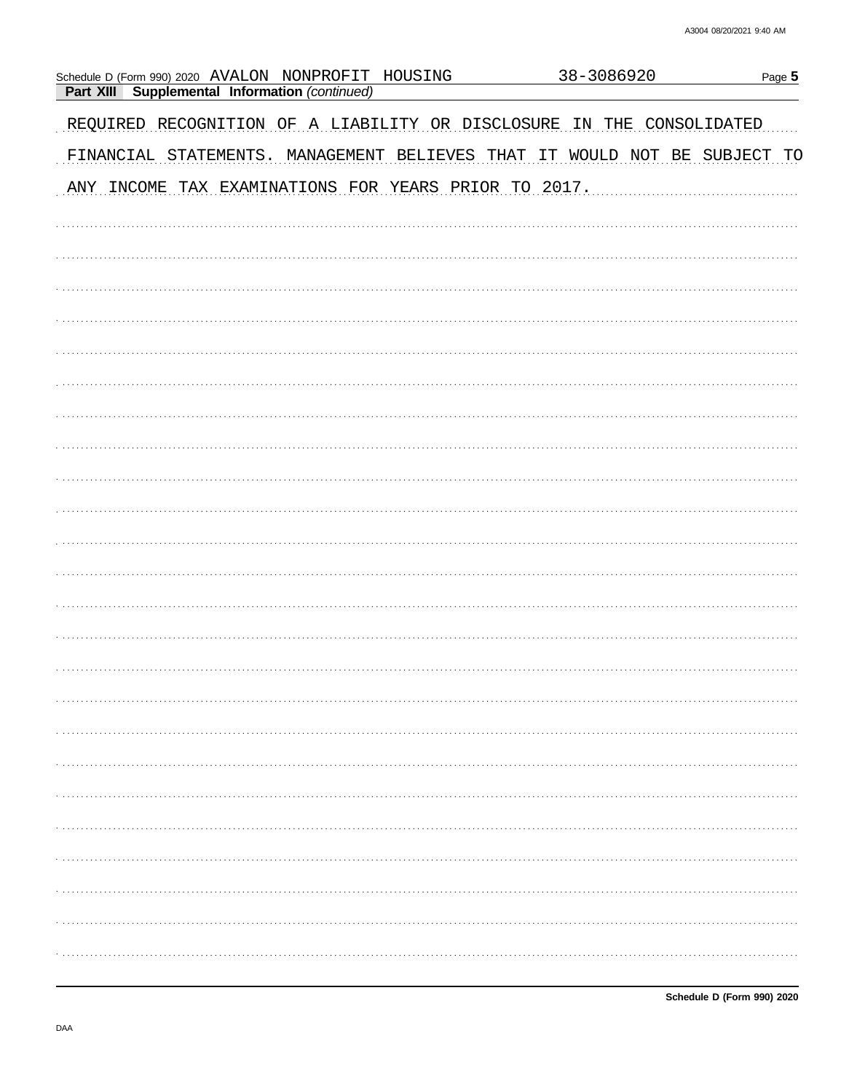| Schedule D (Form 990) 2020 AVALON NONPROFIT HOUSING<br>Supplemental Information (continued)<br>Part XIII |  | 38-3086920 | Page 5                     |
|----------------------------------------------------------------------------------------------------------|--|------------|----------------------------|
| REQUIRED RECOGNITION OF A LIABILITY OR DISCLOSURE                                                        |  | IN<br>THE  | CONSOLIDATED               |
| FINANCIAL STATEMENTS. MANAGEMENT BELIEVES THAT                                                           |  | IT         | WOULD NOT BE SUBJECT<br>TO |
| ANY INCOME TAX EXAMINATIONS FOR YEARS PRIOR TO 2017.                                                     |  |            |                            |
|                                                                                                          |  |            |                            |
|                                                                                                          |  |            |                            |
|                                                                                                          |  |            |                            |
|                                                                                                          |  |            |                            |
|                                                                                                          |  |            |                            |
|                                                                                                          |  |            |                            |
|                                                                                                          |  |            |                            |
|                                                                                                          |  |            |                            |
|                                                                                                          |  |            |                            |
|                                                                                                          |  |            |                            |
|                                                                                                          |  |            |                            |
|                                                                                                          |  |            |                            |
|                                                                                                          |  |            |                            |
|                                                                                                          |  |            |                            |
|                                                                                                          |  |            |                            |
|                                                                                                          |  |            |                            |
|                                                                                                          |  |            |                            |
|                                                                                                          |  |            |                            |
|                                                                                                          |  |            |                            |
|                                                                                                          |  |            |                            |
|                                                                                                          |  |            |                            |
|                                                                                                          |  |            |                            |
|                                                                                                          |  |            |                            |
|                                                                                                          |  |            |                            |

Schedule D (Form 990) 2020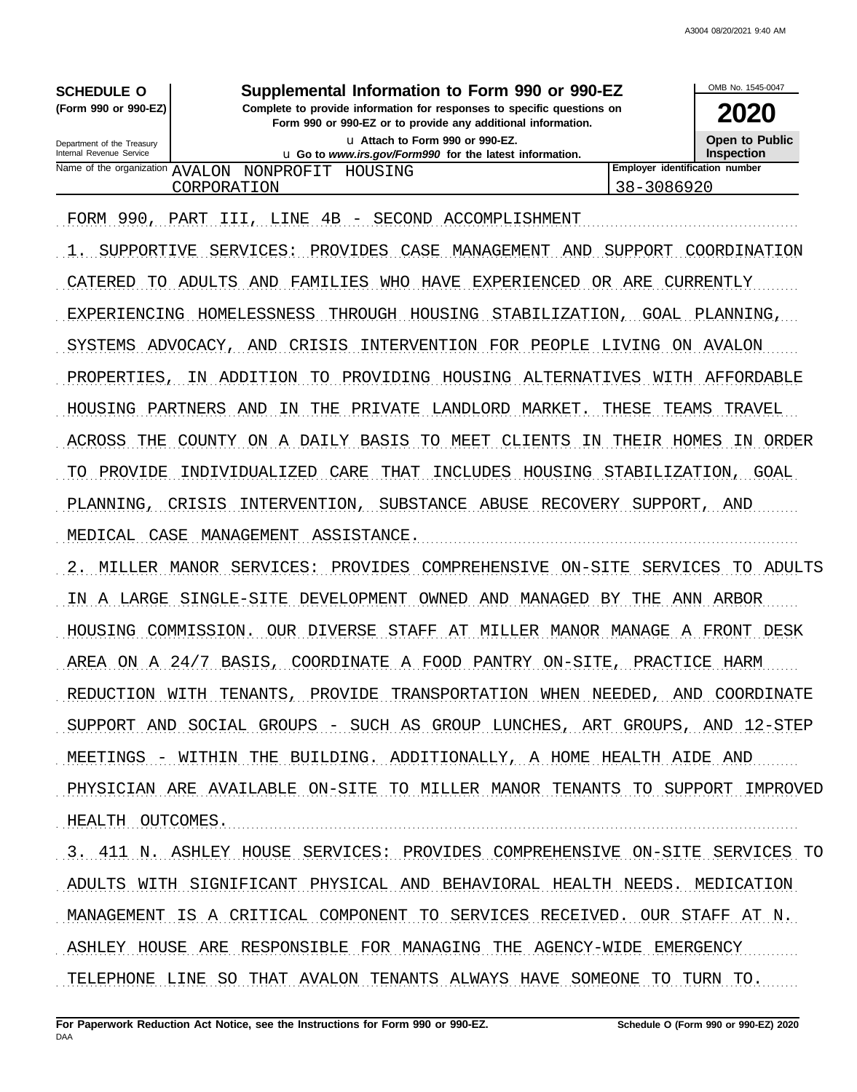| Supplemental Information to Form 990 or 990-EZ<br><b>SCHEDULE O</b>                                                                                              |                                                                                             |  |                                |      |  |
|------------------------------------------------------------------------------------------------------------------------------------------------------------------|---------------------------------------------------------------------------------------------|--|--------------------------------|------|--|
| (Form 990 or 990-EZ)  <br>Complete to provide information for responses to specific questions on<br>Form 990 or 990-EZ or to provide any additional information. |                                                                                             |  |                                | 2020 |  |
| Department of the Treasury<br>Internal Revenue Service                                                                                                           | La Attach to Form 990 or 990-EZ.<br>u Go to www.irs.gov/Form990 for the latest information. |  |                                |      |  |
|                                                                                                                                                                  | Name of the organization AVALON NONPROFIT HOUSING                                           |  | Employer identification number |      |  |
| 38-3086920<br>CORPORATION                                                                                                                                        |                                                                                             |  |                                |      |  |
|                                                                                                                                                                  |                                                                                             |  |                                |      |  |

. . . . . . . . . . . . . . . . . . . . . . . . . . . . . . . . . . . . . . . . . . . . . . . . . . . . . . . . . . . . . . . . . . . . . . . . . . . . . . . . . . . . . . . . . . . . . . . . . . . . . . . . . . . . . . . . . . . . . . . . . . . . . . . . . . . . . . . . . . . . . . . . . . . . . . . . . . . . . . . . . FORM 990, PART III, LINE 4B - SECOND ACCOMPLISHMENT

1. SUPPORTIVE SERVICES: PROVIDES CASE MANAGEMENT AND SUPPORT COORDINATION CATERED TO ADULTS AND FAMILIES WHO HAVE EXPERIENCED OR ARE CURRENTLY EXPERIENCING HOMELESSNESS THROUGH HOUSING STABILIZATION, GOAL PLANNING, SYSTEMS ADVOCACY, AND CRISIS INTERVENTION FOR PEOPLE LIVING ON AVALON PROPERTIES, IN ADDITION TO PROVIDING HOUSING ALTERNATIVES WITH AFFORDABLE HOUSING PARTNERS AND IN THE PRIVATE LANDLORD MARKET. THESE TEAMS TRAVEL ACROSS THE COUNTY ON A DAILY BASIS TO MEET CLIENTS IN THEIR HOMES IN ORDER TO PROVIDE INDIVIDUALIZED CARE THAT INCLUDES HOUSING STABILIZATION, GOAL PLANNING, CRISIS INTERVENTION, SUBSTANCE ABUSE RECOVERY SUPPORT, AND MEDICAL CASE MANAGEMENT ASSISTANCE. 2. MILLER MANOR SERVICES: PROVIDES COMPREHENSIVE ON-SITE SERVICES TO ADULTS IN A LARGE SINGLE-SITE DEVELOPMENT OWNED AND MANAGED BY THE ANN ARBOR HOUSING COMMISSION. OUR DIVERSE STAFF AT MILLER MANOR MANAGE A FRONT DESK AREA ON A 24/7 BASIS, COORDINATE A FOOD PANTRY ON-SITE, PRACTICE HARM REDUCTION WITH TENANTS, PROVIDE TRANSPORTATION WHEN NEEDED, AND COORDINATE SUPPORT AND SOCIAL GROUPS - SUCH AS GROUP LUNCHES, ART GROUPS, AND 12-STEP MEETINGS - WITHIN THE BUILDING. ADDITIONALLY, A HOME HEALTH AIDE AND

PHYSICIAN ARE AVAILABLE ON-SITE TO MILLER MANOR TENANTS TO SUPPORT IMPROVED HEALTH OUTCOMES.

3. 411 N. ASHLEY HOUSE SERVICES: PROVIDES COMPREHENSIVE ON-SITE SERVICES TO ADULTS WITH SIGNIFICANT PHYSICAL AND BEHAVIORAL HEALTH NEEDS. MEDICATION MANAGEMENT IS A CRITICAL COMPONENT TO SERVICES RECEIVED. OUR STAFF AT N. ASHLEY HOUSE ARE RESPONSIBLE FOR MANAGING THE AGENCY-WIDE EMERGENCY TELEPHONE LINE SO THAT AVALON TENANTS ALWAYS HAVE SOMEONE TO TURN TO.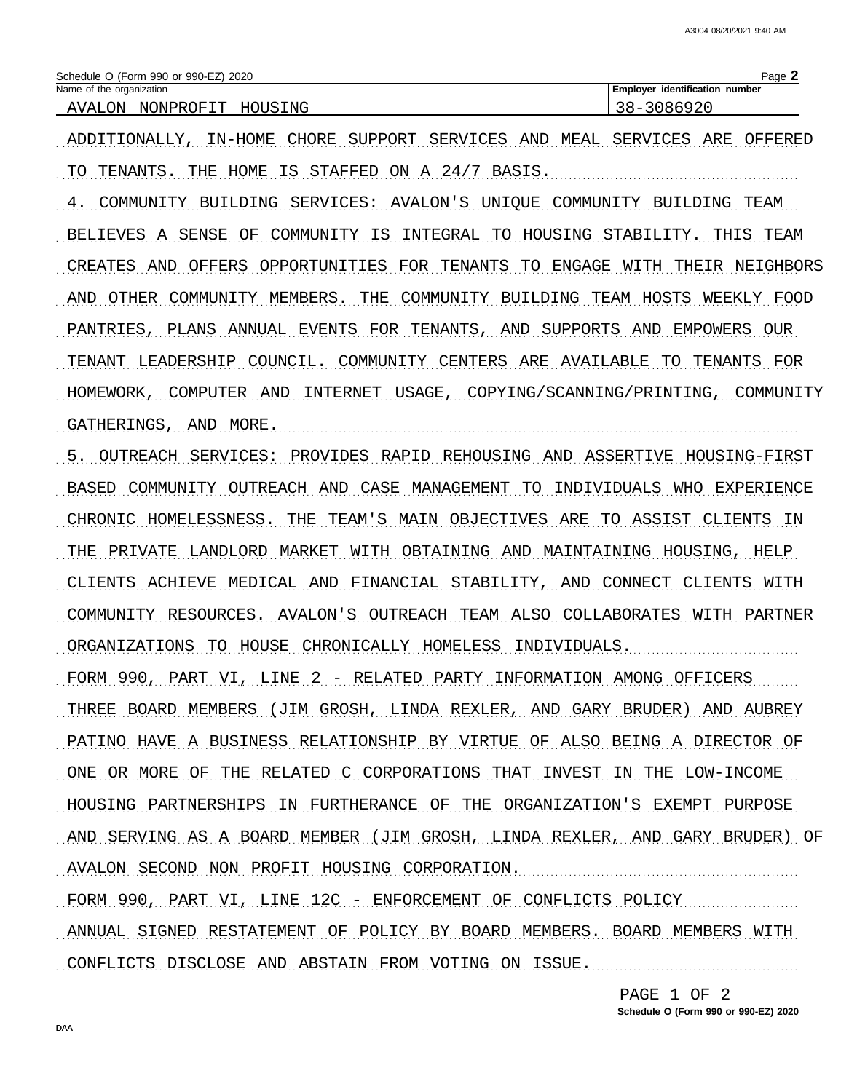| Schedule O (Form 990 or 990-EZ) 2020 | Page                                  |
|--------------------------------------|---------------------------------------|
| Name of the organization             | <b>Employer identification number</b> |
| AVALON<br>HOUSING<br>NONPROFIT       | 3086920                               |

ADDITIONALLY, IN-HOME CHORE SUPPORT SERVICES AND MEAL SERVICES ARE OFFERED TO TENANTS. THE HOME IS STAFFED ON A 24/7 BASIS.

4. COMMUNITY BUILDING SERVICES: AVALON'S UNIQUE COMMUNITY BUILDING TEAM BELIEVES A SENSE OF COMMUNITY IS INTEGRAL TO HOUSING STABILITY. THIS TEAM CREATES AND OFFERS OPPORTUNITIES FOR TENANTS TO ENGAGE WITH THEIR NEIGHBORS AND OTHER COMMUNITY MEMBERS. THE COMMUNITY BUILDING TEAM HOSTS WEEKLY FOOD PANTRIES, PLANS ANNUAL EVENTS FOR TENANTS, AND SUPPORTS AND EMPOWERS OUR TENANT LEADERSHIP COUNCIL. COMMUNITY CENTERS ARE AVAILABLE TO TENANTS FOR HOMEWORK, COMPUTER AND INTERNET USAGE, COPYING/SCANNING/PRINTING, COMMUNITY GATHERINGS, AND MORE.

5. OUTREACH SERVICES: PROVIDES RAPID REHOUSING AND ASSERTIVE HOUSING-FIRST BASED COMMUNITY OUTREACH AND CASE MANAGEMENT TO INDIVIDUALS WHO EXPERIENCE CHRONIC HOMELESSNESS. THE TEAM'S MAIN OBJECTIVES ARE TO ASSIST CLIENTS IN THE PRIVATE LANDLORD MARKET WITH OBTAINING AND MAINTAINING HOUSING, HELP CLIENTS ACHIEVE MEDICAL AND FINANCIAL STABILITY, AND CONNECT CLIENTS WITH COMMUNITY RESOURCES. AVALON'S OUTREACH TEAM ALSO COLLABORATES WITH PARTNER ORGANIZATIONS TO HOUSE CHRONICALLY HOMELESS INDIVIDUALS. FORM 990, PART VI, LINE 2 - RELATED PARTY INFORMATION AMONG OFFICERS THREE BOARD MEMBERS (JIM GROSH, LINDA REXLER, AND GARY BRUDER) AND AUBREY PATINO HAVE A BUSINESS RELATIONSHIP BY VIRTUE OF ALSO BEING A DIRECTOR OF ONE OR MORE OF THE RELATED C CORPORATIONS THAT INVEST IN THE LOW-INCOME HOUSING PARTNERSHIPS IN FURTHERANCE OF THE ORGANIZATION'S EXEMPT PURPOSE AND SERVING AS A BOARD MEMBER (JIM GROSH, LINDA REXLER, AND GARY BRUDER) OF AVALON SECOND NON PROFIT HOUSING CORPORATION. FORM 990, PART VI, LINE 12C - ENFORCEMENT OF CONFLICTS POLICY ANNUAL SIGNED RESTATEMENT OF POLICY BY BOARD MEMBERS. BOARD MEMBERS WITH

CONFLICTS DISCLOSE AND ABSTAIN FROM VOTING ON ISSUE.

PAGE 1 OF 2

Schedule O (Form 990 or 990-EZ) 2020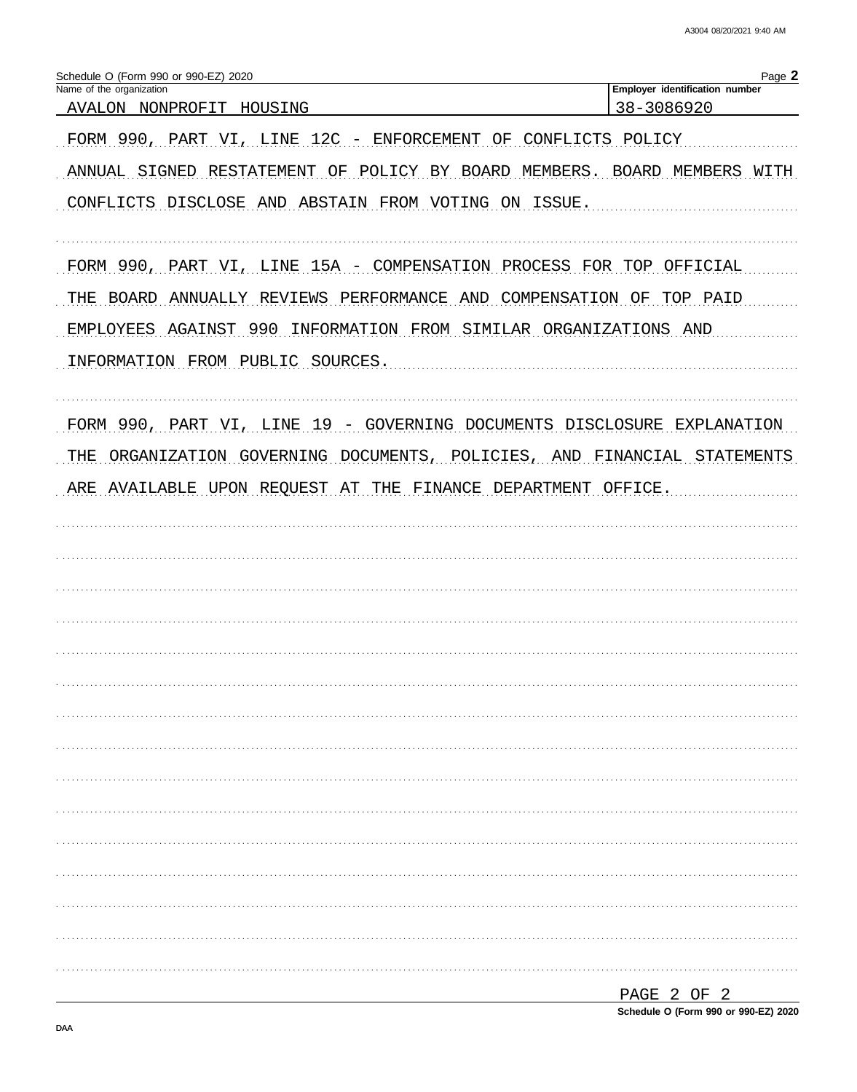A3004 08/20/2021 9:40 AM

| Schedule O (Form 990 or 990-EZ) 2020<br>Name of the organization            | Page 2<br>Employer identification number |
|-----------------------------------------------------------------------------|------------------------------------------|
| AVALON NONPROFIT HOUSING                                                    | 38-3086920                               |
| FORM 990, PART VI, LINE 12C - ENFORCEMENT OF CONFLICTS POLICY               |                                          |
| ANNUAL SIGNED RESTATEMENT OF POLICY BY BOARD MEMBERS. BOARD MEMBERS WITH    |                                          |
| CONFLICTS DISCLOSE AND ABSTAIN FROM VOTING ON ISSUE.                        |                                          |
| FORM 990, PART VI, LINE 15A - COMPENSATION PROCESS FOR TOP OFFICIAL         |                                          |
| THE BOARD ANNUALLY REVIEWS PERFORMANCE AND COMPENSATION OF TOP PAID         |                                          |
| EMPLOYEES AGAINST 990 INFORMATION FROM SIMILAR ORGANIZATIONS AND            |                                          |
| INFORMATION FROM PUBLIC SOURCES.                                            |                                          |
| FORM 990, PART VI, LINE 19 - GOVERNING DOCUMENTS DISCLOSURE EXPLANATION     |                                          |
| ORGANIZATION GOVERNING DOCUMENTS, POLICIES, AND FINANCIAL STATEMENTS<br>THE |                                          |
| ARE AVAILABLE UPON REQUEST AT THE FINANCE DEPARTMENT OFFICE.                |                                          |
|                                                                             |                                          |
|                                                                             |                                          |
|                                                                             |                                          |
|                                                                             |                                          |
|                                                                             |                                          |
|                                                                             |                                          |
|                                                                             |                                          |
|                                                                             |                                          |
|                                                                             |                                          |
|                                                                             |                                          |
|                                                                             |                                          |
|                                                                             |                                          |
|                                                                             |                                          |
|                                                                             |                                          |
|                                                                             |                                          |
|                                                                             |                                          |
|                                                                             | PAGE 2 OF 2                              |

Schedule O (Form 990 or 990-EZ) 2020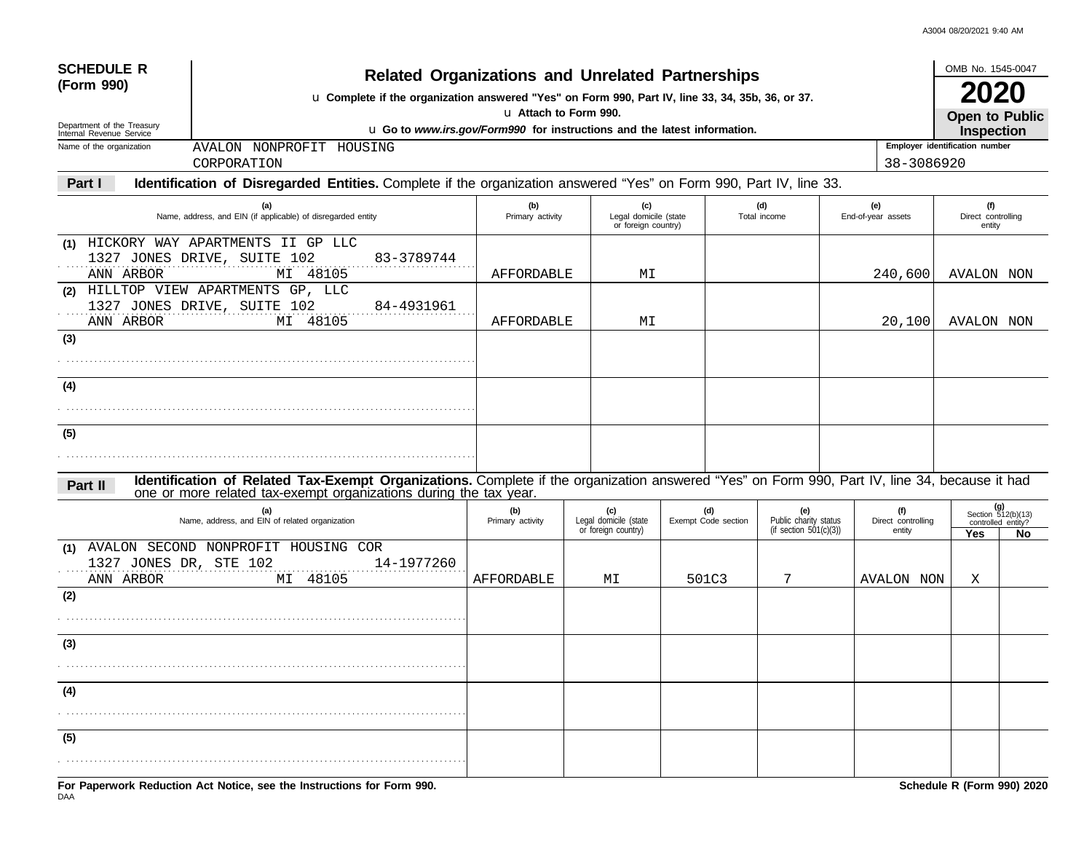A3004 08/20/2021 9:40 AM

| <b>SCHEDULE R</b>                                      | <b>Related Organizations and Unrelated Partnerships</b>                                                                                                                                                            |                         |                                                     |                            |                                                           |                                     | OMB No. 1545-0047                          |                                                       |
|--------------------------------------------------------|--------------------------------------------------------------------------------------------------------------------------------------------------------------------------------------------------------------------|-------------------------|-----------------------------------------------------|----------------------------|-----------------------------------------------------------|-------------------------------------|--------------------------------------------|-------------------------------------------------------|
| (Form 990)                                             | u Complete if the organization answered "Yes" on Form 990, Part IV, line 33, 34, 35b, 36, or 37.                                                                                                                   | u Attach to Form 990.   |                                                     |                            |                                                           |                                     | 2020                                       |                                                       |
| Department of the Treasury<br>Internal Revenue Service | u Go to www.irs.gov/Form990 for instructions and the latest information.                                                                                                                                           |                         |                                                     |                            |                                                           |                                     | <b>Open to Public</b><br><b>Inspection</b> |                                                       |
| Name of the organization                               | AVALON NONPROFIT HOUSING                                                                                                                                                                                           |                         |                                                     |                            |                                                           |                                     | Employer identification number             |                                                       |
|                                                        | CORPORATION                                                                                                                                                                                                        |                         |                                                     |                            |                                                           | 38-3086920                          |                                            |                                                       |
| Part I                                                 | Identification of Disregarded Entities. Complete if the organization answered "Yes" on Form 990, Part IV, line 33.                                                                                                 |                         |                                                     |                            |                                                           |                                     |                                            |                                                       |
|                                                        | (a)<br>Name, address, and EIN (if applicable) of disregarded entity                                                                                                                                                | (b)<br>Primary activity | (c)<br>Legal domicile (state<br>or foreign country) |                            | (d)<br>Total income                                       | (e)<br>End-of-year assets           | (f)<br>Direct controlling<br>entity        |                                                       |
| (1)<br>ANN ARBOR                                       | HICKORY WAY APARTMENTS II GP LLC<br>1327 JONES DRIVE, SUITE 102<br>83-3789744<br>MI 48105                                                                                                                          | AFFORDABLE              | MΙ                                                  |                            |                                                           | 240,600                             | AVALON NON                                 |                                                       |
| ANN ARBOR                                              | (2) HILLTOP VIEW APARTMENTS GP, LLC<br>1327 JONES DRIVE, SUITE 102<br>84-4931961<br>MI 48105                                                                                                                       | AFFORDABLE              | MΙ                                                  |                            |                                                           | 20,100                              | AVALON NON                                 |                                                       |
| (3)                                                    |                                                                                                                                                                                                                    |                         |                                                     |                            |                                                           |                                     |                                            |                                                       |
| (4)                                                    |                                                                                                                                                                                                                    |                         |                                                     |                            |                                                           |                                     |                                            |                                                       |
| (5)                                                    |                                                                                                                                                                                                                    |                         |                                                     |                            |                                                           |                                     |                                            |                                                       |
| Part II                                                | Identification of Related Tax-Exempt Organizations. Complete if the organization answered "Yes" on Form 990, Part IV, line 34, because it had<br>one or more related tax-exempt organizations during the tax year. |                         |                                                     |                            |                                                           |                                     |                                            |                                                       |
|                                                        | (a)<br>Name, address, and EIN of related organization                                                                                                                                                              | (b)<br>Primary activity | (c)<br>Legal domicile (state<br>or foreign country) | (d)<br>Exempt Code section | (e)<br>Public charity status<br>(if section $501(c)(3)$ ) | (f)<br>Direct controlling<br>entity | Yes                                        | (g)<br>Section 512(b)(13)<br>controlled entity?<br>No |
| (1)<br>1327 JONES DR, STE 102<br>ANN ARBOR             | AVALON SECOND NONPROFIT HOUSING COR<br>14-1977260<br>MI 48105                                                                                                                                                      | AFFORDABLE              | MΙ                                                  | 501C3                      | 7                                                         | <b>AVALON NON</b>                   | X                                          |                                                       |
| (2)                                                    |                                                                                                                                                                                                                    |                         |                                                     |                            |                                                           |                                     |                                            |                                                       |
| (3)                                                    |                                                                                                                                                                                                                    |                         |                                                     |                            |                                                           |                                     |                                            |                                                       |
| (4)                                                    |                                                                                                                                                                                                                    |                         |                                                     |                            |                                                           |                                     |                                            |                                                       |
| (5)                                                    |                                                                                                                                                                                                                    |                         |                                                     |                            |                                                           |                                     |                                            |                                                       |
|                                                        | Ear Danamuark Daduation, Act Nation, and the Instructional for Earm 000                                                                                                                                            |                         |                                                     |                            |                                                           |                                     | Cahadula D (Carm 000) 2020                 |                                                       |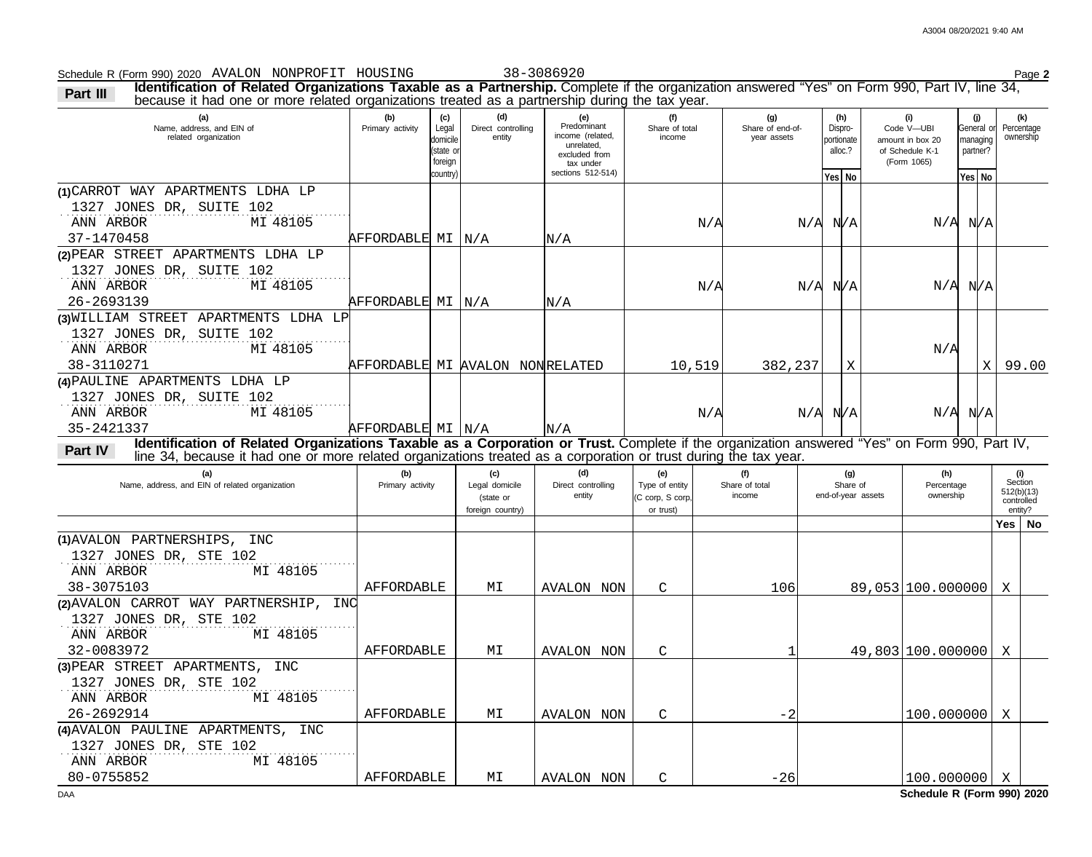Schedule R (Form 990) 2020 Page **2** AVALON NONPROFIT HOUSING 38-3086920

| (c)<br>(f)<br>(i)<br>(a)<br>(b)<br>(d)<br>(e)<br>(g)<br>(j)<br>(h)<br>Predominant<br>Name, address, and EIN of<br>Primary activity<br>Legal<br>Direct controlling<br>Share of total<br>Share of end-of-<br>Dispro-<br>Code V-UBI<br>General or<br>income (related,<br>related organization<br>entity<br>income<br>year assets<br>domicile<br>portionate<br>amount in box 20<br>managing<br>unrelated,<br>(state or<br>alloc.?<br>of Schedule K-1<br>partner?<br>excluded from | (k)<br>Percentage<br>ownership                        |
|-------------------------------------------------------------------------------------------------------------------------------------------------------------------------------------------------------------------------------------------------------------------------------------------------------------------------------------------------------------------------------------------------------------------------------------------------------------------------------|-------------------------------------------------------|
| foreign<br>(Form 1065)<br>tax under<br>sections 512-514)<br>country)<br>Yes No<br>Yes No                                                                                                                                                                                                                                                                                                                                                                                      |                                                       |
| (1) CARROT WAY APARTMENTS LDHA LP<br>1327 JONES DR, SUITE 102<br>MI 48105<br>ANN ARBOR<br>$N/A$ $N/A$<br>N/A<br>$N/A$ $N/A$<br>37-1470458<br>AFFORDABLE MI   N/A<br>N/A                                                                                                                                                                                                                                                                                                       |                                                       |
| (2) PEAR STREET APARTMENTS LDHA LP<br>1327 JONES DR, SUITE 102<br>ANN ARBOR<br>MI 48105<br>$N/A$ $N/A$<br>N/A<br>$N/A$ $N/A$<br>26-2693139<br>AFFORDABLE MI   N/A<br>N/A                                                                                                                                                                                                                                                                                                      |                                                       |
| (3) WILLIAM STREET APARTMENTS LDHA LP<br>1327 JONES DR, SUITE 102<br>ANN ARBOR<br>MI 48105<br>N/A<br>38-3110271<br>AFFORDABLE MI AVALON NONRELATED<br>10,519<br>382,237<br>Χ                                                                                                                                                                                                                                                                                                  | $X$   99.00                                           |
| (4) PAULINE APARTMENTS LDHA LP<br>1327 JONES DR, SUITE 102<br>ANN ARBOR<br>MI 48105<br>$N/A$ $N/A$<br>$N/A$ $N/A$<br>N/A<br>35-2421337<br>AFFORDABLE MI N/A<br>N/A                                                                                                                                                                                                                                                                                                            |                                                       |
| Identification of Related Organizations Taxable as a Corporation or Trust. Complete if the organization answered "Yes" on Form 990, Part IV,<br>Part IV<br>line 34, because it had one or more related organizations treated as a corporation or trust during the tax year.                                                                                                                                                                                                   |                                                       |
| (d)<br>(a)<br>(b)<br>(c)<br>(e)<br>(f)<br>(g)<br>(h)<br>Name, address, and EIN of related organization<br>Share of total<br>Share of<br>Primary activity<br>Legal domicile<br>Direct controlling<br>Type of entity<br>Percentage<br>end-of-year assets<br>ownership<br>entity<br>income<br>(C corp, S corp,<br>(state or<br>foreign country)<br>or trust)                                                                                                                     | (i)<br>Section<br>512(b)(13)<br>controlled<br>entity? |
|                                                                                                                                                                                                                                                                                                                                                                                                                                                                               | Yes   No                                              |
| (1) AVALON PARTNERSHIPS, INC<br>1327 JONES DR, STE 102<br>ANN ARBOR<br>MI 48105<br>38-3075103<br>AFFORDABLE<br>89,053 100.000000<br>МI<br>C<br>106<br><b>AVALON NON</b>                                                                                                                                                                                                                                                                                                       | X                                                     |
| (2) AVALON CARROT WAY PARTNERSHIP, INC<br>1327 JONES DR, STE 102<br>ANN ARBOR<br>MI 48105<br>32-0083972<br>49,803 100.000000<br>AFFORDABLE<br>MΙ                                                                                                                                                                                                                                                                                                                              | X                                                     |
| AVALON NON<br>C<br>(3) PEAR STREET APARTMENTS, INC<br>1327 JONES DR, STE 102<br>ANN ARBOR<br>MI 48105<br>26-2692914<br>AFFORDABLE<br>$-2$<br>100.000000<br>МI                                                                                                                                                                                                                                                                                                                 | X                                                     |
| AVALON NON<br>C<br>(4) AVALON PAULINE APARTMENTS, INC<br>1327 JONES DR, STE 102<br>ANN ARBOR<br>MI 48105<br>80-0755852<br>AFFORDABLE<br>$-26$<br>$100.000000$ X<br>МI<br>AVALON NON<br>C                                                                                                                                                                                                                                                                                      |                                                       |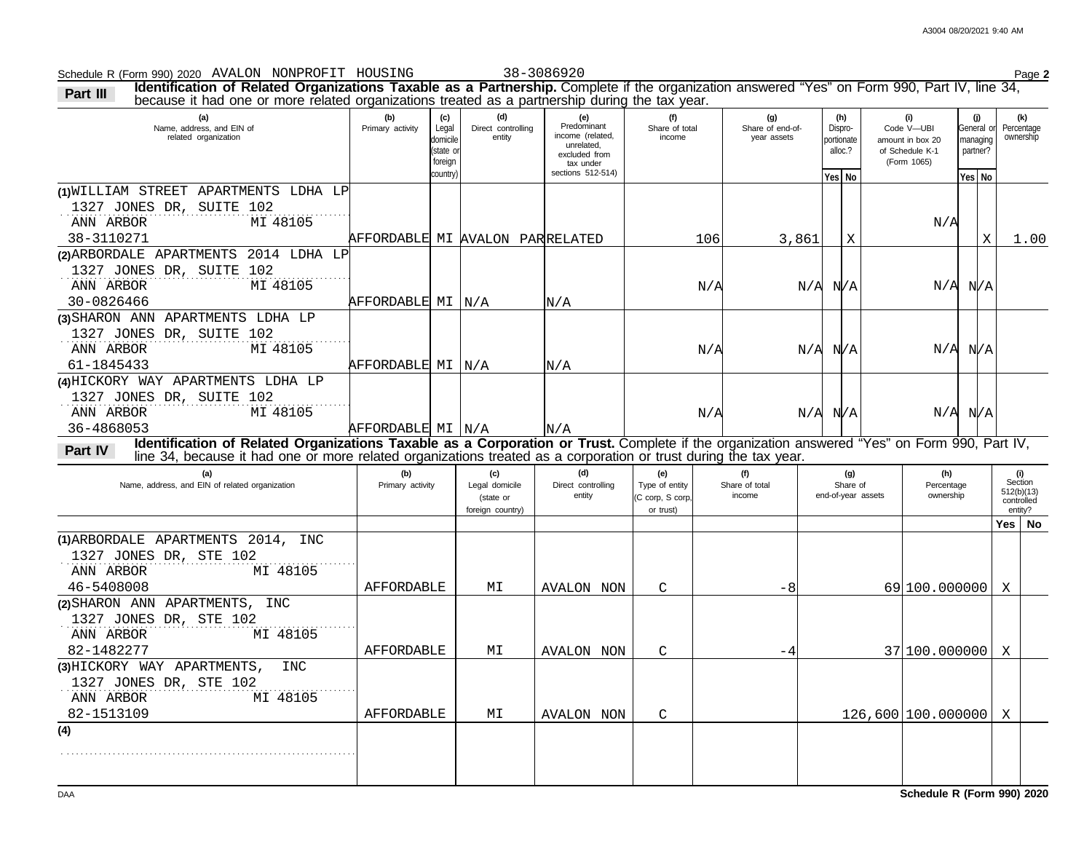General or

**(j)**

**(g) (h)**

Dispro-

**(i)**

Code V—UBI

Share of end-of-

#### **(a) (b) (c) (d) (e) (f)** Name, address, and EIN of Primary activity Legal domicile Direct controlling entity **Predominant** income (related, Share of total because it had one or more related organizations treated as a partnership during the tax year. income

**Part III Identification of Related Organizations Taxable as a Partnership.** Complete if the organization answered "Yes" on Form 990, Part IV, line 34,

1327 JONES DR, SUITE 102 (state or foreign country) unrelated, portionate alloc.? managing partner? **Yes No Yes No** . **(1)** WILLIAM STREET APARTMENTS LDHA LP year assets of Schedule K-1 1327 JONES DR, SUITE 102 1327 JONES DR, SUITE 102 1327 JONES DR, SUITE 102 **Identification of Related Organizations Taxable as a Corporation or Trust.** Complete if the organization answered "Yes" on Form 990, Part IV, Part IV, Part IV, Part IV, Part IV, Part IV, Part IV, Part IV, Part IV, Part IV **(a) (b) (c) (d) (e) (f) (g) (h)** Name, address, and EIN of related organization **Primary activity** Legal domicile (state or foreign country) Direct controlling entity Type of entity (C corp, S corp, or trust) Share of total | Share of end-of-year assets Percentage ownership amount in box 20 (Form 1065) excluded from tax under sections 512-514) line 34, because it had one or more related organizations treated as a corporation or trust during the tax year. **(4)** HICKORY WAY APARTMENTS LDHA LP **(3)** SHARON ANN APARTMENTS LDHA LP **(2)** ARBORDALE APARTMENTS 2014 LDHA LP ownership income related organization 512(b)(13) Section **(i)** entity? controlled ANN ARBOR MI 48105 38-3110271 AFFORDABLE MI AVALON PARRELATED 106 3,861 X N/A  $X \vert 1.00$ ANN ARBOR MI 48105 30-0826466 **AFFORDABLE MI N/A** N/A N/A N/A N/A N/A N/A ANN ARBOR MI 48105  $61-1845433$   $N/A$ N/A N/A N/A N/A N/A ANN ARBOR MI 48105  $36-4868053$   $N/A$ N/A N/A N/A N/A N/A

|                                    |            | $\sim$<br>foreign country) |            | $\mathbf{u}$ and $\mathbf{v}$ and $\mathbf{v}$ are $\mathbf{v}$<br>or trust) |      |                            | controlled<br>entity? |
|------------------------------------|------------|----------------------------|------------|------------------------------------------------------------------------------|------|----------------------------|-----------------------|
|                                    |            |                            |            |                                                                              |      |                            | $Yes \mid No$         |
| (1) ARBORDALE APARTMENTS 2014, INC |            |                            |            |                                                                              |      |                            |                       |
| 1327 JONES DR, STE 102             |            |                            |            |                                                                              |      |                            |                       |
| MI 48105<br>ANN ARBOR              |            |                            |            |                                                                              |      |                            |                       |
| 46-5408008                         | AFFORDABLE | МI                         | AVALON NON | C                                                                            | $-8$ | 69100.000000 X             |                       |
| (2) SHARON ANN APARTMENTS, INC     |            |                            |            |                                                                              |      |                            |                       |
| 1327 JONES DR, STE 102             |            |                            |            |                                                                              |      |                            |                       |
| MI 48105<br>ANN ARBOR              |            |                            |            |                                                                              |      |                            |                       |
| 82-1482277                         | AFFORDABLE | МI                         | AVALON NON | C                                                                            | -4   | $37 100.000000 $ X         |                       |
| (3) HICKORY WAY APARTMENTS,<br>INC |            |                            |            |                                                                              |      |                            |                       |
| 1327 JONES DR, STE 102             |            |                            |            |                                                                              |      |                            |                       |
| MI 48105<br>ANN ARBOR              |            |                            |            |                                                                              |      |                            |                       |
| 82-1513109                         | AFFORDABLE | МI                         | AVALON NON | C                                                                            |      | $126,600 100.000000 $ X    |                       |
| (4)                                |            |                            |            |                                                                              |      |                            |                       |
|                                    |            |                            |            |                                                                              |      |                            |                       |
|                                    |            |                            |            |                                                                              |      |                            |                       |
|                                    |            |                            |            |                                                                              |      |                            |                       |
| DAA                                |            |                            |            |                                                                              |      | Schedule R (Form 990) 2020 |                       |

#### Schedule R (Form 990) 2020 Page **2** AVALON NONPROFIT HOUSING 38-3086920

Percentage **(k)**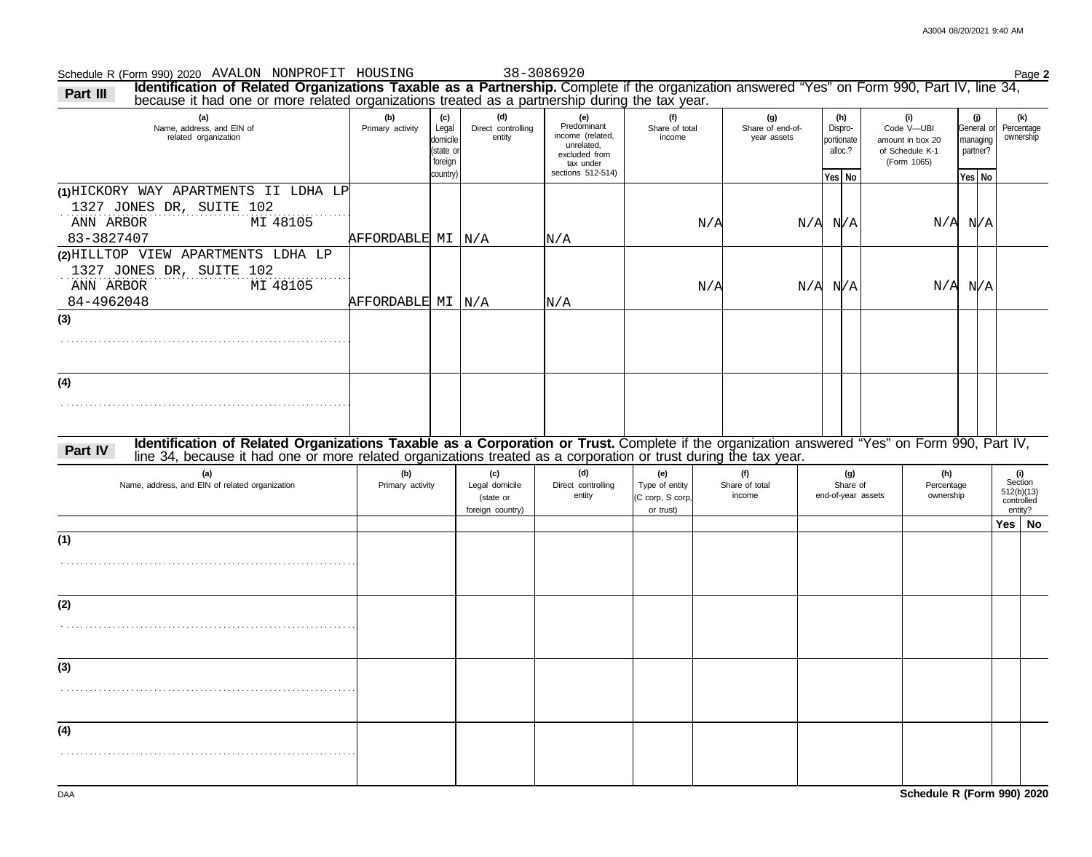#### Schedule R (Form 990) 2020 Page **2** AVALON NONPROFIT HOUSING 38-3086920

**(a) (b) (c) (d) (e) (f)** 1327 JONES DR, SUITE 102 Name, address, and EIN of Primary activity Legal domicile (state or foreign country) Direct controlling entity **Predominant** income (related, unrelated, Share of total portionate alloc.? General or managing partner? **Yes No Yes No (g) (h)** . **(1)** HICKORY WAY APARTMENTS II LDHA LP Share of end-ofyear assets Dispro-**Part III Identification of Related Organizations Taxable as a Partnership.** Complete if the organization answered "Yes" on Form 990, Part IV, line 34, **(i)** of Schedule K-1 Code V—UBI **(j)** 1327 JONES DR, SUITE 102 . . . . . . . . . . . . . . . . . . . . . . . . . . . . . . . . . . . . . . . . . . . . . . . . . . . . . . . . . . . . . . . . . . . . . . . . . . . . . . . . . . . . . . . . . . . . . . . . . . . . . . . . . . . . . . . . . . . . . . . . . . . . . . . . . . . . . . . . . . . . . . . . . . . . . . . . . . . . . . . . . . . . . . . . . . . . . . . . . . . . . . . . . . . . . . . . . . . . . . . . . . . . . . . . . . . . . . . . . . . . . . . . . . . . . . . . . . . . . . . . . . . . . . . . . . . . . . . . . . . . . . . . . . . . . . . . . . . . . . . . . . . . . . . . . . . . . . . . . . . . . . . . . . . . . . . . . . . . . . **Identification of Related Organizations Taxable as a Corporation or Trust.** Complete if the organization answered "Yes" on Form 990, Part IV, **Part IV**, **(a) (b) (c) (d) (e) (f) (g) (h)** Name, address, and EIN of related organization **Primary activity** Legal domicile (state or foreign country) Direct controlling entity Type of entity (C corp, S corp, or trust) Share of total Share of end-of-year assets Percentage ownership amount in box 20 (Form 1065) because it had one or more related organizations treated as a partnership during the tax year. excluded from tax under sections 512-514) line 34, because it had one or more related organizations treated as a corporation or trust during the tax year. **(4) (3) (2)** HILLTOP VIEW APARTMENTS LDHA LP **(1) (2) (3) (4)** ownership Percentage **(k)** income income related organization 512(b)(13) Section **(i)** entity? **Yes No** controlled ANN ARBOR MI 48105 83-3827407 **AFFORDABLE MI N/A** N/A  $N/A$   $N/A$   $N/A$   $N/A$   $N/A$   $N/A$ ANN ARBOR MI 48105 84-4962048 **AFFORDABLE** MI N/A N/A N/A N/A N/A N/A N/A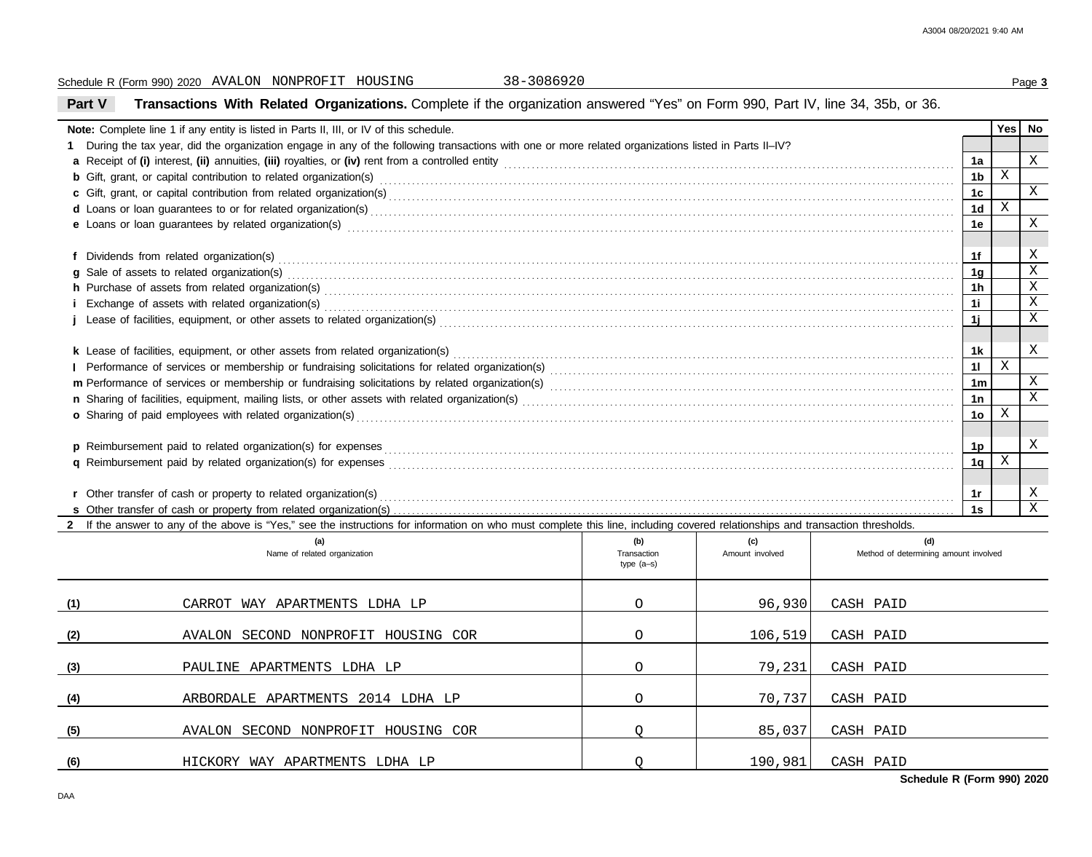|                                                                                                                                                                                                                                     | 38-3086920<br>Schedule R (Form 990) 2020 AVALON NONPROFIT HOUSING                                                                                                              |         |         |           |                 |              | Page 3         |  |  |
|-------------------------------------------------------------------------------------------------------------------------------------------------------------------------------------------------------------------------------------|--------------------------------------------------------------------------------------------------------------------------------------------------------------------------------|---------|---------|-----------|-----------------|--------------|----------------|--|--|
| <b>Part V</b>                                                                                                                                                                                                                       | Transactions With Related Organizations. Complete if the organization answered "Yes" on Form 990, Part IV, line 34, 35b, or 36.                                                |         |         |           |                 |              |                |  |  |
| Note: Complete line 1 if any entity is listed in Parts II, III, or IV of this schedule.                                                                                                                                             |                                                                                                                                                                                |         |         |           |                 |              |                |  |  |
| 1 During the tax year, did the organization engage in any of the following transactions with one or more related organizations listed in Parts II-IV?                                                                               |                                                                                                                                                                                |         |         |           |                 |              |                |  |  |
|                                                                                                                                                                                                                                     |                                                                                                                                                                                |         |         |           |                 |              |                |  |  |
| <b>b</b> Gift, grant, or capital contribution to related organization(s) contained as a contained as a contained as a contribution to related organization(s) contained as a contained as a contained as a contained as a contained |                                                                                                                                                                                |         |         |           |                 |              |                |  |  |
|                                                                                                                                                                                                                                     |                                                                                                                                                                                |         |         |           |                 |              |                |  |  |
|                                                                                                                                                                                                                                     |                                                                                                                                                                                |         |         |           |                 |              |                |  |  |
| e Loans or loan guarantees by related organization(s) contact and contact and contact and contact and contact and contact and contact and contact and contact and contact and contact and contact and contact and contact and       |                                                                                                                                                                                |         |         |           |                 |              |                |  |  |
|                                                                                                                                                                                                                                     |                                                                                                                                                                                |         |         |           | 1f              |              | Χ              |  |  |
|                                                                                                                                                                                                                                     | g Sale of assets to related organization(s)                                                                                                                                    |         |         |           | 1 <sub>g</sub>  |              | $\mathbf X$    |  |  |
|                                                                                                                                                                                                                                     |                                                                                                                                                                                |         |         |           | 1 <sub>h</sub>  |              | $\mathbf X$    |  |  |
|                                                                                                                                                                                                                                     |                                                                                                                                                                                |         |         |           | 11              |              | $\mathbf X$    |  |  |
|                                                                                                                                                                                                                                     |                                                                                                                                                                                |         |         |           | 1j              |              | $\mathbf X$    |  |  |
|                                                                                                                                                                                                                                     |                                                                                                                                                                                |         |         |           |                 |              |                |  |  |
|                                                                                                                                                                                                                                     |                                                                                                                                                                                |         |         |           | 1k              |              | X              |  |  |
|                                                                                                                                                                                                                                     |                                                                                                                                                                                |         |         |           | 11              | $\, {\rm X}$ |                |  |  |
|                                                                                                                                                                                                                                     |                                                                                                                                                                                |         |         |           | 1 <sub>m</sub>  |              | X              |  |  |
|                                                                                                                                                                                                                                     |                                                                                                                                                                                |         |         |           | 1n              |              | $\overline{X}$ |  |  |
|                                                                                                                                                                                                                                     |                                                                                                                                                                                |         |         |           | 10 <sub>o</sub> | $\mathbf X$  |                |  |  |
|                                                                                                                                                                                                                                     |                                                                                                                                                                                |         |         |           |                 |              |                |  |  |
|                                                                                                                                                                                                                                     |                                                                                                                                                                                |         |         |           | <u>1p</u>       |              | X              |  |  |
|                                                                                                                                                                                                                                     |                                                                                                                                                                                |         |         |           | 1q              | X            |                |  |  |
|                                                                                                                                                                                                                                     |                                                                                                                                                                                |         |         |           |                 |              |                |  |  |
|                                                                                                                                                                                                                                     |                                                                                                                                                                                |         |         |           | 1r              |              | X              |  |  |
|                                                                                                                                                                                                                                     |                                                                                                                                                                                |         |         |           | 1s              |              | $\overline{X}$ |  |  |
|                                                                                                                                                                                                                                     | 2 If the answer to any of the above is "Yes," see the instructions for information on who must complete this line, including covered relationships and transaction thresholds. |         |         |           |                 |              |                |  |  |
| (d)<br>(a)<br>(b)<br>(c)<br>Name of related organization<br>Transaction<br>Amount involved<br>Method of determining amount involved<br>type $(a-s)$                                                                                 |                                                                                                                                                                                |         |         |           |                 |              |                |  |  |
| (1)                                                                                                                                                                                                                                 | CARROT WAY APARTMENTS LDHA LP                                                                                                                                                  | $\circ$ | 96,930  | CASH PAID |                 |              |                |  |  |
| (2)                                                                                                                                                                                                                                 | AVALON SECOND NONPROFIT HOUSING COR                                                                                                                                            | 0       | 106,519 | CASH PAID |                 |              |                |  |  |
| (3)                                                                                                                                                                                                                                 | PAULINE APARTMENTS LDHA LP                                                                                                                                                     | 0       | 79,231  | CASH PAID |                 |              |                |  |  |
| (4)                                                                                                                                                                                                                                 | ARBORDALE APARTMENTS 2014 LDHA LP                                                                                                                                              | O       | 70,737  | CASH PAID |                 |              |                |  |  |
| (5)                                                                                                                                                                                                                                 | AVALON SECOND NONPROFIT HOUSING COR                                                                                                                                            | Q       | 85,037  | CASH PAID |                 |              |                |  |  |
| (6)                                                                                                                                                                                                                                 | HICKORY WAY APARTMENTS LDHA LP                                                                                                                                                 | Q       | 190,981 | CASH PAID |                 |              |                |  |  |

**Schedule R (Form 990) 2020**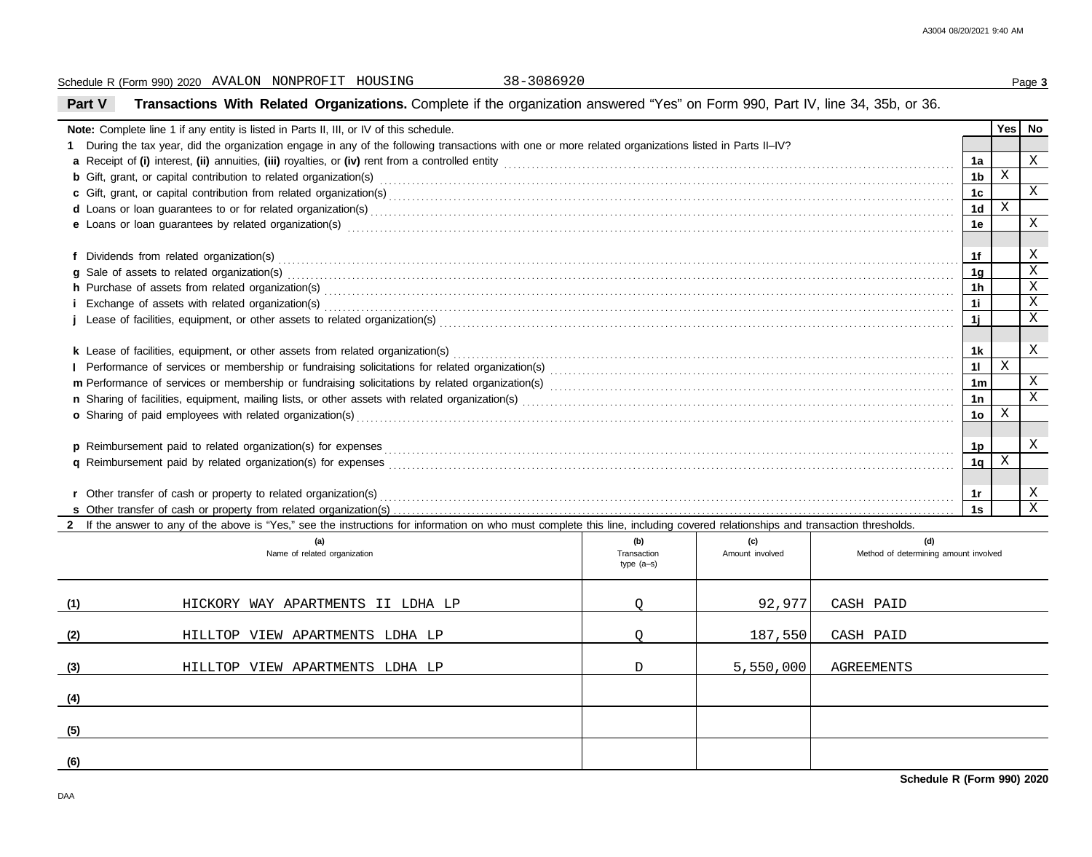| 38-3086920<br>Schedule R (Form 990) 2020 AVALON NONPROFIT HOUSING                                                                                                                                                              |                           |                 |                                       |                      |             | Page 3                |  |  |  |
|--------------------------------------------------------------------------------------------------------------------------------------------------------------------------------------------------------------------------------|---------------------------|-----------------|---------------------------------------|----------------------|-------------|-----------------------|--|--|--|
| Transactions With Related Organizations. Complete if the organization answered "Yes" on Form 990, Part IV, line 34, 35b, or 36.<br>Part V                                                                                      |                           |                 |                                       |                      |             |                       |  |  |  |
| Note: Complete line 1 if any entity is listed in Parts II, III, or IV of this schedule.                                                                                                                                        |                           |                 |                                       |                      |             |                       |  |  |  |
| 1 During the tax year, did the organization engage in any of the following transactions with one or more related organizations listed in Parts II-IV?                                                                          |                           |                 |                                       |                      |             |                       |  |  |  |
|                                                                                                                                                                                                                                |                           |                 |                                       |                      |             |                       |  |  |  |
|                                                                                                                                                                                                                                |                           |                 |                                       |                      |             |                       |  |  |  |
|                                                                                                                                                                                                                                |                           |                 |                                       |                      |             |                       |  |  |  |
|                                                                                                                                                                                                                                |                           |                 |                                       |                      |             |                       |  |  |  |
| e Loans or loan guarantees by related organization(s) encourance contract the contract contract of the contract or contract or contract or contract or contract or contract or contract or contract or contract or contract or |                           |                 |                                       | 1e                   |             | X                     |  |  |  |
|                                                                                                                                                                                                                                |                           |                 |                                       | 1f                   |             | Χ                     |  |  |  |
| g Sale of assets to related organization(s) encourance contains a substantial container and state of assets to related organization(s)                                                                                         |                           |                 |                                       | 1 <sub>g</sub>       |             | $\overline{\text{X}}$ |  |  |  |
|                                                                                                                                                                                                                                |                           |                 |                                       | 1h                   |             | $\overline{\text{X}}$ |  |  |  |
|                                                                                                                                                                                                                                |                           |                 |                                       | 1i                   |             | $\overline{X}$        |  |  |  |
|                                                                                                                                                                                                                                |                           |                 |                                       | 1j                   |             | $\mathbf X$           |  |  |  |
|                                                                                                                                                                                                                                |                           |                 |                                       |                      |             |                       |  |  |  |
|                                                                                                                                                                                                                                |                           |                 |                                       | 1k                   |             | Χ                     |  |  |  |
|                                                                                                                                                                                                                                |                           |                 |                                       | 11<br>1 <sub>m</sub> | $\mathbf X$ | X                     |  |  |  |
|                                                                                                                                                                                                                                |                           |                 |                                       |                      |             |                       |  |  |  |
|                                                                                                                                                                                                                                |                           |                 |                                       | 1n                   |             | $\overline{X}$        |  |  |  |
|                                                                                                                                                                                                                                |                           |                 |                                       | 10 <sub>o</sub>      | $\mathbf X$ |                       |  |  |  |
|                                                                                                                                                                                                                                |                           |                 |                                       | 1p                   |             | Χ                     |  |  |  |
|                                                                                                                                                                                                                                |                           |                 |                                       | 1 <sub>q</sub>       | X           |                       |  |  |  |
|                                                                                                                                                                                                                                |                           |                 |                                       | 1r                   |             | Χ                     |  |  |  |
|                                                                                                                                                                                                                                |                           |                 |                                       | 1s                   |             | $\overline{X}$        |  |  |  |
| 2 If the answer to any of the above is "Yes," see the instructions for information on who must complete this line, including covered relationships and transaction thresholds.                                                 |                           |                 |                                       |                      |             |                       |  |  |  |
| (a)                                                                                                                                                                                                                            | (b)                       | (c)             | (d)                                   |                      |             |                       |  |  |  |
| Name of related organization                                                                                                                                                                                                   | Transaction<br>type (a-s) | Amount involved | Method of determining amount involved |                      |             |                       |  |  |  |
| (1)<br>HICKORY WAY APARTMENTS II LDHA LP                                                                                                                                                                                       | Q                         | 92,977          | CASH PAID                             |                      |             |                       |  |  |  |
| (2)<br>HILLTOP VIEW APARTMENTS LDHA LP                                                                                                                                                                                         | Q                         | 187,550         | CASH PAID                             |                      |             |                       |  |  |  |
| (3)<br>HILLTOP VIEW APARTMENTS LDHA LP                                                                                                                                                                                         | D                         | 5,550,000       | AGREEMENTS                            |                      |             |                       |  |  |  |
| (4)                                                                                                                                                                                                                            |                           |                 |                                       |                      |             |                       |  |  |  |
| (5)                                                                                                                                                                                                                            |                           |                 |                                       |                      |             |                       |  |  |  |
| (6)                                                                                                                                                                                                                            |                           |                 |                                       |                      |             |                       |  |  |  |

**Schedule R (Form 990) 2020**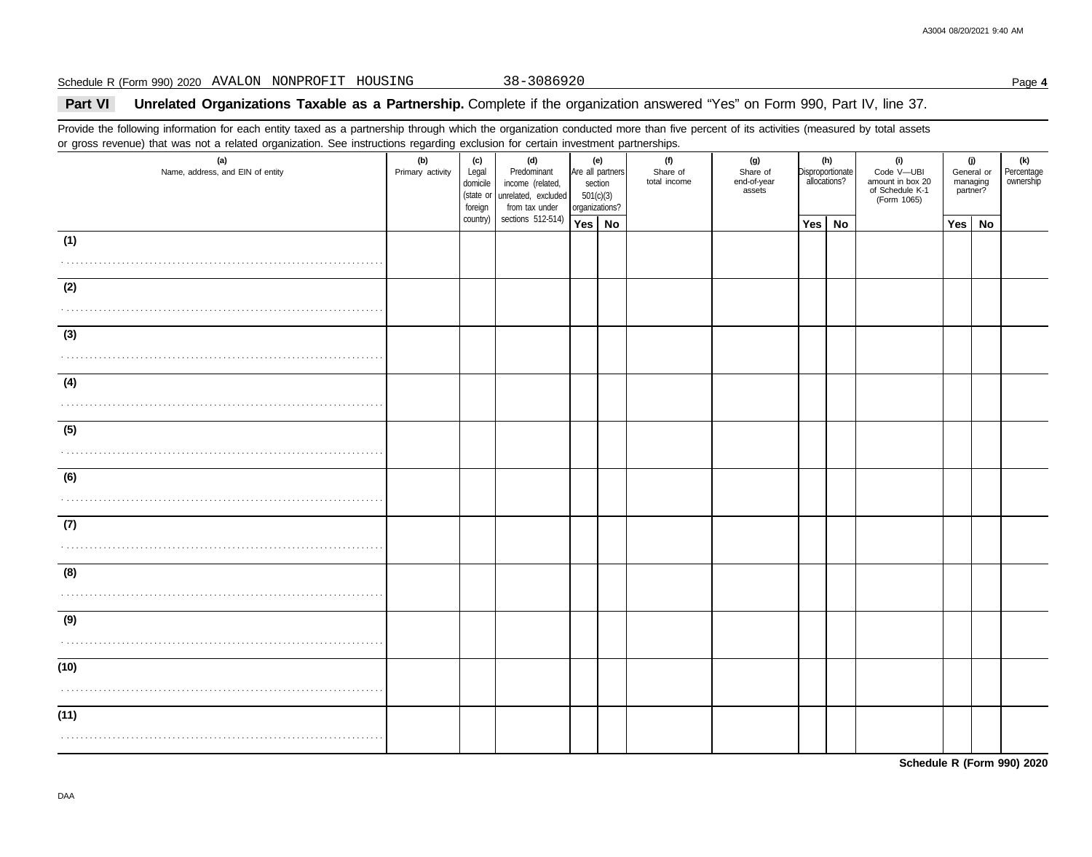Schedule R (Form 990) 2020 Page **4** AVALON NONPROFIT HOUSING 38-3086920

## **Part VI** Unrelated Organizations Taxable as a Partnership. Complete if the organization answered "Yes" on Form 990, Part IV, line 37.

Provide the following information for each entity taxed as a partnership through which the organization conducted more than five percent of its activities (measured by total assets or gross revenue) that was not a related organization. See instructions regarding exclusion for certain investment partnerships.

| or grood roverlad) that was not a related erganization. Our motivations regarding explacion for contain invocancin partnerompo.<br>(a)<br>Name, address, and EIN of entity                                                                                                                                                                                                                                                                                          | (b)<br>Primary activity | (c)<br>Legal<br>domicile<br>foreign | (d)<br>Predominant<br>income (related,<br>(state or unrelated, excluded<br>from tax under | (e)<br>Are all partners<br>section<br>501(c)(3)<br>organizations? | (f)<br>Share of<br>total income | (g)<br>Share of<br>end-of-year<br>assets | allocations? | (h)<br>Disproportionate | (i)<br>Code V-UBI<br>amount in box 20<br>of Schedule K-1<br>(Form 1065) | (j)<br>managing<br>partner? | General or | (k)<br>Percentage<br>ownership |
|---------------------------------------------------------------------------------------------------------------------------------------------------------------------------------------------------------------------------------------------------------------------------------------------------------------------------------------------------------------------------------------------------------------------------------------------------------------------|-------------------------|-------------------------------------|-------------------------------------------------------------------------------------------|-------------------------------------------------------------------|---------------------------------|------------------------------------------|--------------|-------------------------|-------------------------------------------------------------------------|-----------------------------|------------|--------------------------------|
|                                                                                                                                                                                                                                                                                                                                                                                                                                                                     |                         | country)                            | sections 512-514)                                                                         | Yes   No                                                          |                                 |                                          | Yes          | No                      |                                                                         | Yes   No                    |            |                                |
| (1)                                                                                                                                                                                                                                                                                                                                                                                                                                                                 |                         |                                     |                                                                                           |                                                                   |                                 |                                          |              |                         |                                                                         |                             |            |                                |
| (2)<br>$\mathcal{L}^{\mathcal{A}}(\mathcal{A},\mathcal{A},\mathcal{A},\mathcal{A},\mathcal{A},\mathcal{A},\mathcal{A},\mathcal{A},\mathcal{A},\mathcal{A},\mathcal{A},\mathcal{A},\mathcal{A},\mathcal{A},\mathcal{A},\mathcal{A},\mathcal{A},\mathcal{A},\mathcal{A},\mathcal{A},\mathcal{A},\mathcal{A},\mathcal{A},\mathcal{A},\mathcal{A},\mathcal{A},\mathcal{A},\mathcal{A},\mathcal{A},\mathcal{A},\mathcal{A},\mathcal{A},\mathcal{A},\mathcal{A},\mathcal$ |                         |                                     |                                                                                           |                                                                   |                                 |                                          |              |                         |                                                                         |                             |            |                                |
| (3)                                                                                                                                                                                                                                                                                                                                                                                                                                                                 |                         |                                     |                                                                                           |                                                                   |                                 |                                          |              |                         |                                                                         |                             |            |                                |
| (4)<br>.                                                                                                                                                                                                                                                                                                                                                                                                                                                            |                         |                                     |                                                                                           |                                                                   |                                 |                                          |              |                         |                                                                         |                             |            |                                |
| (5)<br>.                                                                                                                                                                                                                                                                                                                                                                                                                                                            |                         |                                     |                                                                                           |                                                                   |                                 |                                          |              |                         |                                                                         |                             |            |                                |
| (6)                                                                                                                                                                                                                                                                                                                                                                                                                                                                 |                         |                                     |                                                                                           |                                                                   |                                 |                                          |              |                         |                                                                         |                             |            |                                |
| (7)                                                                                                                                                                                                                                                                                                                                                                                                                                                                 |                         |                                     |                                                                                           |                                                                   |                                 |                                          |              |                         |                                                                         |                             |            |                                |
| (8)                                                                                                                                                                                                                                                                                                                                                                                                                                                                 |                         |                                     |                                                                                           |                                                                   |                                 |                                          |              |                         |                                                                         |                             |            |                                |
| (9)                                                                                                                                                                                                                                                                                                                                                                                                                                                                 |                         |                                     |                                                                                           |                                                                   |                                 |                                          |              |                         |                                                                         |                             |            |                                |
| (10)                                                                                                                                                                                                                                                                                                                                                                                                                                                                |                         |                                     |                                                                                           |                                                                   |                                 |                                          |              |                         |                                                                         |                             |            |                                |
| (11)                                                                                                                                                                                                                                                                                                                                                                                                                                                                |                         |                                     |                                                                                           |                                                                   |                                 |                                          |              |                         |                                                                         |                             |            |                                |

**Schedule R (Form 990) 2020**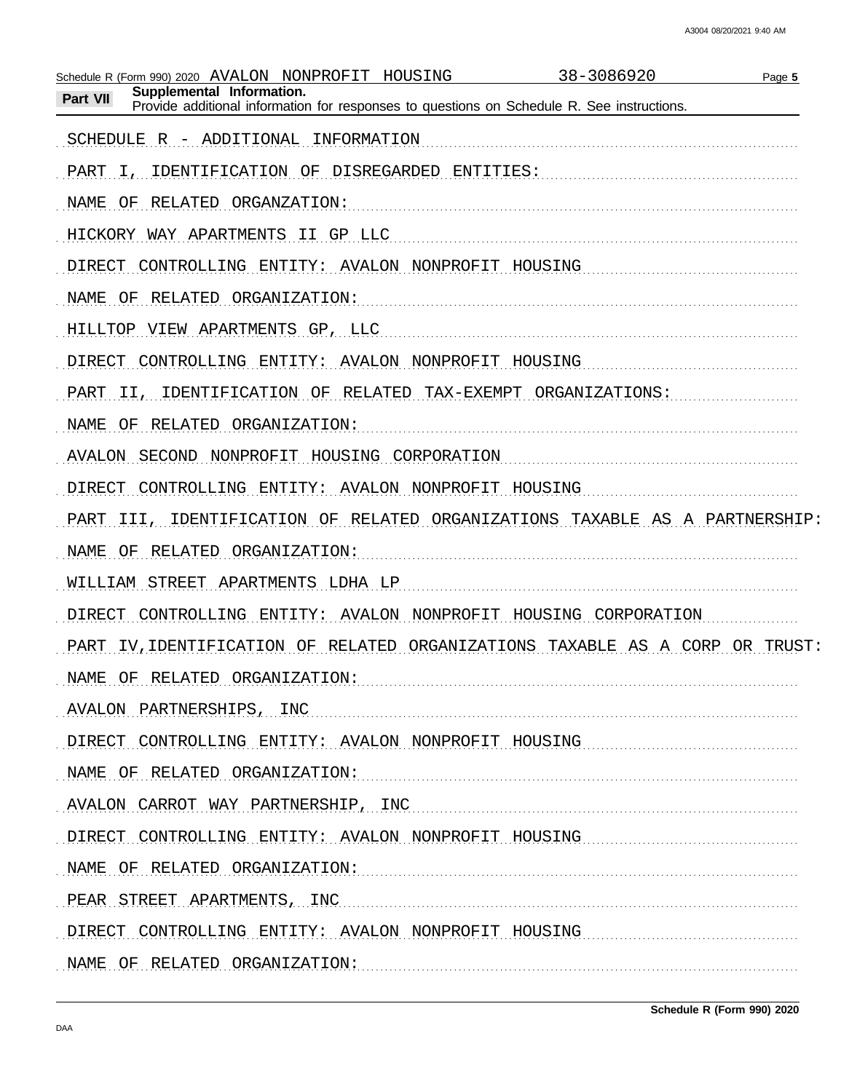| 38-3086920<br>Schedule R (Form 990) 2020 AVALON NONPROFIT<br>HOUSING<br>Page 5                                                      |
|-------------------------------------------------------------------------------------------------------------------------------------|
| Supplemental Information.<br>Part VII<br>Provide additional information for responses to questions on Schedule R. See instructions. |
| SCHEDULE R - ADDITIONAL<br>INFORMATION                                                                                              |
| IDENTIFICATION OF<br>DISREGARDED<br>ENTITIES:<br>PART<br>Ι,                                                                         |
| RELATED ORGANZATION:<br>NAME<br>ΟF                                                                                                  |
| HICKORY WAY APARTMENTS II GP LLC                                                                                                    |
| <b>DIRECT</b><br>CONTROLLING ENTITY: AVALON NONPROFIT HOUSING                                                                       |
| RELATED<br>ORGANIZATION:<br>NAME<br>ΟF                                                                                              |
| HILLTOP VIEW APARTMENTS GP, LLC                                                                                                     |
| <b>DIRECT</b><br>CONTROLLING ENTITY:<br><b>AVALON</b><br>NONPROFIT<br>HOUSING                                                       |
| OF RELATED<br>ORGANIZATIONS:<br>IDENTIFICATION<br>TAX-EXEMPT<br>PART<br>II,                                                         |
| RELATED<br>ORGANIZATION:<br>NAME<br>ΟF                                                                                              |
| NONPROFIT HOUSING CORPORATION<br><b>AVALON</b><br>SECOND                                                                            |
| <b>DIRECT</b><br>CONTROLLING ENTITY:<br>AVALON<br>NONPROFIT HOUSING                                                                 |
| IDENTIFICATION OF RELATED ORGANIZATIONS TAXABLE AS A PARTNERSHIP:<br>PART III,                                                      |
| RELATED ORGANIZATION:<br>NAME<br>ΟF                                                                                                 |
| WILLIAM STREET APARTMENTS LDHA LP                                                                                                   |
| <b>AVALON</b><br>NONPROFIT HOUSING CORPORATION<br>DIRECT<br>CONTROLLING ENTITY:                                                     |
| IV, IDENTIFICATION OF<br>RELATED ORGANIZATIONS<br>TAXABLE<br>AS A CORP<br>OR TRUST:<br>PART                                         |
| NAME OF RELATED ORGANIZATION:                                                                                                       |
| AVALON PARTNERSHIPS, INC                                                                                                            |
| DIRECT CONTROLLING ENTITY: AVALON NONPROFIT HOUSING                                                                                 |
| NAME OF RELATED ORGANIZATION:                                                                                                       |
| AVALON CARROT WAY PARTNERSHIP, INC                                                                                                  |
| DIRECT CONTROLLING ENTITY: AVALON NONPROFIT HOUSING                                                                                 |
| NAME OF RELATED ORGANIZATION:                                                                                                       |
| PEAR STREET APARTMENTS, INC.                                                                                                        |
| DIRECT CONTROLLING ENTITY: AVALON NONPROFIT HOUSING                                                                                 |
| NAME OF RELATED ORGANIZATION:                                                                                                       |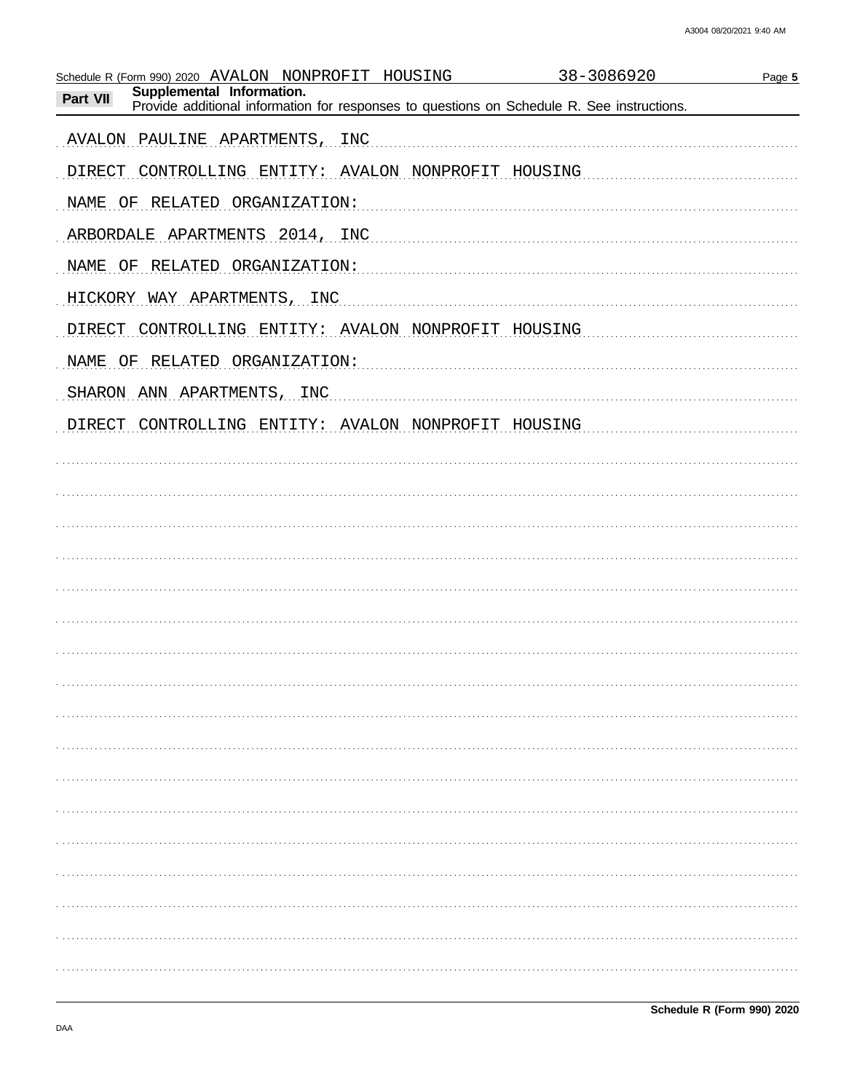| Schedule R (Form 990) 2020 AVALON NONPROFIT HOUSING                                                                                 | 38-3086920<br>Page 5 |
|-------------------------------------------------------------------------------------------------------------------------------------|----------------------|
| Supplemental Information.<br>Part VII<br>Provide additional information for responses to questions on Schedule R. See instructions. |                      |
| AVALON PAULINE APARTMENTS, INC                                                                                                      |                      |
| DIRECT CONTROLLING ENTITY: AVALON NONPROFIT HOUSING                                                                                 |                      |
| NAME OF RELATED ORGANIZATION:                                                                                                       |                      |
| ARBORDALE APARTMENTS 2014, INC                                                                                                      |                      |
| NAME OF RELATED ORGANIZATION:                                                                                                       |                      |
| HICKORY WAY APARTMENTS, INC                                                                                                         |                      |
| DIRECT CONTROLLING ENTITY: AVALON NONPROFIT HOUSING                                                                                 |                      |
| NAME OF RELATED ORGANIZATION:                                                                                                       |                      |
| SHARON ANN APARTMENTS, INC.                                                                                                         |                      |
| DIRECT CONTROLLING ENTITY: AVALON NONPROFIT HOUSING                                                                                 |                      |
|                                                                                                                                     |                      |
|                                                                                                                                     |                      |
|                                                                                                                                     |                      |
|                                                                                                                                     |                      |
|                                                                                                                                     |                      |
|                                                                                                                                     |                      |
|                                                                                                                                     |                      |
|                                                                                                                                     |                      |
|                                                                                                                                     |                      |
|                                                                                                                                     |                      |
|                                                                                                                                     |                      |
|                                                                                                                                     |                      |
|                                                                                                                                     |                      |
|                                                                                                                                     |                      |
|                                                                                                                                     |                      |
|                                                                                                                                     |                      |
|                                                                                                                                     |                      |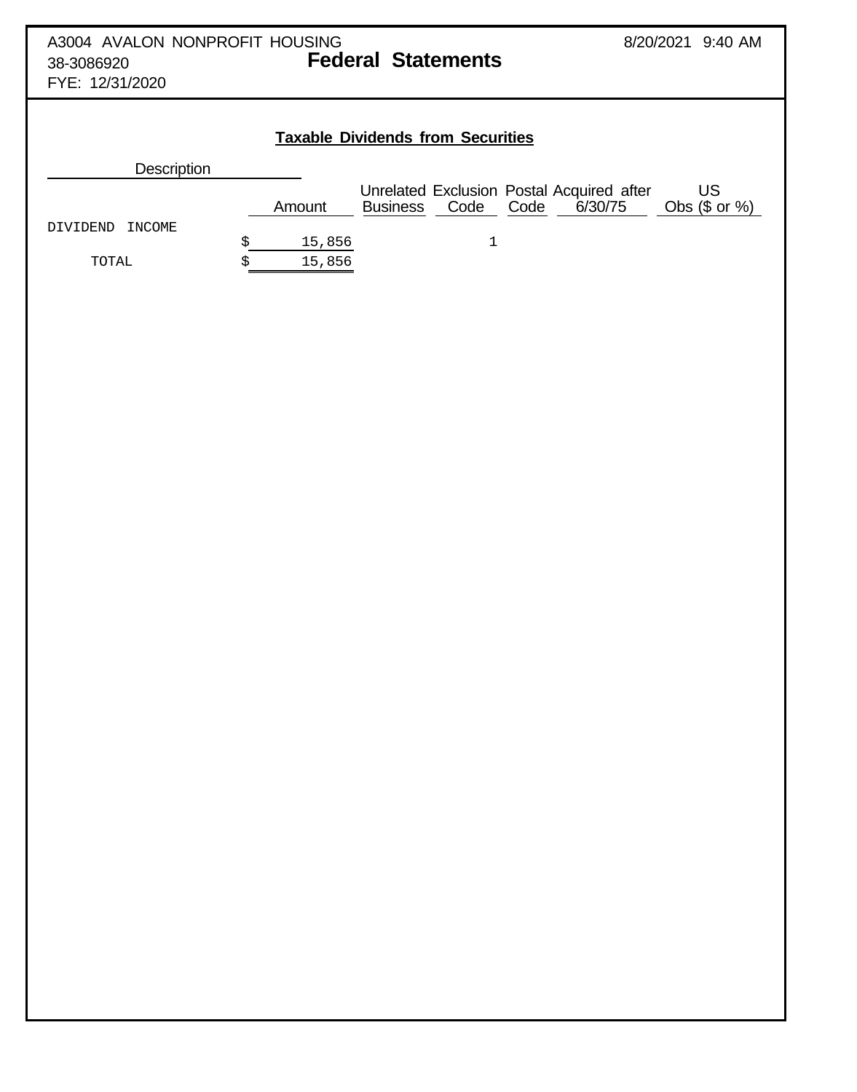| A3004 AVALON NONPROFIT HOUSING<br>38-3086920<br>FYE: 12/31/2020 |              | <b>Federal Statements</b>                |                                                              | 8/20/2021 9:40 AM      |
|-----------------------------------------------------------------|--------------|------------------------------------------|--------------------------------------------------------------|------------------------|
|                                                                 |              | <b>Taxable Dividends from Securities</b> |                                                              |                        |
| <b>Description</b>                                              |              |                                          |                                                              |                        |
| INCOME<br>DIVIDEND                                              | Amount       | Code<br><b>Business</b>                  | Unrelated Exclusion Postal Acquired after<br>Code<br>6/30/75 | US<br>Obs $(\$$ or $%$ |
|                                                                 | \$<br>15,856 |                                          |                                                              |                        |
| TOTAL                                                           | \$<br>15,856 |                                          |                                                              |                        |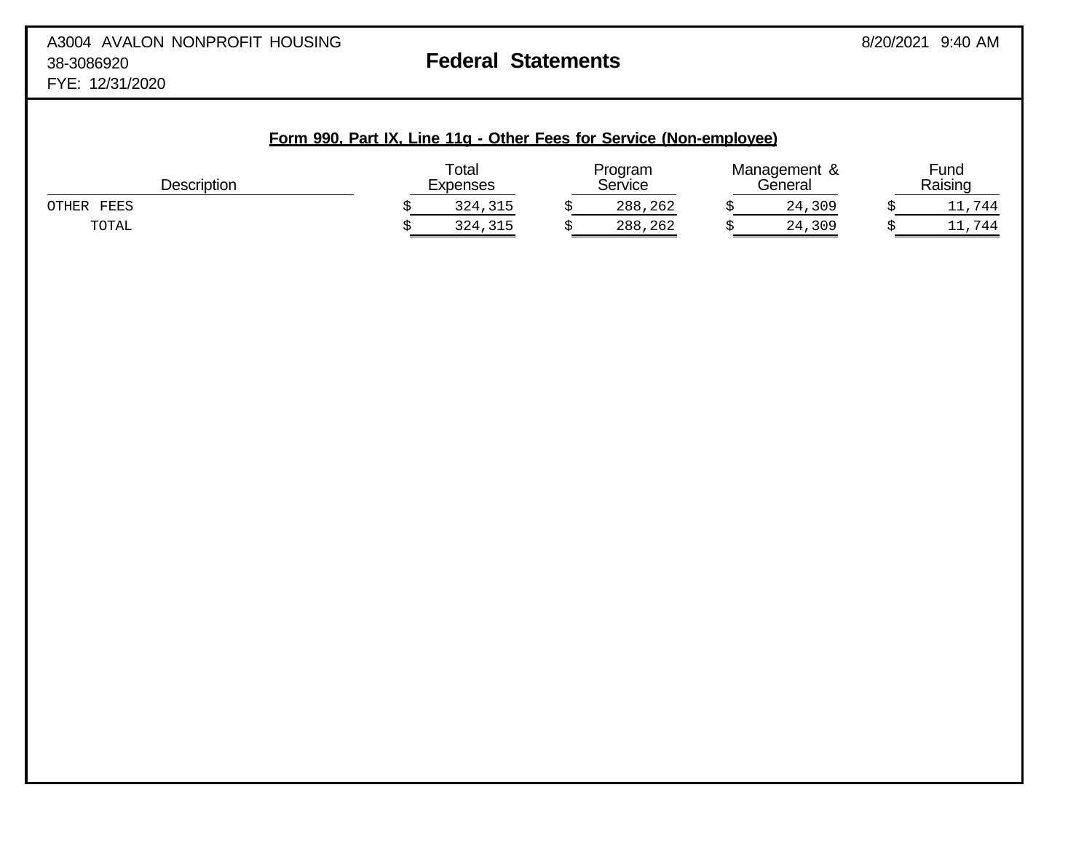# **Form 990, Part IX, Line 11g - Other Fees for Service (Non-employee)** Total **Program** Management & Fund Description **Expenses Service General Raising** Construction Construction Description OTHER FEES \$ 324,315 \$ 288,262 \$ 24,309 \$ 11,744 TOTAL \$ 324,315 \$ 288,262 \$ 24,309 \$ 11,744